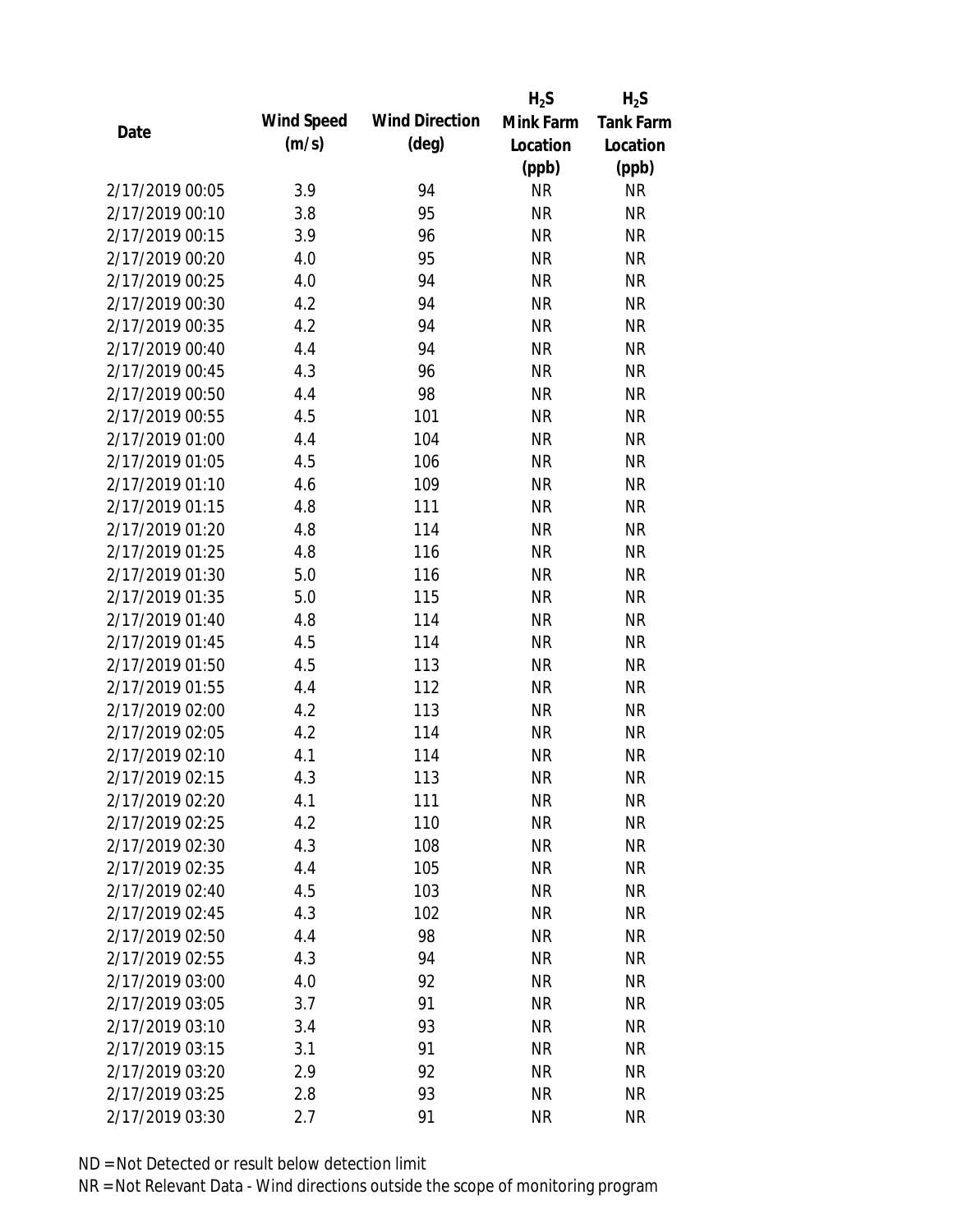|                 |            |                       | $H_2S$    | $H_2S$           |
|-----------------|------------|-----------------------|-----------|------------------|
| Date            | Wind Speed | <b>Wind Direction</b> | Mink Farm | <b>Tank Farm</b> |
|                 | (m/s)      | $(\text{deg})$        | Location  | Location         |
|                 |            |                       | (ppb)     | (ppb)            |
| 2/17/2019 00:05 | 3.9        | 94                    | <b>NR</b> | <b>NR</b>        |
| 2/17/2019 00:10 | 3.8        | 95                    | <b>NR</b> | <b>NR</b>        |
| 2/17/2019 00:15 | 3.9        | 96                    | <b>NR</b> | <b>NR</b>        |
| 2/17/2019 00:20 | 4.0        | 95                    | <b>NR</b> | <b>NR</b>        |
| 2/17/2019 00:25 | 4.0        | 94                    | <b>NR</b> | <b>NR</b>        |
| 2/17/2019 00:30 | 4.2        | 94                    | <b>NR</b> | <b>NR</b>        |
| 2/17/2019 00:35 | 4.2        | 94                    | <b>NR</b> | <b>NR</b>        |
| 2/17/2019 00:40 | 4.4        | 94                    | <b>NR</b> | <b>NR</b>        |
| 2/17/2019 00:45 | 4.3        | 96                    | <b>NR</b> | <b>NR</b>        |
| 2/17/2019 00:50 | 4.4        | 98                    | <b>NR</b> | <b>NR</b>        |
| 2/17/2019 00:55 | 4.5        | 101                   | <b>NR</b> | <b>NR</b>        |
| 2/17/2019 01:00 | 4.4        | 104                   | <b>NR</b> | <b>NR</b>        |
| 2/17/2019 01:05 | 4.5        | 106                   | <b>NR</b> | <b>NR</b>        |
| 2/17/2019 01:10 | 4.6        | 109                   | <b>NR</b> | <b>NR</b>        |
| 2/17/2019 01:15 | 4.8        | 111                   | <b>NR</b> | <b>NR</b>        |
| 2/17/2019 01:20 | 4.8        | 114                   | <b>NR</b> | <b>NR</b>        |
| 2/17/2019 01:25 | 4.8        | 116                   | <b>NR</b> | <b>NR</b>        |
| 2/17/2019 01:30 | 5.0        | 116                   | <b>NR</b> | <b>NR</b>        |
| 2/17/2019 01:35 | 5.0        | 115                   | <b>NR</b> | <b>NR</b>        |
| 2/17/2019 01:40 | 4.8        | 114                   | <b>NR</b> | <b>NR</b>        |
| 2/17/2019 01:45 | 4.5        | 114                   | <b>NR</b> | <b>NR</b>        |
| 2/17/2019 01:50 | 4.5        | 113                   | <b>NR</b> | <b>NR</b>        |
| 2/17/2019 01:55 | 4.4        | 112                   | <b>NR</b> | <b>NR</b>        |
| 2/17/2019 02:00 | 4.2        | 113                   | <b>NR</b> | <b>NR</b>        |
| 2/17/2019 02:05 | 4.2        | 114                   | <b>NR</b> | <b>NR</b>        |
| 2/17/2019 02:10 | 4.1        | 114                   | <b>NR</b> | <b>NR</b>        |
| 2/17/2019 02:15 | 4.3        | 113                   | <b>NR</b> | <b>NR</b>        |
| 2/17/2019 02:20 | 4.1        | 111                   | <b>NR</b> | <b>NR</b>        |
| 2/17/2019 02:25 | 4.2        | 110                   | <b>NR</b> | <b>NR</b>        |
| 2/17/2019 02:30 | 4.3        | 108                   | <b>NR</b> | <b>NR</b>        |
| 2/17/2019 02:35 | 4.4        | 105                   | <b>NR</b> | <b>NR</b>        |
| 2/17/2019 02:40 | 4.5        | 103                   | <b>NR</b> | NR               |
| 2/17/2019 02:45 | 4.3        | 102                   | <b>NR</b> | <b>NR</b>        |
| 2/17/2019 02:50 | 4.4        | 98                    | <b>NR</b> | <b>NR</b>        |
| 2/17/2019 02:55 | 4.3        | 94                    | <b>NR</b> | <b>NR</b>        |
| 2/17/2019 03:00 | 4.0        | 92                    | <b>NR</b> | <b>NR</b>        |
| 2/17/2019 03:05 | 3.7        | 91                    | <b>NR</b> | <b>NR</b>        |
| 2/17/2019 03:10 | 3.4        | 93                    | <b>NR</b> | <b>NR</b>        |
| 2/17/2019 03:15 | 3.1        | 91                    | <b>NR</b> | <b>NR</b>        |
| 2/17/2019 03:20 | 2.9        | 92                    | <b>NR</b> | <b>NR</b>        |
| 2/17/2019 03:25 | 2.8        | 93                    | <b>NR</b> | <b>NR</b>        |
| 2/17/2019 03:30 | 2.7        | 91                    | <b>NR</b> | <b>NR</b>        |
|                 |            |                       |           |                  |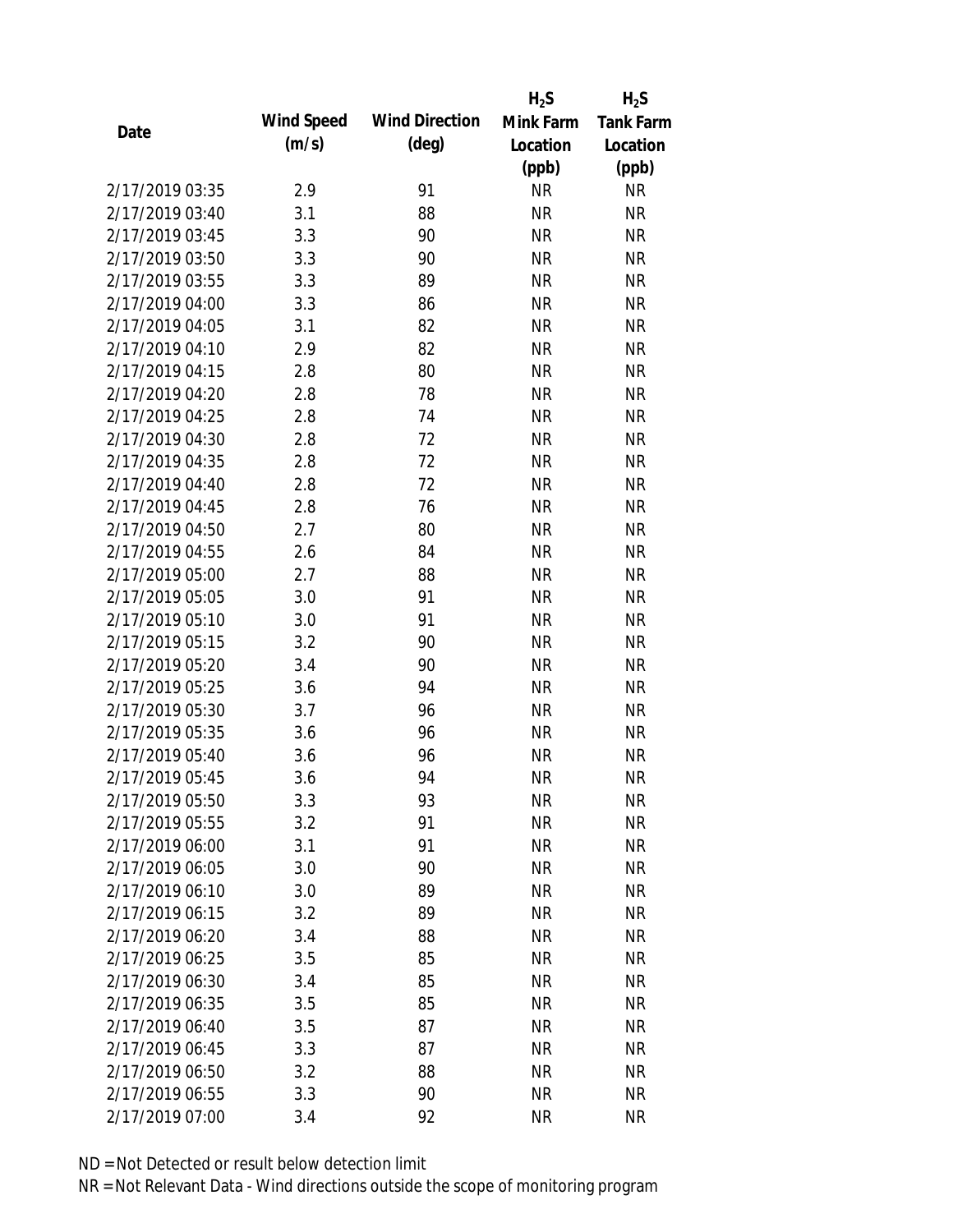|                 |            |                       | $H_2S$    | $H_2S$           |
|-----------------|------------|-----------------------|-----------|------------------|
| Date            | Wind Speed | <b>Wind Direction</b> | Mink Farm | <b>Tank Farm</b> |
|                 | (m/s)      | $(\text{deg})$        | Location  | Location         |
|                 |            |                       | (ppb)     | (ppb)            |
| 2/17/2019 03:35 | 2.9        | 91                    | <b>NR</b> | <b>NR</b>        |
| 2/17/2019 03:40 | 3.1        | 88                    | <b>NR</b> | <b>NR</b>        |
| 2/17/2019 03:45 | 3.3        | 90                    | <b>NR</b> | <b>NR</b>        |
| 2/17/2019 03:50 | 3.3        | 90                    | <b>NR</b> | <b>NR</b>        |
| 2/17/2019 03:55 | 3.3        | 89                    | <b>NR</b> | <b>NR</b>        |
| 2/17/2019 04:00 | 3.3        | 86                    | <b>NR</b> | <b>NR</b>        |
| 2/17/2019 04:05 | 3.1        | 82                    | <b>NR</b> | <b>NR</b>        |
| 2/17/2019 04:10 | 2.9        | 82                    | <b>NR</b> | <b>NR</b>        |
| 2/17/2019 04:15 | 2.8        | 80                    | <b>NR</b> | <b>NR</b>        |
| 2/17/2019 04:20 | 2.8        | 78                    | <b>NR</b> | <b>NR</b>        |
| 2/17/2019 04:25 | 2.8        | 74                    | <b>NR</b> | <b>NR</b>        |
| 2/17/2019 04:30 | 2.8        | 72                    | <b>NR</b> | <b>NR</b>        |
| 2/17/2019 04:35 | 2.8        | 72                    | <b>NR</b> | <b>NR</b>        |
| 2/17/2019 04:40 | 2.8        | 72                    | <b>NR</b> | <b>NR</b>        |
| 2/17/2019 04:45 | 2.8        | 76                    | <b>NR</b> | <b>NR</b>        |
| 2/17/2019 04:50 | 2.7        | 80                    | <b>NR</b> | <b>NR</b>        |
| 2/17/2019 04:55 | 2.6        | 84                    | <b>NR</b> | <b>NR</b>        |
| 2/17/2019 05:00 | 2.7        | 88                    | <b>NR</b> | <b>NR</b>        |
| 2/17/2019 05:05 | 3.0        | 91                    | <b>NR</b> | <b>NR</b>        |
| 2/17/2019 05:10 | 3.0        | 91                    | <b>NR</b> | <b>NR</b>        |
| 2/17/2019 05:15 | 3.2        | 90                    | <b>NR</b> | <b>NR</b>        |
| 2/17/2019 05:20 | 3.4        | 90                    | <b>NR</b> | <b>NR</b>        |
| 2/17/2019 05:25 | 3.6        | 94                    | <b>NR</b> | <b>NR</b>        |
| 2/17/2019 05:30 | 3.7        | 96                    | <b>NR</b> | <b>NR</b>        |
| 2/17/2019 05:35 | 3.6        | 96                    | <b>NR</b> | <b>NR</b>        |
| 2/17/2019 05:40 | 3.6        | 96                    | <b>NR</b> | <b>NR</b>        |
| 2/17/2019 05:45 | 3.6        | 94                    | <b>NR</b> | <b>NR</b>        |
| 2/17/2019 05:50 | 3.3        | 93                    | <b>NR</b> | <b>NR</b>        |
| 2/17/2019 05:55 | 3.2        | 91                    | <b>NR</b> | <b>NR</b>        |
| 2/17/2019 06:00 | 3.1        | 91                    | <b>NR</b> | <b>NR</b>        |
| 2/17/2019 06:05 | 3.0        | 90                    | <b>NR</b> | <b>NR</b>        |
| 2/17/2019 06:10 | 3.0        | 89                    | <b>NR</b> | <b>NR</b>        |
| 2/17/2019 06:15 | 3.2        | 89                    | <b>NR</b> | <b>NR</b>        |
| 2/17/2019 06:20 | 3.4        | 88                    | <b>NR</b> | <b>NR</b>        |
| 2/17/2019 06:25 | 3.5        | 85                    | <b>NR</b> | NR               |
| 2/17/2019 06:30 | 3.4        | 85                    | <b>NR</b> | <b>NR</b>        |
| 2/17/2019 06:35 | 3.5        | 85                    | <b>NR</b> | <b>NR</b>        |
| 2/17/2019 06:40 | 3.5        | 87                    | <b>NR</b> | <b>NR</b>        |
| 2/17/2019 06:45 | 3.3        | 87                    | <b>NR</b> | NR               |
| 2/17/2019 06:50 | 3.2        | 88                    | <b>NR</b> | NR               |
| 2/17/2019 06:55 | 3.3        | 90                    | <b>NR</b> | <b>NR</b>        |
|                 |            |                       |           |                  |
| 2/17/2019 07:00 | 3.4        | 92                    | <b>NR</b> | <b>NR</b>        |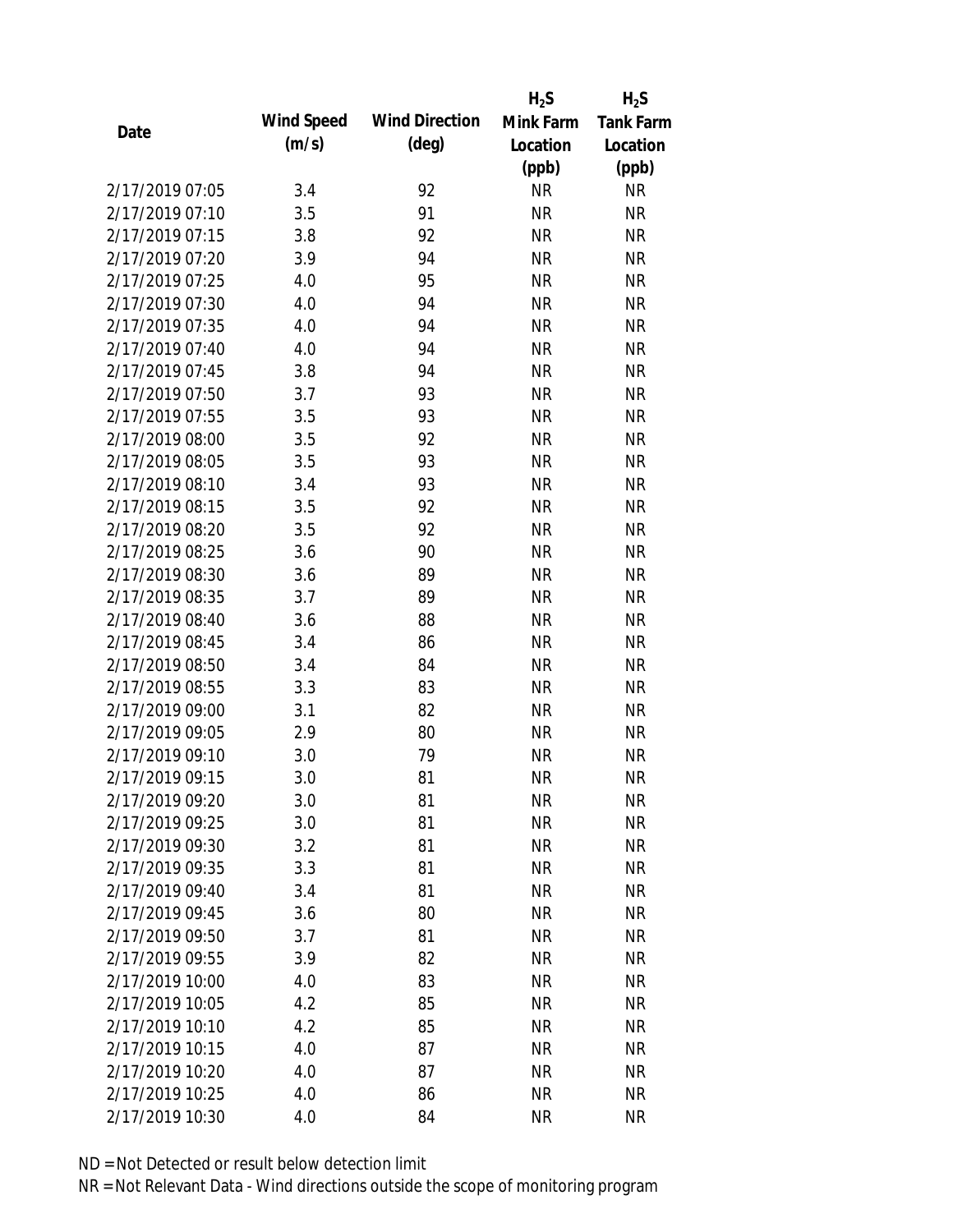|                 |            |                       | $H_2S$    | $H_2S$           |
|-----------------|------------|-----------------------|-----------|------------------|
| Date            | Wind Speed | <b>Wind Direction</b> | Mink Farm | <b>Tank Farm</b> |
|                 | (m/s)      | $(\text{deg})$        | Location  | Location         |
|                 |            |                       | (ppb)     | (ppb)            |
| 2/17/2019 07:05 | 3.4        | 92                    | <b>NR</b> | <b>NR</b>        |
| 2/17/2019 07:10 | 3.5        | 91                    | <b>NR</b> | <b>NR</b>        |
| 2/17/2019 07:15 | 3.8        | 92                    | <b>NR</b> | <b>NR</b>        |
| 2/17/2019 07:20 | 3.9        | 94                    | <b>NR</b> | <b>NR</b>        |
| 2/17/2019 07:25 | 4.0        | 95                    | <b>NR</b> | <b>NR</b>        |
| 2/17/2019 07:30 | 4.0        | 94                    | <b>NR</b> | <b>NR</b>        |
| 2/17/2019 07:35 | 4.0        | 94                    | <b>NR</b> | <b>NR</b>        |
| 2/17/2019 07:40 | 4.0        | 94                    | <b>NR</b> | <b>NR</b>        |
| 2/17/2019 07:45 | 3.8        | 94                    | <b>NR</b> | <b>NR</b>        |
| 2/17/2019 07:50 | 3.7        | 93                    | <b>NR</b> | <b>NR</b>        |
| 2/17/2019 07:55 | 3.5        | 93                    | <b>NR</b> | <b>NR</b>        |
| 2/17/2019 08:00 | 3.5        | 92                    | <b>NR</b> | <b>NR</b>        |
| 2/17/2019 08:05 | 3.5        | 93                    | <b>NR</b> | <b>NR</b>        |
| 2/17/2019 08:10 | 3.4        | 93                    | <b>NR</b> | <b>NR</b>        |
| 2/17/2019 08:15 | 3.5        | 92                    | <b>NR</b> | <b>NR</b>        |
| 2/17/2019 08:20 | 3.5        | 92                    | <b>NR</b> | <b>NR</b>        |
| 2/17/2019 08:25 | 3.6        | 90                    | <b>NR</b> | <b>NR</b>        |
| 2/17/2019 08:30 | 3.6        | 89                    | <b>NR</b> | <b>NR</b>        |
| 2/17/2019 08:35 | 3.7        | 89                    | <b>NR</b> | <b>NR</b>        |
| 2/17/2019 08:40 | 3.6        | 88                    | <b>NR</b> | <b>NR</b>        |
| 2/17/2019 08:45 | 3.4        | 86                    | <b>NR</b> | <b>NR</b>        |
| 2/17/2019 08:50 | 3.4        | 84                    | <b>NR</b> | <b>NR</b>        |
| 2/17/2019 08:55 | 3.3        | 83                    | <b>NR</b> | <b>NR</b>        |
| 2/17/2019 09:00 | 3.1        | 82                    | <b>NR</b> | <b>NR</b>        |
| 2/17/2019 09:05 | 2.9        | 80                    | <b>NR</b> | <b>NR</b>        |
| 2/17/2019 09:10 | 3.0        | 79                    | <b>NR</b> | <b>NR</b>        |
| 2/17/2019 09:15 | 3.0        | 81                    | <b>NR</b> | <b>NR</b>        |
| 2/17/2019 09:20 | 3.0        | 81                    | <b>NR</b> | <b>NR</b>        |
| 2/17/2019 09:25 | 3.0        | 81                    | <b>NR</b> | <b>NR</b>        |
| 2/17/2019 09:30 | 3.2        | 81                    | <b>NR</b> | <b>NR</b>        |
| 2/17/2019 09:35 | 3.3        | 81                    | <b>NR</b> | <b>NR</b>        |
| 2/17/2019 09:40 | 3.4        | 81                    | <b>NR</b> | <b>NR</b>        |
| 2/17/2019 09:45 | 3.6        | 80                    | <b>NR</b> | <b>NR</b>        |
| 2/17/2019 09:50 | 3.7        | 81                    | <b>NR</b> | <b>NR</b>        |
| 2/17/2019 09:55 | 3.9        | 82                    | <b>NR</b> | <b>NR</b>        |
| 2/17/2019 10:00 | 4.0        | 83                    | <b>NR</b> | <b>NR</b>        |
| 2/17/2019 10:05 | 4.2        | 85                    | <b>NR</b> | <b>NR</b>        |
| 2/17/2019 10:10 | 4.2        | 85                    | NR        | <b>NR</b>        |
| 2/17/2019 10:15 | 4.0        | 87                    | <b>NR</b> | NR               |
| 2/17/2019 10:20 | 4.0        | 87                    | <b>NR</b> | NR               |
| 2/17/2019 10:25 | 4.0        | 86                    | <b>NR</b> | <b>NR</b>        |
| 2/17/2019 10:30 | 4.0        | 84                    | <b>NR</b> | <b>NR</b>        |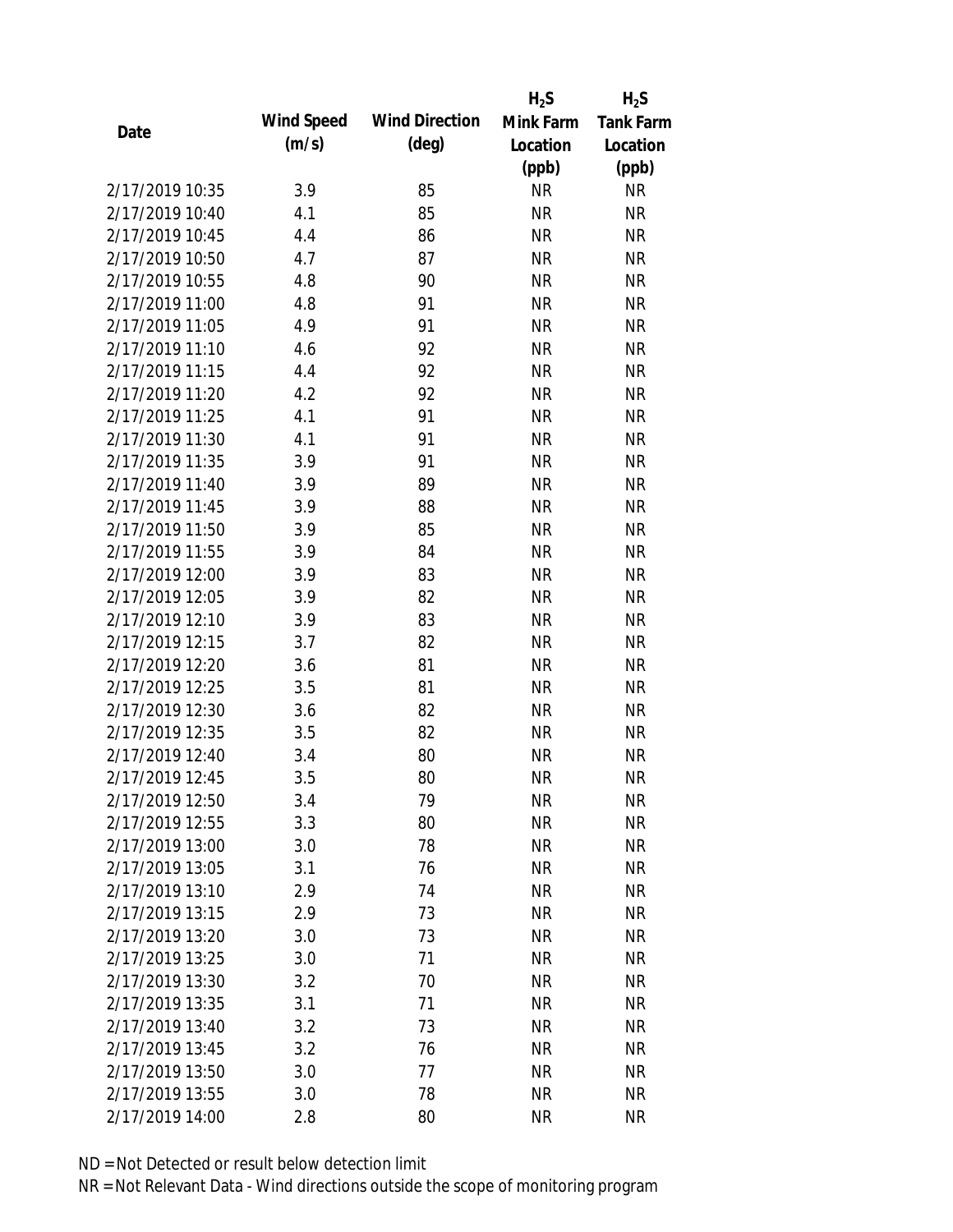|                 |            |                       | $H_2S$    | $H_2S$           |
|-----------------|------------|-----------------------|-----------|------------------|
|                 | Wind Speed | <b>Wind Direction</b> | Mink Farm | <b>Tank Farm</b> |
| Date            | (m/s)      | $(\text{deg})$        | Location  | Location         |
|                 |            |                       | (ppb)     | (ppb)            |
| 2/17/2019 10:35 | 3.9        | 85                    | <b>NR</b> | <b>NR</b>        |
| 2/17/2019 10:40 | 4.1        | 85                    | <b>NR</b> | <b>NR</b>        |
| 2/17/2019 10:45 | 4.4        | 86                    | <b>NR</b> | <b>NR</b>        |
| 2/17/2019 10:50 | 4.7        | 87                    | <b>NR</b> | <b>NR</b>        |
| 2/17/2019 10:55 | 4.8        | 90                    | <b>NR</b> | <b>NR</b>        |
| 2/17/2019 11:00 | 4.8        | 91                    | <b>NR</b> | <b>NR</b>        |
| 2/17/2019 11:05 | 4.9        | 91                    | <b>NR</b> | <b>NR</b>        |
| 2/17/2019 11:10 | 4.6        | 92                    | <b>NR</b> | <b>NR</b>        |
| 2/17/2019 11:15 | 4.4        | 92                    | <b>NR</b> | <b>NR</b>        |
| 2/17/2019 11:20 | 4.2        | 92                    | <b>NR</b> | <b>NR</b>        |
| 2/17/2019 11:25 | 4.1        | 91                    | <b>NR</b> | <b>NR</b>        |
| 2/17/2019 11:30 | 4.1        | 91                    | <b>NR</b> | <b>NR</b>        |
| 2/17/2019 11:35 | 3.9        | 91                    | <b>NR</b> | <b>NR</b>        |
| 2/17/2019 11:40 | 3.9        | 89                    | <b>NR</b> | <b>NR</b>        |
| 2/17/2019 11:45 | 3.9        | 88                    | <b>NR</b> | <b>NR</b>        |
| 2/17/2019 11:50 | 3.9        | 85                    | <b>NR</b> | <b>NR</b>        |
| 2/17/2019 11:55 | 3.9        | 84                    | <b>NR</b> | <b>NR</b>        |
| 2/17/2019 12:00 | 3.9        | 83                    | <b>NR</b> | <b>NR</b>        |
| 2/17/2019 12:05 | 3.9        | 82                    | <b>NR</b> | <b>NR</b>        |
| 2/17/2019 12:10 | 3.9        | 83                    | <b>NR</b> | <b>NR</b>        |
| 2/17/2019 12:15 | 3.7        | 82                    | <b>NR</b> | <b>NR</b>        |
| 2/17/2019 12:20 | 3.6        | 81                    | <b>NR</b> | <b>NR</b>        |
| 2/17/2019 12:25 | 3.5        | 81                    | <b>NR</b> | <b>NR</b>        |
| 2/17/2019 12:30 | 3.6        | 82                    | <b>NR</b> | <b>NR</b>        |
| 2/17/2019 12:35 | 3.5        | 82                    | <b>NR</b> | <b>NR</b>        |
| 2/17/2019 12:40 | 3.4        | 80                    | <b>NR</b> | <b>NR</b>        |
| 2/17/2019 12:45 | 3.5        | 80                    | <b>NR</b> | <b>NR</b>        |
| 2/17/2019 12:50 | 3.4        | 79                    | <b>NR</b> | <b>NR</b>        |
| 2/17/2019 12:55 | 3.3        | 80                    | <b>NR</b> | <b>NR</b>        |
| 2/17/2019 13:00 | 3.0        | 78                    | <b>NR</b> | <b>NR</b>        |
| 2/17/2019 13:05 | 3.1        | 76                    | <b>NR</b> | <b>NR</b>        |
| 2/17/2019 13:10 | 2.9        | 74                    | <b>NR</b> | <b>NR</b>        |
| 2/17/2019 13:15 | 2.9        | 73                    | <b>NR</b> | <b>NR</b>        |
| 2/17/2019 13:20 | 3.0        | 73                    | <b>NR</b> | <b>NR</b>        |
| 2/17/2019 13:25 | 3.0        | 71                    | <b>NR</b> | <b>NR</b>        |
| 2/17/2019 13:30 | 3.2        | 70                    | <b>NR</b> | <b>NR</b>        |
| 2/17/2019 13:35 | 3.1        | 71                    | <b>NR</b> | <b>NR</b>        |
| 2/17/2019 13:40 | 3.2        | 73                    | <b>NR</b> | <b>NR</b>        |
| 2/17/2019 13:45 | 3.2        | 76                    | <b>NR</b> | <b>NR</b>        |
| 2/17/2019 13:50 | 3.0        | 77                    | <b>NR</b> | <b>NR</b>        |
| 2/17/2019 13:55 | 3.0        | 78                    | <b>NR</b> | <b>NR</b>        |
| 2/17/2019 14:00 | 2.8        | 80                    | <b>NR</b> | <b>NR</b>        |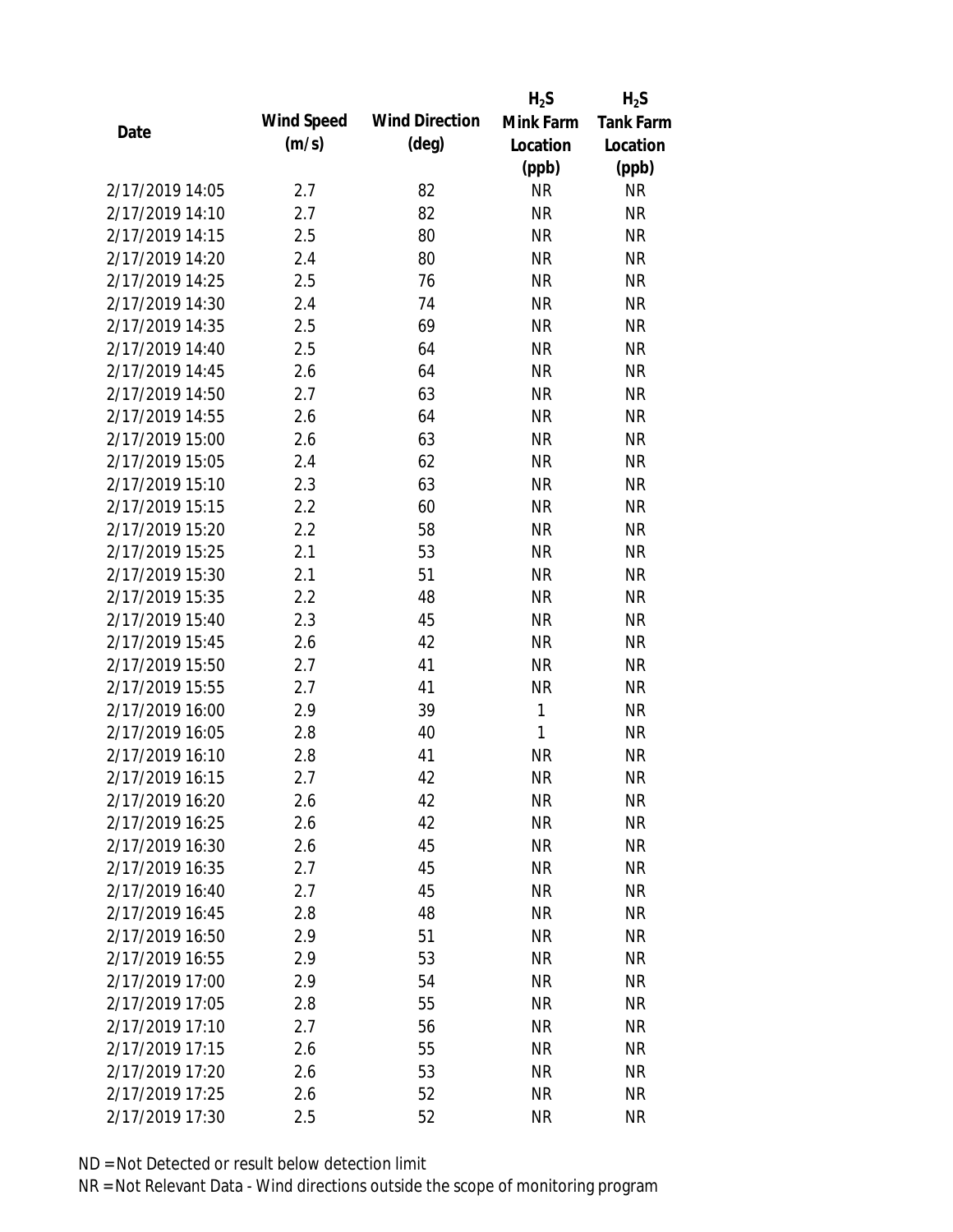|                 |            |                       | $H_2S$       | $H_2S$           |
|-----------------|------------|-----------------------|--------------|------------------|
| Date            | Wind Speed | <b>Wind Direction</b> | Mink Farm    | <b>Tank Farm</b> |
|                 | (m/s)      | $(\text{deg})$        | Location     | Location         |
|                 |            |                       | (ppb)        | (ppb)            |
| 2/17/2019 14:05 | 2.7        | 82                    | <b>NR</b>    | <b>NR</b>        |
| 2/17/2019 14:10 | 2.7        | 82                    | <b>NR</b>    | <b>NR</b>        |
| 2/17/2019 14:15 | 2.5        | 80                    | <b>NR</b>    | <b>NR</b>        |
| 2/17/2019 14:20 | 2.4        | 80                    | <b>NR</b>    | <b>NR</b>        |
| 2/17/2019 14:25 | 2.5        | 76                    | <b>NR</b>    | <b>NR</b>        |
| 2/17/2019 14:30 | 2.4        | 74                    | <b>NR</b>    | <b>NR</b>        |
| 2/17/2019 14:35 | 2.5        | 69                    | <b>NR</b>    | <b>NR</b>        |
| 2/17/2019 14:40 | 2.5        | 64                    | <b>NR</b>    | <b>NR</b>        |
| 2/17/2019 14:45 | 2.6        | 64                    | <b>NR</b>    | <b>NR</b>        |
| 2/17/2019 14:50 | 2.7        | 63                    | <b>NR</b>    | <b>NR</b>        |
| 2/17/2019 14:55 | 2.6        | 64                    | <b>NR</b>    | <b>NR</b>        |
| 2/17/2019 15:00 | 2.6        | 63                    | <b>NR</b>    | <b>NR</b>        |
| 2/17/2019 15:05 | 2.4        | 62                    | <b>NR</b>    | <b>NR</b>        |
| 2/17/2019 15:10 | 2.3        | 63                    | <b>NR</b>    | <b>NR</b>        |
| 2/17/2019 15:15 | 2.2        | 60                    | <b>NR</b>    | <b>NR</b>        |
| 2/17/2019 15:20 | 2.2        | 58                    | <b>NR</b>    | <b>NR</b>        |
| 2/17/2019 15:25 | 2.1        | 53                    | <b>NR</b>    | <b>NR</b>        |
| 2/17/2019 15:30 | 2.1        | 51                    | <b>NR</b>    | <b>NR</b>        |
| 2/17/2019 15:35 | 2.2        | 48                    | <b>NR</b>    | <b>NR</b>        |
| 2/17/2019 15:40 | 2.3        | 45                    | <b>NR</b>    | <b>NR</b>        |
| 2/17/2019 15:45 | 2.6        | 42                    | <b>NR</b>    | <b>NR</b>        |
| 2/17/2019 15:50 | 2.7        | 41                    | <b>NR</b>    | <b>NR</b>        |
| 2/17/2019 15:55 | 2.7        | 41                    | <b>NR</b>    | <b>NR</b>        |
| 2/17/2019 16:00 | 2.9        | 39                    | 1            | <b>NR</b>        |
| 2/17/2019 16:05 | 2.8        | 40                    | $\mathbf{1}$ | <b>NR</b>        |
| 2/17/2019 16:10 | 2.8        | 41                    | <b>NR</b>    | <b>NR</b>        |
| 2/17/2019 16:15 | 2.7        | 42                    | <b>NR</b>    | <b>NR</b>        |
| 2/17/2019 16:20 | 2.6        | 42                    | <b>NR</b>    | <b>NR</b>        |
| 2/17/2019 16:25 | 2.6        | 42                    | <b>NR</b>    | <b>NR</b>        |
| 2/17/2019 16:30 | 2.6        | 45                    | NR           | <b>NR</b>        |
| 2/17/2019 16:35 | 2.7        | 45                    | <b>NR</b>    | <b>NR</b>        |
| 2/17/2019 16:40 | 2.7        | 45                    | <b>NR</b>    | <b>NR</b>        |
| 2/17/2019 16:45 | 2.8        | 48                    | <b>NR</b>    | <b>NR</b>        |
| 2/17/2019 16:50 | 2.9        | 51                    | <b>NR</b>    | <b>NR</b>        |
| 2/17/2019 16:55 | 2.9        | 53                    | <b>NR</b>    | <b>NR</b>        |
| 2/17/2019 17:00 | 2.9        | 54                    | <b>NR</b>    | <b>NR</b>        |
| 2/17/2019 17:05 | 2.8        | 55                    | <b>NR</b>    | <b>NR</b>        |
| 2/17/2019 17:10 | 2.7        | 56                    | NR           | <b>NR</b>        |
| 2/17/2019 17:15 | 2.6        | 55                    | <b>NR</b>    | <b>NR</b>        |
| 2/17/2019 17:20 | 2.6        | 53                    | <b>NR</b>    | <b>NR</b>        |
| 2/17/2019 17:25 | 2.6        | 52                    | <b>NR</b>    | <b>NR</b>        |
| 2/17/2019 17:30 | 2.5        | 52                    | <b>NR</b>    | <b>NR</b>        |
|                 |            |                       |              |                  |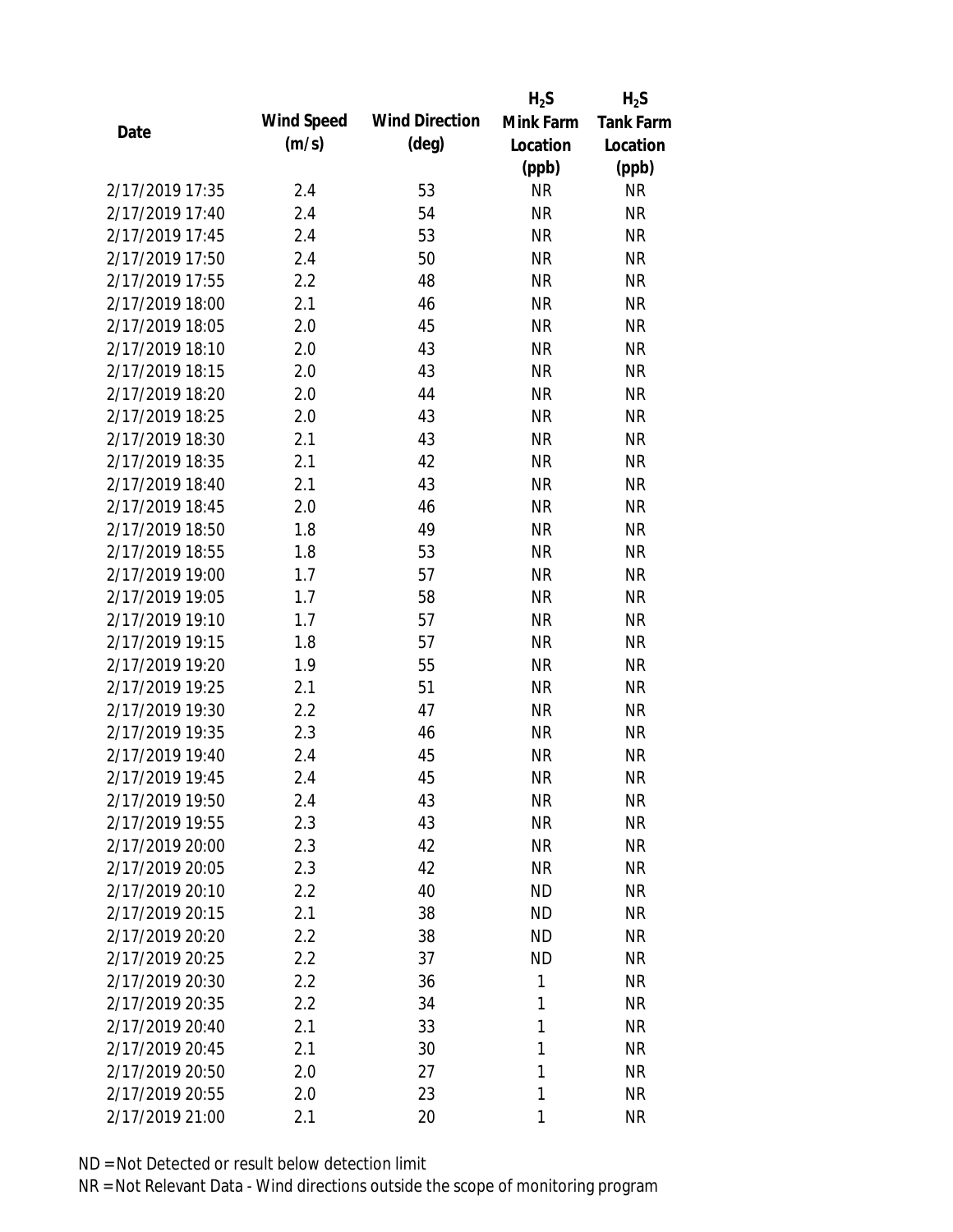|                 |            |                       | $H_2S$    | $H_2S$           |
|-----------------|------------|-----------------------|-----------|------------------|
| Date            | Wind Speed | <b>Wind Direction</b> | Mink Farm | <b>Tank Farm</b> |
|                 | (m/s)      | $(\text{deg})$        | Location  | Location         |
|                 |            |                       | (ppb)     | (ppb)            |
| 2/17/2019 17:35 | 2.4        | 53                    | <b>NR</b> | <b>NR</b>        |
| 2/17/2019 17:40 | 2.4        | 54                    | <b>NR</b> | <b>NR</b>        |
| 2/17/2019 17:45 | 2.4        | 53                    | <b>NR</b> | <b>NR</b>        |
| 2/17/2019 17:50 | 2.4        | 50                    | <b>NR</b> | <b>NR</b>        |
| 2/17/2019 17:55 | 2.2        | 48                    | <b>NR</b> | <b>NR</b>        |
| 2/17/2019 18:00 | 2.1        | 46                    | <b>NR</b> | <b>NR</b>        |
| 2/17/2019 18:05 | 2.0        | 45                    | <b>NR</b> | <b>NR</b>        |
| 2/17/2019 18:10 | 2.0        | 43                    | <b>NR</b> | <b>NR</b>        |
| 2/17/2019 18:15 | 2.0        | 43                    | <b>NR</b> | <b>NR</b>        |
| 2/17/2019 18:20 | 2.0        | 44                    | <b>NR</b> | <b>NR</b>        |
| 2/17/2019 18:25 | 2.0        | 43                    | <b>NR</b> | <b>NR</b>        |
| 2/17/2019 18:30 | 2.1        | 43                    | <b>NR</b> | <b>NR</b>        |
| 2/17/2019 18:35 | 2.1        | 42                    | <b>NR</b> | <b>NR</b>        |
| 2/17/2019 18:40 | 2.1        | 43                    | <b>NR</b> | <b>NR</b>        |
| 2/17/2019 18:45 | 2.0        | 46                    | <b>NR</b> | <b>NR</b>        |
| 2/17/2019 18:50 | 1.8        | 49                    | <b>NR</b> | <b>NR</b>        |
| 2/17/2019 18:55 | 1.8        | 53                    | <b>NR</b> | <b>NR</b>        |
| 2/17/2019 19:00 | 1.7        | 57                    | <b>NR</b> | <b>NR</b>        |
| 2/17/2019 19:05 | 1.7        | 58                    | <b>NR</b> | <b>NR</b>        |
| 2/17/2019 19:10 | 1.7        | 57                    | <b>NR</b> | <b>NR</b>        |
| 2/17/2019 19:15 | 1.8        | 57                    | <b>NR</b> | <b>NR</b>        |
| 2/17/2019 19:20 | 1.9        | 55                    | <b>NR</b> | <b>NR</b>        |
| 2/17/2019 19:25 | 2.1        | 51                    | <b>NR</b> | <b>NR</b>        |
| 2/17/2019 19:30 | 2.2        | 47                    | <b>NR</b> | <b>NR</b>        |
| 2/17/2019 19:35 | 2.3        | 46                    | <b>NR</b> | <b>NR</b>        |
| 2/17/2019 19:40 | 2.4        | 45                    | <b>NR</b> | <b>NR</b>        |
| 2/17/2019 19:45 | 2.4        | 45                    | <b>NR</b> | <b>NR</b>        |
| 2/17/2019 19:50 | 2.4        | 43                    | <b>NR</b> | <b>NR</b>        |
| 2/17/2019 19:55 | 2.3        | 43                    | <b>NR</b> | <b>NR</b>        |
| 2/17/2019 20:00 | 2.3        | 42                    | <b>NR</b> | <b>NR</b>        |
| 2/17/2019 20:05 | 2.3        | 42                    | <b>NR</b> | <b>NR</b>        |
| 2/17/2019 20:10 | 2.2        | 40                    | <b>ND</b> | <b>NR</b>        |
| 2/17/2019 20:15 | 2.1        | 38                    | <b>ND</b> | <b>NR</b>        |
| 2/17/2019 20:20 | 2.2        | 38                    | <b>ND</b> | <b>NR</b>        |
| 2/17/2019 20:25 | 2.2        | 37                    | <b>ND</b> | <b>NR</b>        |
| 2/17/2019 20:30 | 2.2        | 36                    | 1         | <b>NR</b>        |
| 2/17/2019 20:35 | 2.2        | 34                    | 1         | <b>NR</b>        |
| 2/17/2019 20:40 | 2.1        | 33                    | 1         | <b>NR</b>        |
| 2/17/2019 20:45 | 2.1        | 30                    | 1         | <b>NR</b>        |
| 2/17/2019 20:50 | 2.0        | 27                    | 1         | <b>NR</b>        |
| 2/17/2019 20:55 |            | 23                    | 1         | <b>NR</b>        |
|                 | 2.0        |                       |           |                  |
| 2/17/2019 21:00 | 2.1        | 20                    | 1         | <b>NR</b>        |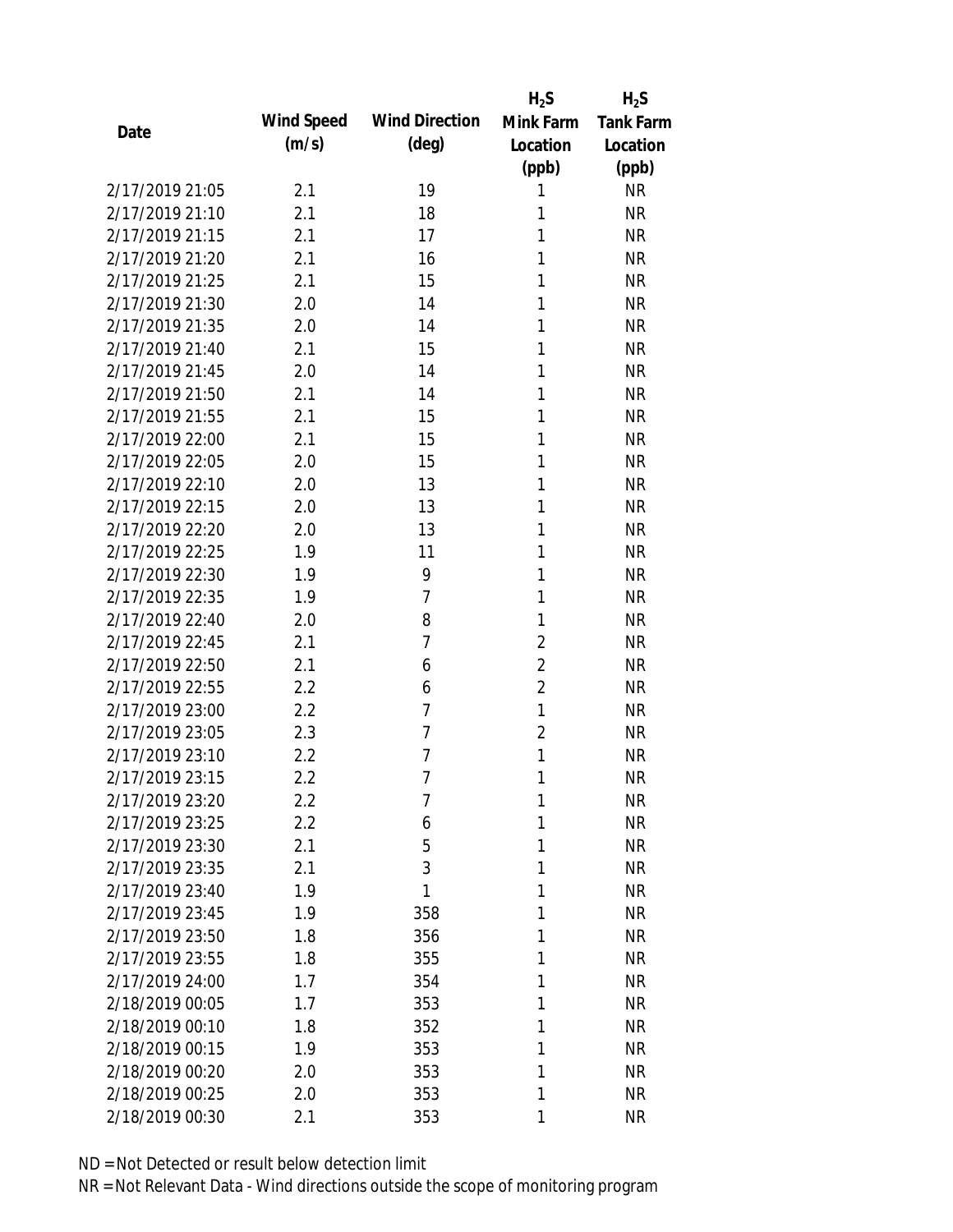|                 |            |                       | $H_2S$         | $H_2S$           |
|-----------------|------------|-----------------------|----------------|------------------|
| Date            | Wind Speed | <b>Wind Direction</b> | Mink Farm      | <b>Tank Farm</b> |
|                 | (m/s)      | $(\text{deg})$        | Location       | Location         |
|                 |            |                       | (ppb)          | (ppb)            |
| 2/17/2019 21:05 | 2.1        | 19                    | 1              | <b>NR</b>        |
| 2/17/2019 21:10 | 2.1        | 18                    | 1              | <b>NR</b>        |
| 2/17/2019 21:15 | 2.1        | 17                    | 1              | <b>NR</b>        |
| 2/17/2019 21:20 | 2.1        | 16                    | 1              | <b>NR</b>        |
| 2/17/2019 21:25 | 2.1        | 15                    | 1              | <b>NR</b>        |
| 2/17/2019 21:30 | 2.0        | 14                    | 1              | <b>NR</b>        |
| 2/17/2019 21:35 | 2.0        | 14                    | 1              | <b>NR</b>        |
| 2/17/2019 21:40 | 2.1        | 15                    | 1              | <b>NR</b>        |
| 2/17/2019 21:45 | 2.0        | 14                    | 1              | <b>NR</b>        |
| 2/17/2019 21:50 | 2.1        | 14                    | 1              | <b>NR</b>        |
| 2/17/2019 21:55 | 2.1        | 15                    | 1              | <b>NR</b>        |
| 2/17/2019 22:00 | 2.1        | 15                    | 1              | <b>NR</b>        |
| 2/17/2019 22:05 | 2.0        | 15                    | 1              | <b>NR</b>        |
| 2/17/2019 22:10 | 2.0        | 13                    | 1              | <b>NR</b>        |
| 2/17/2019 22:15 | 2.0        | 13                    | 1              | <b>NR</b>        |
| 2/17/2019 22:20 | 2.0        | 13                    | 1              | <b>NR</b>        |
| 2/17/2019 22:25 | 1.9        | 11                    | 1              | <b>NR</b>        |
| 2/17/2019 22:30 | 1.9        | 9                     | 1              | <b>NR</b>        |
| 2/17/2019 22:35 | 1.9        | $\overline{7}$        | 1              | <b>NR</b>        |
| 2/17/2019 22:40 | 2.0        | 8                     | 1              | <b>NR</b>        |
| 2/17/2019 22:45 | 2.1        | 7                     | $\overline{2}$ | <b>NR</b>        |
| 2/17/2019 22:50 | 2.1        | 6                     | $\overline{2}$ | <b>NR</b>        |
| 2/17/2019 22:55 | 2.2        | 6                     | $\overline{2}$ | <b>NR</b>        |
| 2/17/2019 23:00 | 2.2        | $\overline{7}$        | $\mathbf{1}$   | <b>NR</b>        |
| 2/17/2019 23:05 | 2.3        | $\overline{7}$        | $\overline{2}$ | <b>NR</b>        |
| 2/17/2019 23:10 | 2.2        | 7                     | 1              | <b>NR</b>        |
| 2/17/2019 23:15 | 2.2        | $\overline{7}$        | 1              | <b>NR</b>        |
| 2/17/2019 23:20 | 2.2        | 7                     | 1              | <b>NR</b>        |
| 2/17/2019 23:25 | 2.2        | 6                     | 1              | <b>NR</b>        |
| 2/17/2019 23:30 | 2.1        | 5                     | 1              | <b>NR</b>        |
| 2/17/2019 23:35 | 2.1        | 3                     | 1              | <b>NR</b>        |
| 2/17/2019 23:40 | 1.9        | 1                     | 1              | <b>NR</b>        |
| 2/17/2019 23:45 | 1.9        | 358                   | 1              | <b>NR</b>        |
| 2/17/2019 23:50 | 1.8        | 356                   | 1              | <b>NR</b>        |
| 2/17/2019 23:55 | 1.8        | 355                   | 1              | <b>NR</b>        |
| 2/17/2019 24:00 | 1.7        | 354                   | 1              | <b>NR</b>        |
| 2/18/2019 00:05 | 1.7        | 353                   | 1              | <b>NR</b>        |
| 2/18/2019 00:10 | 1.8        | 352                   | 1              | <b>NR</b>        |
| 2/18/2019 00:15 | 1.9        | 353                   | 1              | <b>NR</b>        |
| 2/18/2019 00:20 | 2.0        | 353                   | 1              | <b>NR</b>        |
| 2/18/2019 00:25 | 2.0        | 353                   | 1              | <b>NR</b>        |
| 2/18/2019 00:30 | 2.1        | 353                   | 1              | <b>NR</b>        |
|                 |            |                       |                |                  |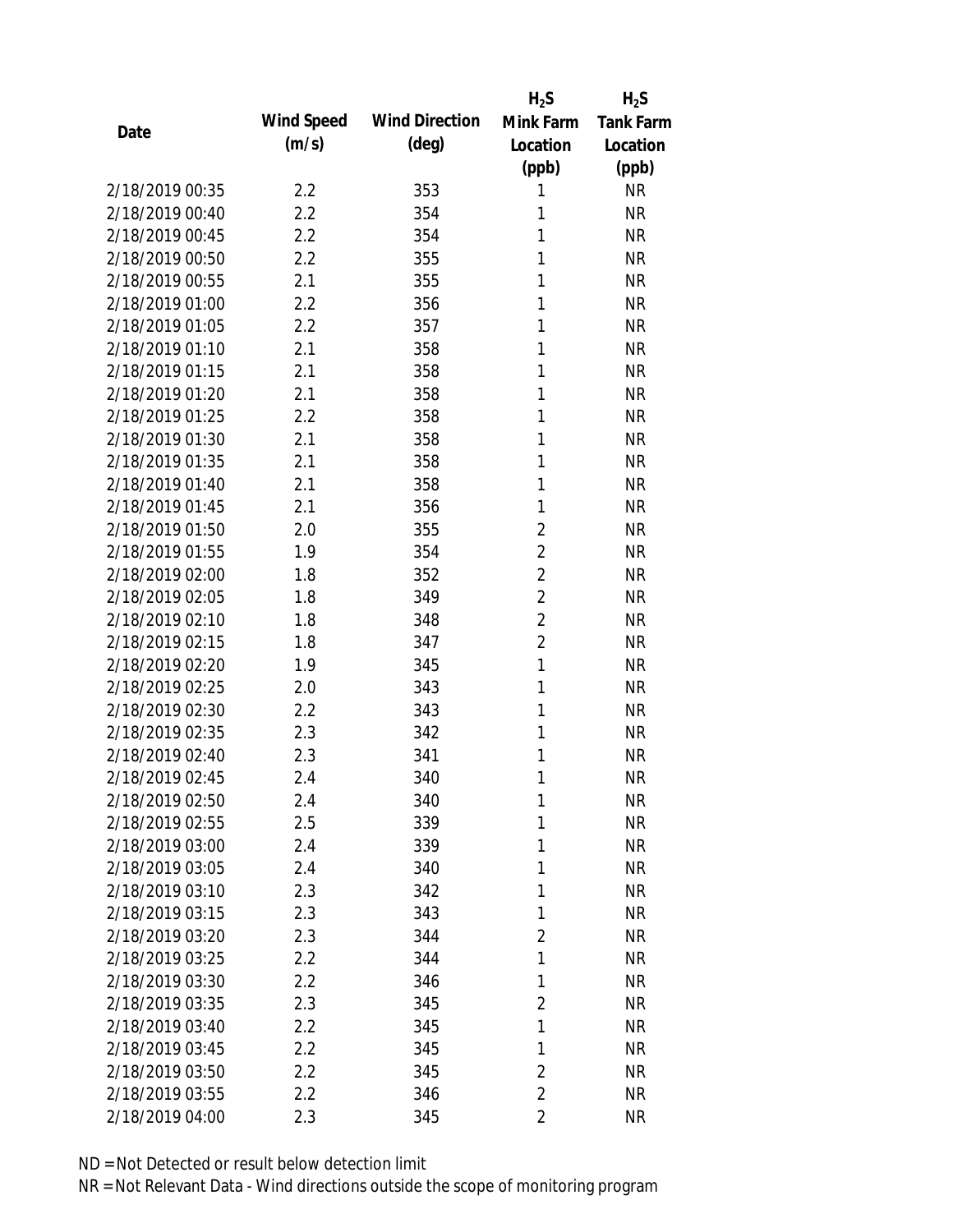|                 |            |                       | $H_2S$         | $H_2S$           |
|-----------------|------------|-----------------------|----------------|------------------|
| Date            | Wind Speed | <b>Wind Direction</b> | Mink Farm      | <b>Tank Farm</b> |
|                 | (m/s)      | $(\text{deg})$        | Location       | Location         |
|                 |            |                       | (ppb)          | (ppb)            |
| 2/18/2019 00:35 | 2.2        | 353                   | 1              | <b>NR</b>        |
| 2/18/2019 00:40 | 2.2        | 354                   | 1              | <b>NR</b>        |
| 2/18/2019 00:45 | 2.2        | 354                   | 1              | <b>NR</b>        |
| 2/18/2019 00:50 | 2.2        | 355                   | 1              | <b>NR</b>        |
| 2/18/2019 00:55 | 2.1        | 355                   | 1              | <b>NR</b>        |
| 2/18/2019 01:00 | 2.2        | 356                   | 1              | <b>NR</b>        |
| 2/18/2019 01:05 | 2.2        | 357                   | 1              | <b>NR</b>        |
| 2/18/2019 01:10 | 2.1        | 358                   | 1              | <b>NR</b>        |
| 2/18/2019 01:15 | 2.1        | 358                   | 1              | <b>NR</b>        |
| 2/18/2019 01:20 | 2.1        | 358                   | 1              | <b>NR</b>        |
| 2/18/2019 01:25 | 2.2        | 358                   | 1              | <b>NR</b>        |
| 2/18/2019 01:30 | 2.1        | 358                   | 1              | <b>NR</b>        |
| 2/18/2019 01:35 | 2.1        | 358                   | 1              | <b>NR</b>        |
| 2/18/2019 01:40 | 2.1        | 358                   | 1              | <b>NR</b>        |
| 2/18/2019 01:45 | 2.1        | 356                   | 1              | <b>NR</b>        |
| 2/18/2019 01:50 | 2.0        | 355                   | $\overline{2}$ | <b>NR</b>        |
| 2/18/2019 01:55 | 1.9        | 354                   | $\overline{2}$ | <b>NR</b>        |
| 2/18/2019 02:00 | 1.8        | 352                   | $\overline{2}$ | <b>NR</b>        |
| 2/18/2019 02:05 | 1.8        | 349                   | $\overline{2}$ | <b>NR</b>        |
| 2/18/2019 02:10 | 1.8        | 348                   | $\overline{2}$ | <b>NR</b>        |
| 2/18/2019 02:15 | 1.8        | 347                   | $\overline{2}$ | <b>NR</b>        |
| 2/18/2019 02:20 | 1.9        | 345                   | $\mathbf{1}$   | <b>NR</b>        |
| 2/18/2019 02:25 | 2.0        | 343                   | 1              | <b>NR</b>        |
| 2/18/2019 02:30 | 2.2        | 343                   | 1              | <b>NR</b>        |
| 2/18/2019 02:35 | 2.3        | 342                   | 1              | <b>NR</b>        |
| 2/18/2019 02:40 | 2.3        | 341                   | 1              | <b>NR</b>        |
| 2/18/2019 02:45 | 2.4        | 340                   | 1              | <b>NR</b>        |
| 2/18/2019 02:50 | 2.4        | 340                   | 1              | <b>NR</b>        |
| 2/18/2019 02:55 | 2.5        | 339                   | 1              | <b>NR</b>        |
| 2/18/2019 03:00 | 2.4        | 339                   | 1              | <b>NR</b>        |
| 2/18/2019 03:05 | 2.4        | 340                   | 1              | <b>NR</b>        |
| 2/18/2019 03:10 | 2.3        | 342                   | 1              | <b>NR</b>        |
| 2/18/2019 03:15 | 2.3        | 343                   | 1              | <b>NR</b>        |
| 2/18/2019 03:20 | 2.3        | 344                   | $\overline{2}$ | <b>NR</b>        |
| 2/18/2019 03:25 | 2.2        | 344                   | 1              | <b>NR</b>        |
| 2/18/2019 03:30 | 2.2        | 346                   | 1              | <b>NR</b>        |
| 2/18/2019 03:35 | 2.3        | 345                   | $\overline{2}$ | <b>NR</b>        |
| 2/18/2019 03:40 | 2.2        | 345                   | 1              | <b>NR</b>        |
| 2/18/2019 03:45 | 2.2        | 345                   | 1              | <b>NR</b>        |
| 2/18/2019 03:50 | 2.2        | 345                   | $\overline{2}$ | <b>NR</b>        |
| 2/18/2019 03:55 | 2.2        | 346                   | $\overline{2}$ | <b>NR</b>        |
| 2/18/2019 04:00 | 2.3        | 345                   | $\overline{2}$ | <b>NR</b>        |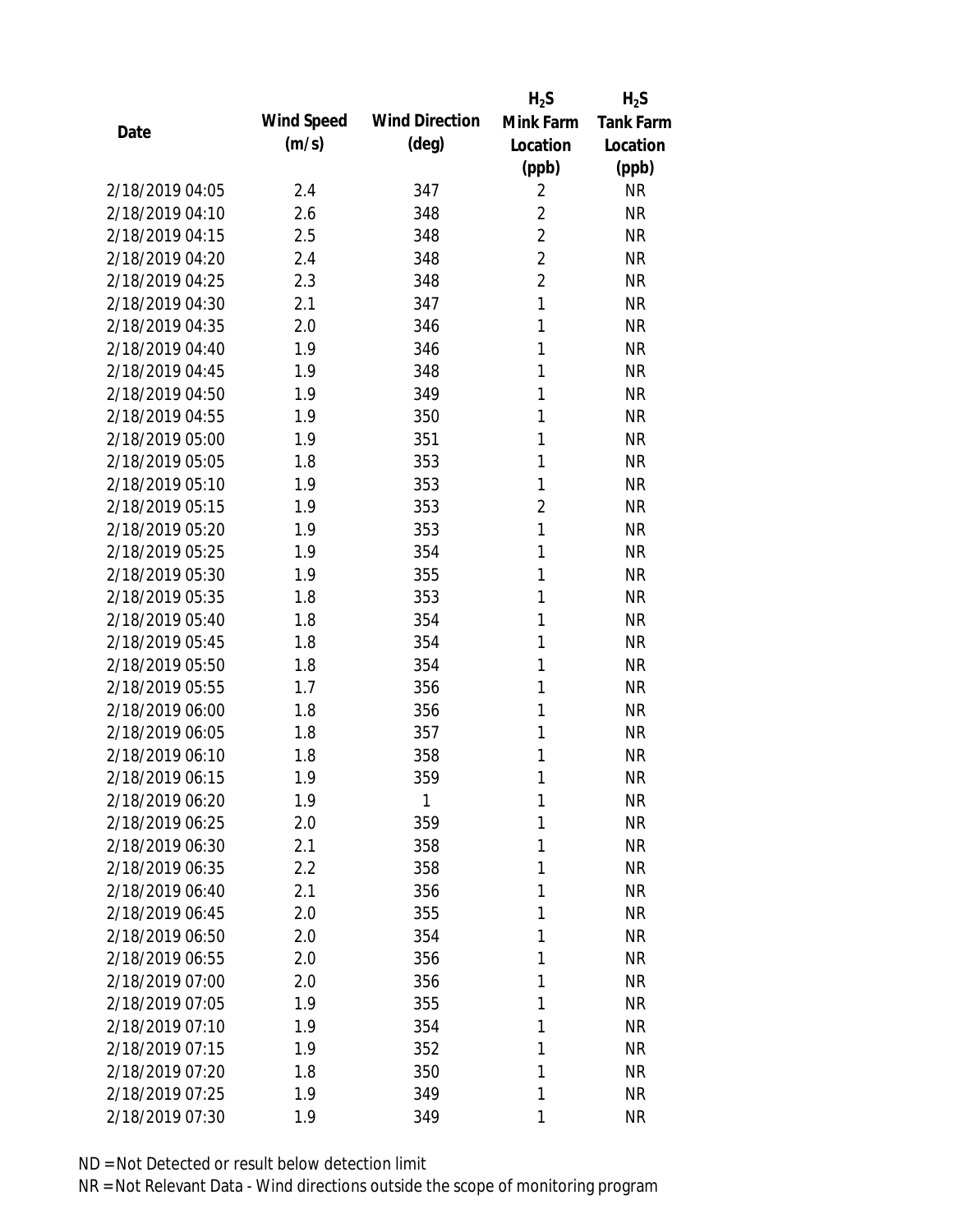|                 |            |                       | $H_2S$         | $H_2S$           |
|-----------------|------------|-----------------------|----------------|------------------|
| Date            | Wind Speed | <b>Wind Direction</b> | Mink Farm      | <b>Tank Farm</b> |
|                 | (m/s)      | $(\text{deg})$        | Location       | Location         |
|                 |            |                       | (ppb)          | (ppb)            |
| 2/18/2019 04:05 | 2.4        | 347                   | $\overline{2}$ | <b>NR</b>        |
| 2/18/2019 04:10 | 2.6        | 348                   | $\overline{2}$ | <b>NR</b>        |
| 2/18/2019 04:15 | 2.5        | 348                   | $\overline{2}$ | <b>NR</b>        |
| 2/18/2019 04:20 | 2.4        | 348                   | $\overline{2}$ | <b>NR</b>        |
| 2/18/2019 04:25 | 2.3        | 348                   | $\overline{2}$ | <b>NR</b>        |
| 2/18/2019 04:30 | 2.1        | 347                   | $\mathbf{1}$   | <b>NR</b>        |
| 2/18/2019 04:35 | 2.0        | 346                   | 1              | <b>NR</b>        |
| 2/18/2019 04:40 | 1.9        | 346                   | 1              | <b>NR</b>        |
| 2/18/2019 04:45 | 1.9        | 348                   | 1              | <b>NR</b>        |
| 2/18/2019 04:50 | 1.9        | 349                   | 1              | <b>NR</b>        |
| 2/18/2019 04:55 | 1.9        | 350                   | 1              | <b>NR</b>        |
| 2/18/2019 05:00 | 1.9        | 351                   | 1              | <b>NR</b>        |
| 2/18/2019 05:05 | 1.8        | 353                   | 1              | <b>NR</b>        |
| 2/18/2019 05:10 | 1.9        | 353                   | 1              | <b>NR</b>        |
| 2/18/2019 05:15 | 1.9        | 353                   | $\overline{2}$ | <b>NR</b>        |
| 2/18/2019 05:20 | 1.9        | 353                   | $\mathbf{1}$   | <b>NR</b>        |
| 2/18/2019 05:25 | 1.9        | 354                   | 1              | <b>NR</b>        |
| 2/18/2019 05:30 | 1.9        | 355                   | 1              | <b>NR</b>        |
| 2/18/2019 05:35 | 1.8        | 353                   | 1              | <b>NR</b>        |
| 2/18/2019 05:40 | 1.8        | 354                   | 1              | <b>NR</b>        |
| 2/18/2019 05:45 | 1.8        | 354                   | 1              | <b>NR</b>        |
| 2/18/2019 05:50 | 1.8        | 354                   | 1              | <b>NR</b>        |
| 2/18/2019 05:55 | 1.7        | 356                   | 1              | <b>NR</b>        |
| 2/18/2019 06:00 | 1.8        | 356                   | 1              | <b>NR</b>        |
| 2/18/2019 06:05 | 1.8        | 357                   | 1              | <b>NR</b>        |
| 2/18/2019 06:10 | 1.8        | 358                   | 1              | <b>NR</b>        |
| 2/18/2019 06:15 | 1.9        | 359                   | 1              | <b>NR</b>        |
| 2/18/2019 06:20 | 1.9        | 1                     | 1              | <b>NR</b>        |
| 2/18/2019 06:25 | 2.0        | 359                   | 1              | <b>NR</b>        |
| 2/18/2019 06:30 | 2.1        | 358                   | 1              | <b>NR</b>        |
| 2/18/2019 06:35 | 2.2        | 358                   | 1              | <b>NR</b>        |
| 2/18/2019 06:40 | 2.1        | 356                   | 1              | <b>NR</b>        |
| 2/18/2019 06:45 | 2.0        | 355                   | 1              | <b>NR</b>        |
| 2/18/2019 06:50 | 2.0        | 354                   | 1              | <b>NR</b>        |
| 2/18/2019 06:55 | 2.0        | 356                   | 1              | <b>NR</b>        |
| 2/18/2019 07:00 | 2.0        | 356                   | 1              | <b>NR</b>        |
| 2/18/2019 07:05 | 1.9        | 355                   | 1              | <b>NR</b>        |
| 2/18/2019 07:10 | 1.9        | 354                   | 1              | <b>NR</b>        |
| 2/18/2019 07:15 | 1.9        | 352                   | 1              | <b>NR</b>        |
| 2/18/2019 07:20 | 1.8        | 350                   | 1              | <b>NR</b>        |
| 2/18/2019 07:25 | 1.9        | 349                   | 1              | <b>NR</b>        |
| 2/18/2019 07:30 | 1.9        | 349                   | 1              | <b>NR</b>        |
|                 |            |                       |                |                  |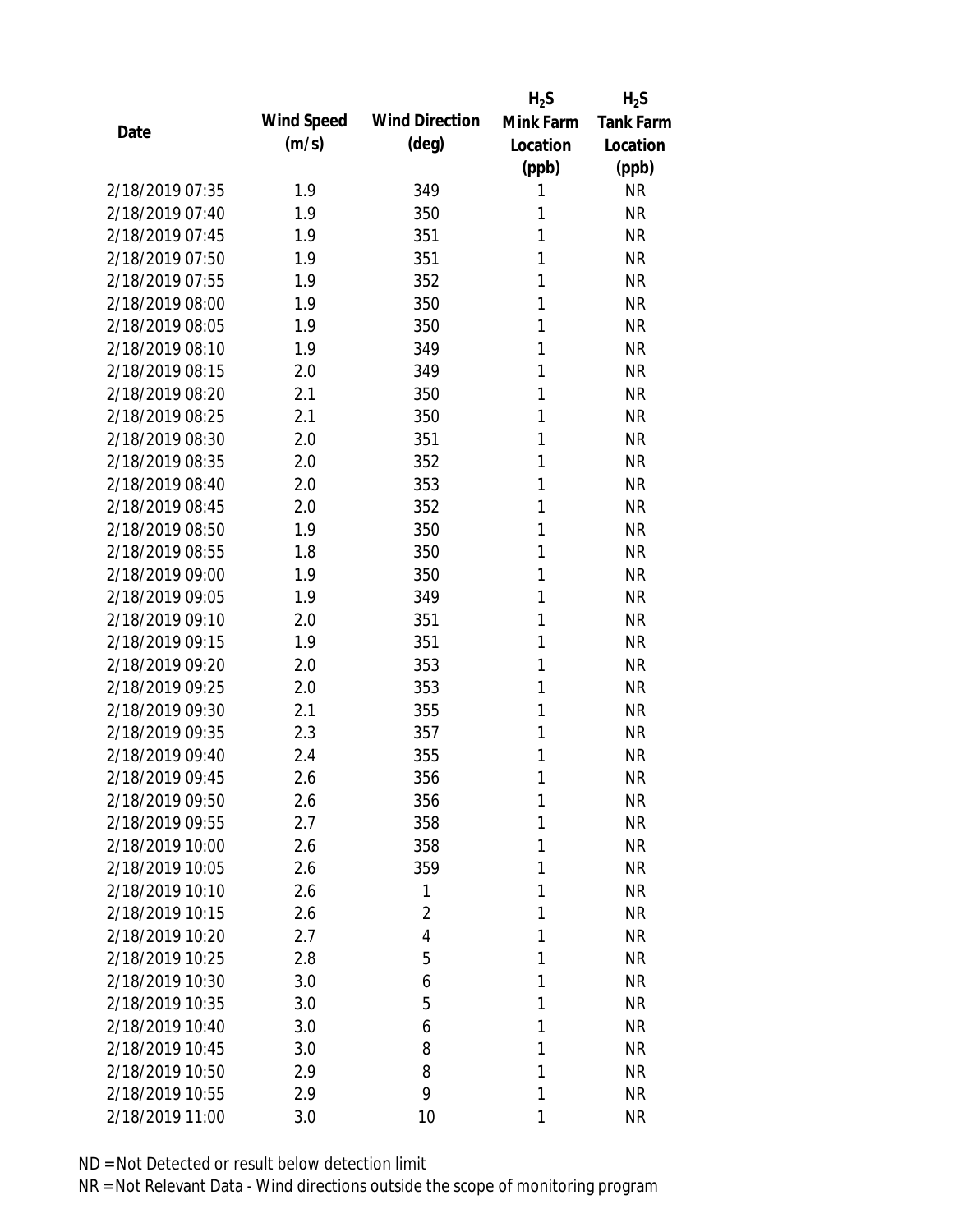|                 |            |                       | $H_2S$    | $H_2S$           |
|-----------------|------------|-----------------------|-----------|------------------|
| Date            | Wind Speed | <b>Wind Direction</b> | Mink Farm | <b>Tank Farm</b> |
|                 | (m/s)      | $(\text{deg})$        | Location  | Location         |
|                 |            |                       | (ppb)     | (ppb)            |
| 2/18/2019 07:35 | 1.9        | 349                   | 1         | <b>NR</b>        |
| 2/18/2019 07:40 | 1.9        | 350                   | 1         | <b>NR</b>        |
| 2/18/2019 07:45 | 1.9        | 351                   | 1         | <b>NR</b>        |
| 2/18/2019 07:50 | 1.9        | 351                   | 1         | <b>NR</b>        |
| 2/18/2019 07:55 | 1.9        | 352                   | 1         | <b>NR</b>        |
| 2/18/2019 08:00 | 1.9        | 350                   | 1         | <b>NR</b>        |
| 2/18/2019 08:05 | 1.9        | 350                   | 1         | <b>NR</b>        |
| 2/18/2019 08:10 | 1.9        | 349                   | 1         | <b>NR</b>        |
| 2/18/2019 08:15 | 2.0        | 349                   | 1         | <b>NR</b>        |
| 2/18/2019 08:20 | 2.1        | 350                   | 1         | <b>NR</b>        |
| 2/18/2019 08:25 | 2.1        | 350                   | 1         | <b>NR</b>        |
| 2/18/2019 08:30 | 2.0        | 351                   | 1         | <b>NR</b>        |
| 2/18/2019 08:35 | 2.0        | 352                   | 1         | <b>NR</b>        |
| 2/18/2019 08:40 | 2.0        | 353                   | 1         | <b>NR</b>        |
| 2/18/2019 08:45 | 2.0        | 352                   | 1         | <b>NR</b>        |
| 2/18/2019 08:50 | 1.9        | 350                   | 1         | <b>NR</b>        |
| 2/18/2019 08:55 | 1.8        | 350                   | 1         | <b>NR</b>        |
| 2/18/2019 09:00 | 1.9        | 350                   | 1         | <b>NR</b>        |
| 2/18/2019 09:05 | 1.9        | 349                   | 1         | <b>NR</b>        |
| 2/18/2019 09:10 | 2.0        | 351                   | 1         | <b>NR</b>        |
| 2/18/2019 09:15 | 1.9        | 351                   | 1         | <b>NR</b>        |
| 2/18/2019 09:20 | 2.0        | 353                   | 1         | <b>NR</b>        |
| 2/18/2019 09:25 | 2.0        | 353                   | 1         | <b>NR</b>        |
| 2/18/2019 09:30 | 2.1        | 355                   | 1         | <b>NR</b>        |
| 2/18/2019 09:35 | 2.3        | 357                   | 1         | <b>NR</b>        |
| 2/18/2019 09:40 | 2.4        | 355                   | 1         | <b>NR</b>        |
| 2/18/2019 09:45 | 2.6        | 356                   | 1         | <b>NR</b>        |
| 2/18/2019 09:50 | 2.6        | 356                   | 1         | <b>NR</b>        |
| 2/18/2019 09:55 | 2.7        | 358                   | 1         | <b>NR</b>        |
| 2/18/2019 10:00 | 2.6        | 358                   | 1         | <b>NR</b>        |
| 2/18/2019 10:05 | 2.6        | 359                   | 1         | <b>NR</b>        |
| 2/18/2019 10:10 | 2.6        | 1                     | 1         | <b>NR</b>        |
| 2/18/2019 10:15 | 2.6        | 2                     | 1         | <b>NR</b>        |
| 2/18/2019 10:20 | 2.7        | 4                     | 1         | <b>NR</b>        |
| 2/18/2019 10:25 | 2.8        | 5                     | 1         | <b>NR</b>        |
| 2/18/2019 10:30 | 3.0        | 6                     | 1         | <b>NR</b>        |
| 2/18/2019 10:35 | 3.0        | 5                     | 1         | <b>NR</b>        |
| 2/18/2019 10:40 | 3.0        | 6                     | 1         | <b>NR</b>        |
| 2/18/2019 10:45 | 3.0        | 8                     | 1         | <b>NR</b>        |
| 2/18/2019 10:50 | 2.9        | 8                     | 1         | <b>NR</b>        |
| 2/18/2019 10:55 | 2.9        | 9                     | 1         | <b>NR</b>        |
| 2/18/2019 11:00 | 3.0        | 10                    | 1         | <b>NR</b>        |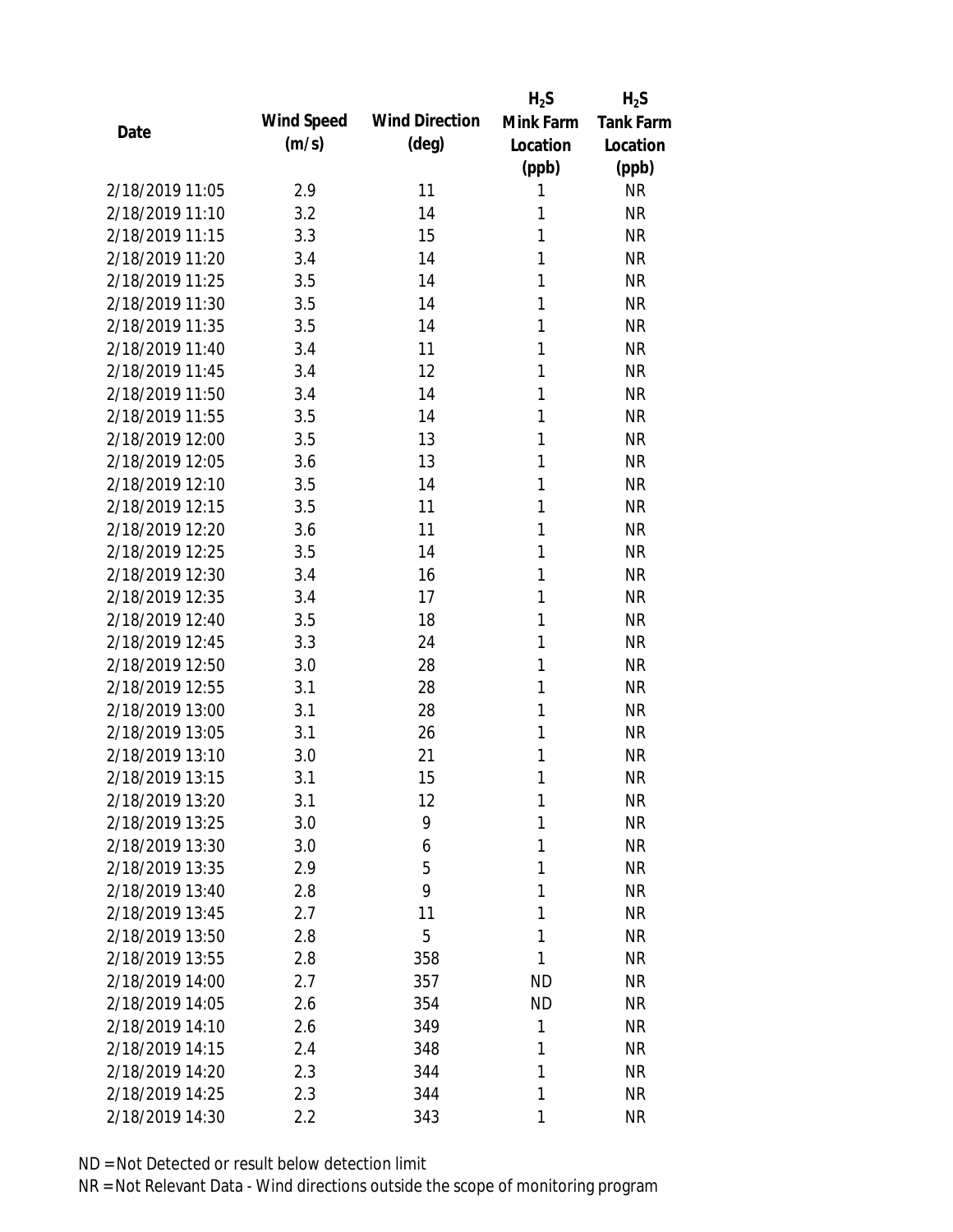|                 |            |                       | $H_2S$    | $H_2S$           |
|-----------------|------------|-----------------------|-----------|------------------|
| Date            | Wind Speed | <b>Wind Direction</b> | Mink Farm | <b>Tank Farm</b> |
|                 | (m/s)      | (deg)                 | Location  | Location         |
|                 |            |                       | (ppb)     | (ppb)            |
| 2/18/2019 11:05 | 2.9        | 11                    | 1         | <b>NR</b>        |
| 2/18/2019 11:10 | 3.2        | 14                    | 1         | <b>NR</b>        |
| 2/18/2019 11:15 | 3.3        | 15                    | 1         | <b>NR</b>        |
| 2/18/2019 11:20 | 3.4        | 14                    | 1         | <b>NR</b>        |
| 2/18/2019 11:25 | 3.5        | 14                    | 1         | <b>NR</b>        |
| 2/18/2019 11:30 | 3.5        | 14                    | 1         | <b>NR</b>        |
| 2/18/2019 11:35 | 3.5        | 14                    | 1         | <b>NR</b>        |
| 2/18/2019 11:40 | 3.4        | 11                    | 1         | <b>NR</b>        |
| 2/18/2019 11:45 | 3.4        | 12                    | 1         | <b>NR</b>        |
| 2/18/2019 11:50 | 3.4        | 14                    | 1         | <b>NR</b>        |
| 2/18/2019 11:55 | 3.5        | 14                    | 1         | <b>NR</b>        |
| 2/18/2019 12:00 | 3.5        | 13                    | 1         | <b>NR</b>        |
| 2/18/2019 12:05 | 3.6        | 13                    | 1         | <b>NR</b>        |
| 2/18/2019 12:10 | 3.5        | 14                    | 1         | <b>NR</b>        |
| 2/18/2019 12:15 | 3.5        | 11                    | 1         | <b>NR</b>        |
| 2/18/2019 12:20 | 3.6        | 11                    | 1         | <b>NR</b>        |
| 2/18/2019 12:25 | 3.5        | 14                    | 1         | <b>NR</b>        |
| 2/18/2019 12:30 | 3.4        | 16                    | 1         | <b>NR</b>        |
| 2/18/2019 12:35 | 3.4        | 17                    | 1         | <b>NR</b>        |
| 2/18/2019 12:40 | 3.5        | 18                    | 1         | <b>NR</b>        |
| 2/18/2019 12:45 | 3.3        | 24                    | 1         | <b>NR</b>        |
| 2/18/2019 12:50 | 3.0        | 28                    | 1         | <b>NR</b>        |
| 2/18/2019 12:55 | 3.1        | 28                    | 1         | <b>NR</b>        |
| 2/18/2019 13:00 | 3.1        | 28                    | 1         | <b>NR</b>        |
| 2/18/2019 13:05 | 3.1        | 26                    | 1         | <b>NR</b>        |
| 2/18/2019 13:10 | 3.0        | 21                    | 1         | <b>NR</b>        |
| 2/18/2019 13:15 | 3.1        | 15                    | 1         | <b>NR</b>        |
| 2/18/2019 13:20 | 3.1        | 12                    | 1         | <b>NR</b>        |
| 2/18/2019 13:25 | 3.0        | 9                     | 1         | <b>NR</b>        |
| 2/18/2019 13:30 | 3.0        | 6                     | 1         | NR               |
| 2/18/2019 13:35 | 2.9        | 5                     | 1         | <b>NR</b>        |
| 2/18/2019 13:40 | 2.8        | 9                     | 1         | NR               |
| 2/18/2019 13:45 | 2.7        | 11                    | 1         | NR               |
| 2/18/2019 13:50 | 2.8        | 5                     | 1         | <b>NR</b>        |
| 2/18/2019 13:55 | 2.8        | 358                   | 1         | <b>NR</b>        |
| 2/18/2019 14:00 | 2.7        | 357                   | <b>ND</b> | <b>NR</b>        |
| 2/18/2019 14:05 | 2.6        | 354                   | <b>ND</b> | <b>NR</b>        |
| 2/18/2019 14:10 | 2.6        | 349                   | 1         | <b>NR</b>        |
| 2/18/2019 14:15 | 2.4        | 348                   | 1         | <b>NR</b>        |
| 2/18/2019 14:20 | 2.3        | 344                   | 1         | <b>NR</b>        |
| 2/18/2019 14:25 | 2.3        | 344                   | 1         | <b>NR</b>        |
| 2/18/2019 14:30 | 2.2        | 343                   | 1         | <b>NR</b>        |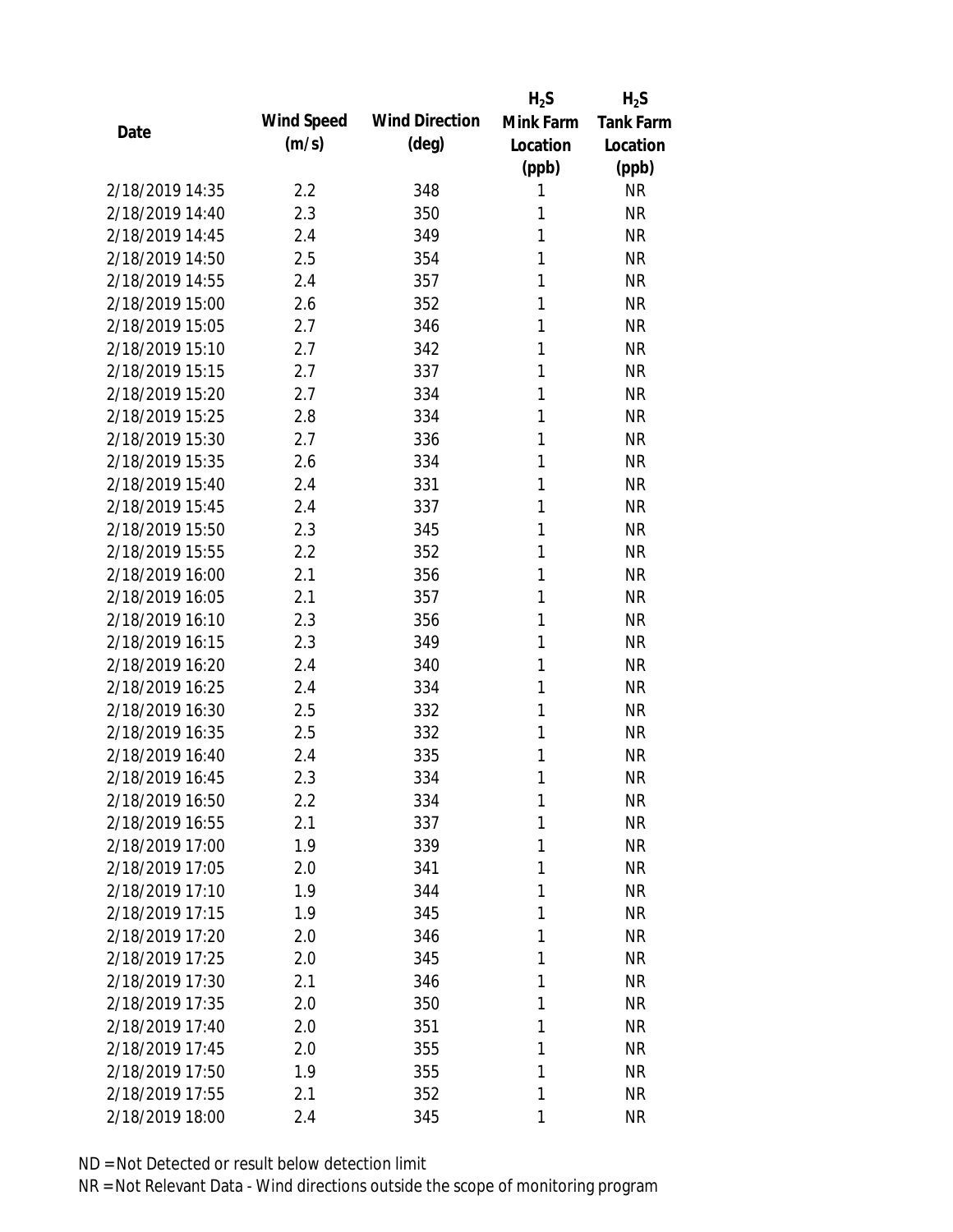|                 |            |                       | $H_2S$       | $H_2S$           |
|-----------------|------------|-----------------------|--------------|------------------|
| Date            | Wind Speed | <b>Wind Direction</b> | Mink Farm    | <b>Tank Farm</b> |
|                 | (m/s)      | $(\text{deg})$        | Location     | Location         |
|                 |            |                       | (ppb)        | (ppb)            |
| 2/18/2019 14:35 | 2.2        | 348                   | 1            | <b>NR</b>        |
| 2/18/2019 14:40 | 2.3        | 350                   | 1            | <b>NR</b>        |
| 2/18/2019 14:45 | 2.4        | 349                   | 1            | <b>NR</b>        |
| 2/18/2019 14:50 | 2.5        | 354                   | 1            | <b>NR</b>        |
| 2/18/2019 14:55 | 2.4        | 357                   | 1            | <b>NR</b>        |
| 2/18/2019 15:00 | 2.6        | 352                   | 1            | <b>NR</b>        |
| 2/18/2019 15:05 | 2.7        | 346                   | 1            | <b>NR</b>        |
| 2/18/2019 15:10 | 2.7        | 342                   | 1            | <b>NR</b>        |
| 2/18/2019 15:15 | 2.7        | 337                   | 1            | <b>NR</b>        |
| 2/18/2019 15:20 | 2.7        | 334                   | 1            | <b>NR</b>        |
| 2/18/2019 15:25 | 2.8        | 334                   | 1            | <b>NR</b>        |
| 2/18/2019 15:30 | 2.7        | 336                   | 1            | <b>NR</b>        |
| 2/18/2019 15:35 | 2.6        | 334                   | 1            | <b>NR</b>        |
| 2/18/2019 15:40 | 2.4        | 331                   | 1            | <b>NR</b>        |
| 2/18/2019 15:45 | 2.4        | 337                   | 1            | <b>NR</b>        |
| 2/18/2019 15:50 | 2.3        | 345                   | 1            | <b>NR</b>        |
| 2/18/2019 15:55 | 2.2        | 352                   | 1            | <b>NR</b>        |
| 2/18/2019 16:00 | 2.1        | 356                   | 1            | <b>NR</b>        |
| 2/18/2019 16:05 | 2.1        | 357                   | 1            | <b>NR</b>        |
| 2/18/2019 16:10 | 2.3        | 356                   | 1            | <b>NR</b>        |
| 2/18/2019 16:15 | 2.3        | 349                   | 1            | <b>NR</b>        |
| 2/18/2019 16:20 | 2.4        | 340                   | 1            | <b>NR</b>        |
| 2/18/2019 16:25 | 2.4        | 334                   | 1            | <b>NR</b>        |
| 2/18/2019 16:30 | 2.5        | 332                   | 1            | <b>NR</b>        |
| 2/18/2019 16:35 | 2.5        | 332                   | 1            | <b>NR</b>        |
| 2/18/2019 16:40 | 2.4        | 335                   | 1            | <b>NR</b>        |
| 2/18/2019 16:45 | 2.3        | 334                   | 1            | <b>NR</b>        |
| 2/18/2019 16:50 | 2.2        | 334                   | $\mathbf{1}$ | <b>NR</b>        |
| 2/18/2019 16:55 | 2.1        | 337                   | 1            | <b>NR</b>        |
| 2/18/2019 17:00 | 1.9        | 339                   | 1            | <b>NR</b>        |
| 2/18/2019 17:05 | 2.0        | 341                   | 1            | <b>NR</b>        |
| 2/18/2019 17:10 | 1.9        | 344                   | 1            | <b>NR</b>        |
| 2/18/2019 17:15 | 1.9        | 345                   | 1            | <b>NR</b>        |
| 2/18/2019 17:20 | 2.0        | 346                   | 1            | <b>NR</b>        |
| 2/18/2019 17:25 | 2.0        | 345                   | 1            | <b>NR</b>        |
| 2/18/2019 17:30 | 2.1        | 346                   | 1            | <b>NR</b>        |
| 2/18/2019 17:35 | 2.0        | 350                   | 1            | <b>NR</b>        |
| 2/18/2019 17:40 | 2.0        | 351                   | 1            | <b>NR</b>        |
| 2/18/2019 17:45 | 2.0        | 355                   | 1            | <b>NR</b>        |
| 2/18/2019 17:50 | 1.9        | 355                   | 1            | <b>NR</b>        |
| 2/18/2019 17:55 | 2.1        | 352                   | 1            | <b>NR</b>        |
| 2/18/2019 18:00 | 2.4        | 345                   | 1            | <b>NR</b>        |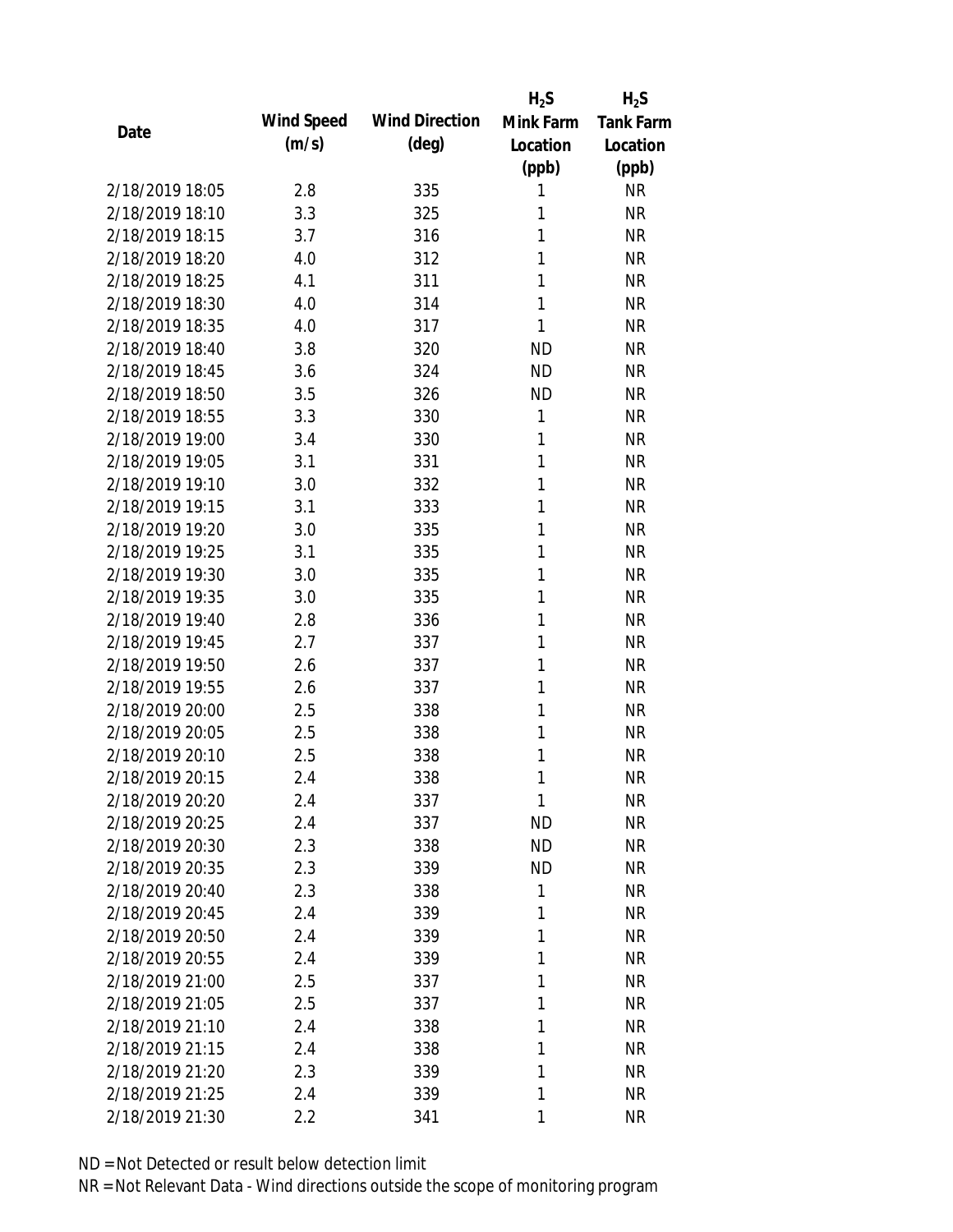|      |                 |            |                       | $H_2S$       | $H_2S$           |
|------|-----------------|------------|-----------------------|--------------|------------------|
|      |                 | Wind Speed | <b>Wind Direction</b> | Mink Farm    | <b>Tank Farm</b> |
| Date |                 | (m/s)      | $(\text{deg})$        | Location     | Location         |
|      |                 |            |                       | (ppb)        | (ppb)            |
|      | 2/18/2019 18:05 | 2.8        | 335                   | 1            | <b>NR</b>        |
|      | 2/18/2019 18:10 | 3.3        | 325                   | 1            | <b>NR</b>        |
|      | 2/18/2019 18:15 | 3.7        | 316                   | 1            | <b>NR</b>        |
|      | 2/18/2019 18:20 | 4.0        | 312                   | 1            | <b>NR</b>        |
|      | 2/18/2019 18:25 | 4.1        | 311                   | 1            | <b>NR</b>        |
|      | 2/18/2019 18:30 | 4.0        | 314                   | 1            | <b>NR</b>        |
|      | 2/18/2019 18:35 | 4.0        | 317                   | 1            | <b>NR</b>        |
|      | 2/18/2019 18:40 | 3.8        | 320                   | <b>ND</b>    | <b>NR</b>        |
|      | 2/18/2019 18:45 | 3.6        | 324                   | <b>ND</b>    | <b>NR</b>        |
|      | 2/18/2019 18:50 | 3.5        | 326                   | <b>ND</b>    | <b>NR</b>        |
|      | 2/18/2019 18:55 | 3.3        | 330                   | 1            | <b>NR</b>        |
|      | 2/18/2019 19:00 | 3.4        | 330                   | 1            | <b>NR</b>        |
|      | 2/18/2019 19:05 | 3.1        | 331                   | 1            | <b>NR</b>        |
|      | 2/18/2019 19:10 | 3.0        | 332                   | 1            | <b>NR</b>        |
|      | 2/18/2019 19:15 | 3.1        | 333                   | 1            | <b>NR</b>        |
|      | 2/18/2019 19:20 | 3.0        | 335                   | 1            | <b>NR</b>        |
|      | 2/18/2019 19:25 | 3.1        | 335                   | 1            | <b>NR</b>        |
|      | 2/18/2019 19:30 | 3.0        | 335                   | 1            | <b>NR</b>        |
|      | 2/18/2019 19:35 | 3.0        | 335                   | 1            | <b>NR</b>        |
|      | 2/18/2019 19:40 | 2.8        | 336                   | 1            | <b>NR</b>        |
|      | 2/18/2019 19:45 | 2.7        | 337                   | 1            | <b>NR</b>        |
|      | 2/18/2019 19:50 | 2.6        | 337                   | 1            | <b>NR</b>        |
|      | 2/18/2019 19:55 | 2.6        | 337                   | 1            | <b>NR</b>        |
|      | 2/18/2019 20:00 | 2.5        | 338                   | 1            | <b>NR</b>        |
|      | 2/18/2019 20:05 | 2.5        | 338                   | 1            | <b>NR</b>        |
|      | 2/18/2019 20:10 | 2.5        | 338                   | 1            | <b>NR</b>        |
|      | 2/18/2019 20:15 | 2.4        | 338                   | 1            | <b>NR</b>        |
|      | 2/18/2019 20:20 | 2.4        | 337                   | $\mathbf{1}$ | <b>NR</b>        |
|      | 2/18/2019 20:25 | 2.4        | 337                   | <b>ND</b>    | <b>NR</b>        |
|      | 2/18/2019 20:30 | 2.3        | 338                   | <b>ND</b>    | <b>NR</b>        |
|      | 2/18/2019 20:35 | 2.3        | 339                   | <b>ND</b>    | <b>NR</b>        |
|      | 2/18/2019 20:40 | 2.3        | 338                   | $\mathbf{1}$ | <b>NR</b>        |
|      | 2/18/2019 20:45 | 2.4        | 339                   | 1            | <b>NR</b>        |
|      | 2/18/2019 20:50 | 2.4        | 339                   | 1            | <b>NR</b>        |
|      | 2/18/2019 20:55 | 2.4        | 339                   | 1            | <b>NR</b>        |
|      | 2/18/2019 21:00 | 2.5        | 337                   | 1            | <b>NR</b>        |
|      | 2/18/2019 21:05 | 2.5        | 337                   | 1            | <b>NR</b>        |
|      | 2/18/2019 21:10 | 2.4        | 338                   | 1            | <b>NR</b>        |
|      | 2/18/2019 21:15 | 2.4        | 338                   | 1            | <b>NR</b>        |
|      | 2/18/2019 21:20 | 2.3        | 339                   | 1            | <b>NR</b>        |
|      | 2/18/2019 21:25 | 2.4        | 339                   | 1            | <b>NR</b>        |
|      | 2/18/2019 21:30 | 2.2        | 341                   | 1            | <b>NR</b>        |
|      |                 |            |                       |              |                  |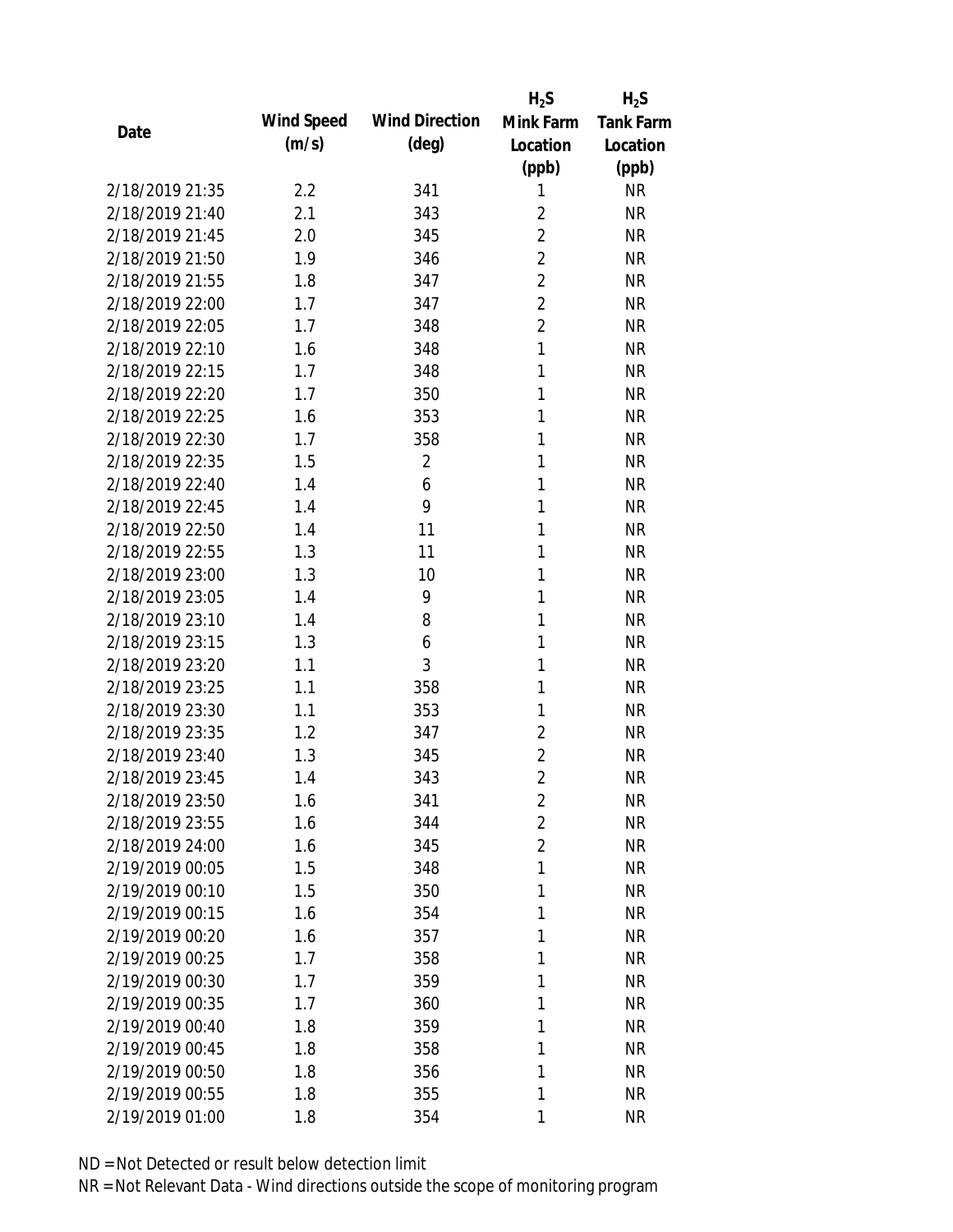|                 |            |                       | $H_2S$         | $H_2S$           |
|-----------------|------------|-----------------------|----------------|------------------|
| Date            | Wind Speed | <b>Wind Direction</b> | Mink Farm      | <b>Tank Farm</b> |
|                 | (m/s)      | $(\text{deg})$        | Location       | Location         |
|                 |            |                       | (ppb)          | (ppb)            |
| 2/18/2019 21:35 | 2.2        | 341                   | 1              | <b>NR</b>        |
| 2/18/2019 21:40 | 2.1        | 343                   | $\overline{2}$ | <b>NR</b>        |
| 2/18/2019 21:45 | 2.0        | 345                   | $\overline{2}$ | <b>NR</b>        |
| 2/18/2019 21:50 | 1.9        | 346                   | $\overline{2}$ | <b>NR</b>        |
| 2/18/2019 21:55 | 1.8        | 347                   | $\overline{2}$ | <b>NR</b>        |
| 2/18/2019 22:00 | 1.7        | 347                   | $\overline{2}$ | <b>NR</b>        |
| 2/18/2019 22:05 | 1.7        | 348                   | $\overline{2}$ | <b>NR</b>        |
| 2/18/2019 22:10 | 1.6        | 348                   | $\mathbf{1}$   | <b>NR</b>        |
| 2/18/2019 22:15 | 1.7        | 348                   | 1              | <b>NR</b>        |
| 2/18/2019 22:20 | 1.7        | 350                   | 1              | <b>NR</b>        |
| 2/18/2019 22:25 | 1.6        | 353                   | 1              | <b>NR</b>        |
| 2/18/2019 22:30 | 1.7        | 358                   | 1              | <b>NR</b>        |
| 2/18/2019 22:35 | 1.5        | $\overline{2}$        | 1              | <b>NR</b>        |
| 2/18/2019 22:40 | 1.4        | 6                     | 1              | <b>NR</b>        |
| 2/18/2019 22:45 | 1.4        | 9                     | 1              | <b>NR</b>        |
| 2/18/2019 22:50 | 1.4        | 11                    | 1              | <b>NR</b>        |
| 2/18/2019 22:55 | 1.3        | 11                    | 1              | <b>NR</b>        |
| 2/18/2019 23:00 | 1.3        | 10                    | 1              | <b>NR</b>        |
| 2/18/2019 23:05 | 1.4        | 9                     | $\mathbf{1}$   | <b>NR</b>        |
| 2/18/2019 23:10 | 1.4        | 8                     | 1              | <b>NR</b>        |
| 2/18/2019 23:15 | 1.3        | 6                     | 1              | <b>NR</b>        |
| 2/18/2019 23:20 | 1.1        | 3                     | 1              | <b>NR</b>        |
| 2/18/2019 23:25 | 1.1        | 358                   | 1              | <b>NR</b>        |
| 2/18/2019 23:30 | 1.1        | 353                   | 1              | <b>NR</b>        |
| 2/18/2019 23:35 | 1.2        | 347                   | 2              | <b>NR</b>        |
| 2/18/2019 23:40 | 1.3        | 345                   | 2              | <b>NR</b>        |
| 2/18/2019 23:45 | 1.4        | 343                   | $\overline{2}$ | <b>NR</b>        |
| 2/18/2019 23:50 | 1.6        | 341                   | $\overline{2}$ | <b>NR</b>        |
| 2/18/2019 23:55 | 1.6        | 344                   | $\overline{2}$ | <b>NR</b>        |
| 2/18/2019 24:00 | 1.6        | 345                   | $\overline{2}$ | <b>NR</b>        |
| 2/19/2019 00:05 | 1.5        | 348                   | 1              | <b>NR</b>        |
| 2/19/2019 00:10 | 1.5        | 350                   | 1              | NR               |
| 2/19/2019 00:15 | 1.6        | 354                   | 1              | <b>NR</b>        |
| 2/19/2019 00:20 | 1.6        | 357                   | 1              | <b>NR</b>        |
| 2/19/2019 00:25 | 1.7        | 358                   | 1              | <b>NR</b>        |
| 2/19/2019 00:30 | 1.7        | 359                   | 1              | <b>NR</b>        |
| 2/19/2019 00:35 | 1.7        | 360                   | 1              | <b>NR</b>        |
| 2/19/2019 00:40 | 1.8        | 359                   | 1              | <b>NR</b>        |
| 2/19/2019 00:45 | 1.8        | 358                   | 1              | <b>NR</b>        |
| 2/19/2019 00:50 | 1.8        | 356                   | 1              | <b>NR</b>        |
| 2/19/2019 00:55 | 1.8        | 355                   | 1              | <b>NR</b>        |
| 2/19/2019 01:00 | 1.8        | 354                   | 1              | <b>NR</b>        |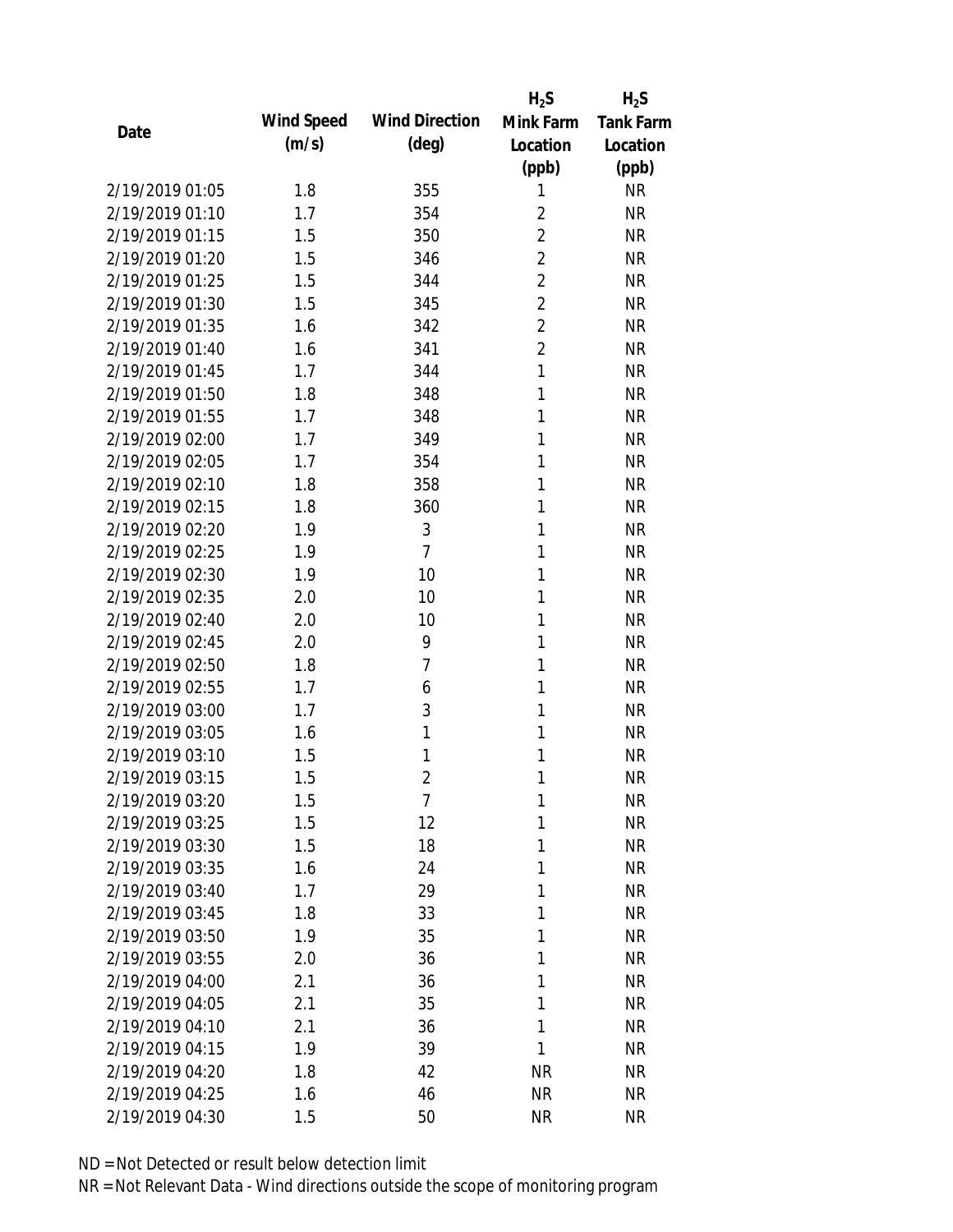|      |                 |            |                       | $H_2S$         | $H_2S$           |
|------|-----------------|------------|-----------------------|----------------|------------------|
| Date |                 | Wind Speed | <b>Wind Direction</b> | Mink Farm      | <b>Tank Farm</b> |
|      |                 | (m/s)      | $(\text{deg})$        | Location       | Location         |
|      |                 |            |                       | (ppb)          | (ppb)            |
|      | 2/19/2019 01:05 | 1.8        | 355                   | 1              | <b>NR</b>        |
|      | 2/19/2019 01:10 | 1.7        | 354                   | $\overline{2}$ | <b>NR</b>        |
|      | 2/19/2019 01:15 | 1.5        | 350                   | $\overline{2}$ | <b>NR</b>        |
|      | 2/19/2019 01:20 | 1.5        | 346                   | $\overline{2}$ | <b>NR</b>        |
|      | 2/19/2019 01:25 | 1.5        | 344                   | $\overline{2}$ | <b>NR</b>        |
|      | 2/19/2019 01:30 | 1.5        | 345                   | $\overline{2}$ | <b>NR</b>        |
|      | 2/19/2019 01:35 | 1.6        | 342                   | $\overline{2}$ | <b>NR</b>        |
|      | 2/19/2019 01:40 | 1.6        | 341                   | $\overline{2}$ | <b>NR</b>        |
|      | 2/19/2019 01:45 | 1.7        | 344                   | $\mathbf{1}$   | <b>NR</b>        |
|      | 2/19/2019 01:50 | 1.8        | 348                   | 1              | <b>NR</b>        |
|      | 2/19/2019 01:55 | 1.7        | 348                   | 1              | <b>NR</b>        |
|      | 2/19/2019 02:00 | 1.7        | 349                   | 1              | <b>NR</b>        |
|      | 2/19/2019 02:05 | 1.7        | 354                   | 1              | <b>NR</b>        |
|      | 2/19/2019 02:10 | 1.8        | 358                   | 1              | <b>NR</b>        |
|      | 2/19/2019 02:15 | 1.8        | 360                   | 1              | <b>NR</b>        |
|      | 2/19/2019 02:20 | 1.9        | 3                     | 1              | <b>NR</b>        |
|      | 2/19/2019 02:25 | 1.9        | $\overline{7}$        | 1              | <b>NR</b>        |
|      | 2/19/2019 02:30 | 1.9        | 10                    | 1              | <b>NR</b>        |
|      | 2/19/2019 02:35 | 2.0        | 10                    | 1              | <b>NR</b>        |
|      | 2/19/2019 02:40 | 2.0        | 10                    | 1              | <b>NR</b>        |
|      | 2/19/2019 02:45 | 2.0        | 9                     | 1              | <b>NR</b>        |
|      | 2/19/2019 02:50 | 1.8        | 7                     | 1              | <b>NR</b>        |
|      | 2/19/2019 02:55 | 1.7        | 6                     | 1              | <b>NR</b>        |
|      | 2/19/2019 03:00 | 1.7        | 3                     | 1              | <b>NR</b>        |
|      | 2/19/2019 03:05 | 1.6        | 1                     | 1              | <b>NR</b>        |
|      | 2/19/2019 03:10 | 1.5        | 1                     | 1              | <b>NR</b>        |
|      | 2/19/2019 03:15 | 1.5        | $\overline{2}$        | 1              | <b>NR</b>        |
|      | 2/19/2019 03:20 | 1.5        | 7                     | 1              | <b>NR</b>        |
|      | 2/19/2019 03:25 | 1.5        | 12                    | 1              | <b>NR</b>        |
|      | 2/19/2019 03:30 | 1.5        | 18                    | 1              | <b>NR</b>        |
|      | 2/19/2019 03:35 | 1.6        | 24                    | 1              | <b>NR</b>        |
|      | 2/19/2019 03:40 | 1.7        | 29                    | 1              | NR               |
|      | 2/19/2019 03:45 | 1.8        | 33                    | 1              | <b>NR</b>        |
|      | 2/19/2019 03:50 | 1.9        | 35                    | 1              | <b>NR</b>        |
|      | 2/19/2019 03:55 | 2.0        | 36                    | 1              | <b>NR</b>        |
|      | 2/19/2019 04:00 | 2.1        | 36                    | 1              | <b>NR</b>        |
|      | 2/19/2019 04:05 | 2.1        | 35                    | 1              | <b>NR</b>        |
|      | 2/19/2019 04:10 | 2.1        | 36                    | 1              | <b>NR</b>        |
|      | 2/19/2019 04:15 | 1.9        | 39                    | 1              | <b>NR</b>        |
|      | 2/19/2019 04:20 | 1.8        | 42                    | <b>NR</b>      | NR               |
|      | 2/19/2019 04:25 | 1.6        | 46                    | <b>NR</b>      | <b>NR</b>        |
|      | 2/19/2019 04:30 | 1.5        | 50                    | <b>NR</b>      | <b>NR</b>        |
|      |                 |            |                       |                |                  |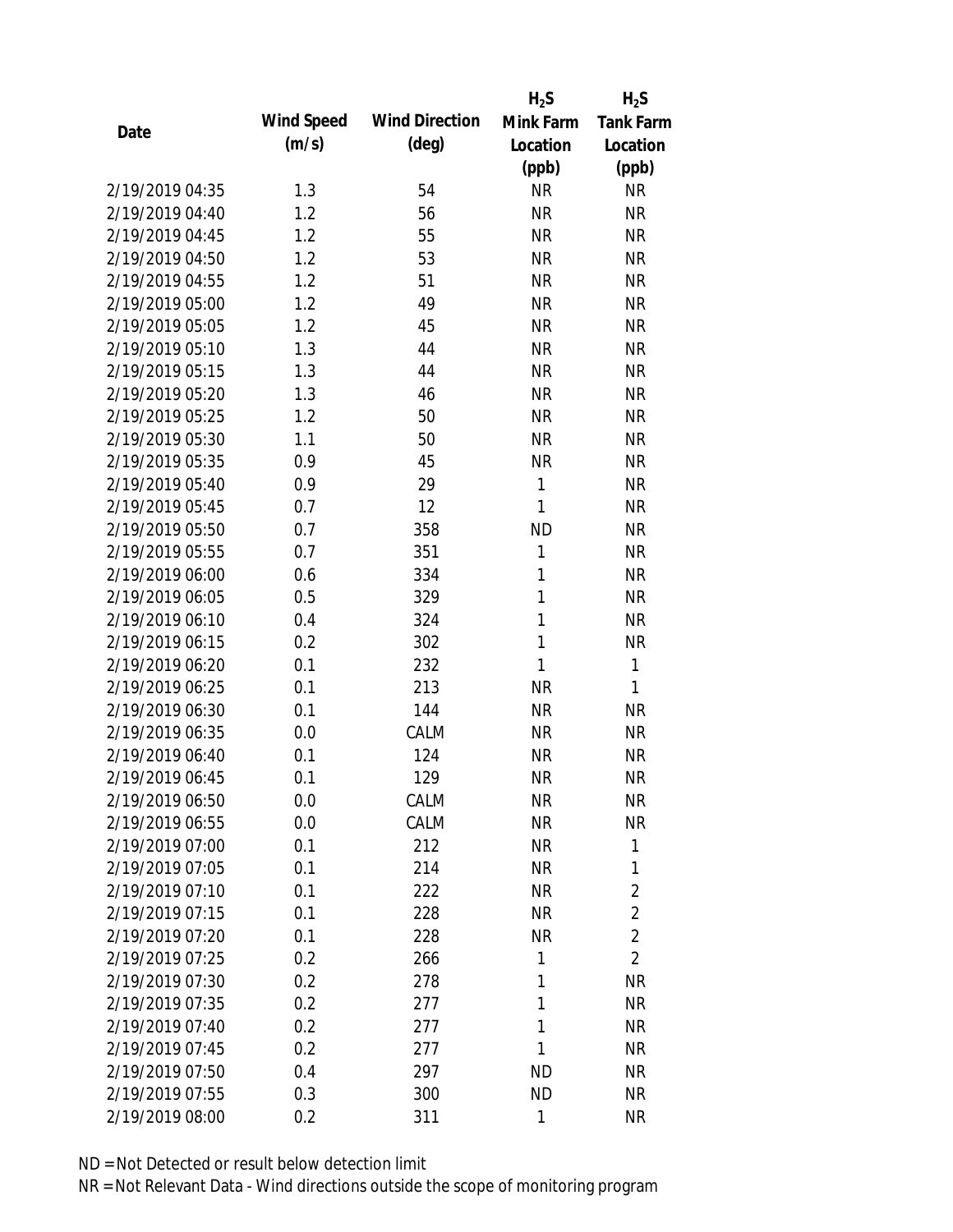|                 |            |                       | $H_2S$       | $H_2S$           |
|-----------------|------------|-----------------------|--------------|------------------|
|                 | Wind Speed | <b>Wind Direction</b> | Mink Farm    | <b>Tank Farm</b> |
| Date            | (m/s)      | $(\text{deg})$        | Location     | Location         |
|                 |            |                       | (ppb)        | (ppb)            |
| 2/19/2019 04:35 | 1.3        | 54                    | <b>NR</b>    | <b>NR</b>        |
| 2/19/2019 04:40 | 1.2        | 56                    | <b>NR</b>    | <b>NR</b>        |
| 2/19/2019 04:45 | 1.2        | 55                    | <b>NR</b>    | <b>NR</b>        |
| 2/19/2019 04:50 | 1.2        | 53                    | <b>NR</b>    | <b>NR</b>        |
| 2/19/2019 04:55 | 1.2        | 51                    | <b>NR</b>    | <b>NR</b>        |
| 2/19/2019 05:00 | 1.2        | 49                    | <b>NR</b>    | <b>NR</b>        |
| 2/19/2019 05:05 | 1.2        | 45                    | <b>NR</b>    | <b>NR</b>        |
| 2/19/2019 05:10 | 1.3        | 44                    | <b>NR</b>    | <b>NR</b>        |
| 2/19/2019 05:15 | 1.3        | 44                    | <b>NR</b>    | <b>NR</b>        |
| 2/19/2019 05:20 | 1.3        | 46                    | <b>NR</b>    | <b>NR</b>        |
| 2/19/2019 05:25 | 1.2        | 50                    | <b>NR</b>    | <b>NR</b>        |
| 2/19/2019 05:30 | 1.1        | 50                    | <b>NR</b>    | <b>NR</b>        |
| 2/19/2019 05:35 | 0.9        | 45                    | <b>NR</b>    | <b>NR</b>        |
| 2/19/2019 05:40 | 0.9        | 29                    | 1            | <b>NR</b>        |
| 2/19/2019 05:45 | 0.7        | 12                    | $\mathbf{1}$ | <b>NR</b>        |
| 2/19/2019 05:50 | 0.7        | 358                   | <b>ND</b>    | <b>NR</b>        |
| 2/19/2019 05:55 | 0.7        | 351                   | 1            | <b>NR</b>        |
| 2/19/2019 06:00 | 0.6        | 334                   | $\mathbf{1}$ | <b>NR</b>        |
| 2/19/2019 06:05 | 0.5        | 329                   | $\mathbf{1}$ | <b>NR</b>        |
| 2/19/2019 06:10 | 0.4        | 324                   | 1            | <b>NR</b>        |
| 2/19/2019 06:15 | 0.2        | 302                   | 1            | <b>NR</b>        |
| 2/19/2019 06:20 | 0.1        | 232                   | 1            | $\mathbf{1}$     |
| 2/19/2019 06:25 | 0.1        | 213                   | <b>NR</b>    | 1                |
| 2/19/2019 06:30 | 0.1        | 144                   | <b>NR</b>    | <b>NR</b>        |
| 2/19/2019 06:35 | 0.0        | CALM                  | <b>NR</b>    | <b>NR</b>        |
| 2/19/2019 06:40 | 0.1        | 124                   | <b>NR</b>    | <b>NR</b>        |
| 2/19/2019 06:45 | 0.1        | 129                   | <b>NR</b>    | <b>NR</b>        |
| 2/19/2019 06:50 | 0.0        | CALM                  | <b>NR</b>    | <b>NR</b>        |
| 2/19/2019 06:55 | 0.0        | CALM                  | <b>NR</b>    | <b>NR</b>        |
| 2/19/2019 07:00 | 0.1        | 212                   | <b>NR</b>    | 1                |
| 2/19/2019 07:05 | 0.1        | 214                   | <b>NR</b>    | 1                |
| 2/19/2019 07:10 | 0.1        | 222                   | <b>NR</b>    | $\overline{2}$   |
| 2/19/2019 07:15 | 0.1        | 228                   | <b>NR</b>    | $\overline{2}$   |
| 2/19/2019 07:20 | 0.1        | 228                   | <b>NR</b>    | $\overline{2}$   |
| 2/19/2019 07:25 | 0.2        | 266                   | 1            | $\overline{2}$   |
| 2/19/2019 07:30 | 0.2        | 278                   | 1            | <b>NR</b>        |
| 2/19/2019 07:35 | 0.2        | 277                   | 1            | <b>NR</b>        |
| 2/19/2019 07:40 | 0.2        | 277                   | 1            | NR               |
| 2/19/2019 07:45 | 0.2        | 277                   | 1            | NR               |
| 2/19/2019 07:50 | 0.4        | 297                   | ND           | NR               |
| 2/19/2019 07:55 | 0.3        | 300                   | <b>ND</b>    | <b>NR</b>        |
| 2/19/2019 08:00 | 0.2        | 311                   | 1            | <b>NR</b>        |
|                 |            |                       |              |                  |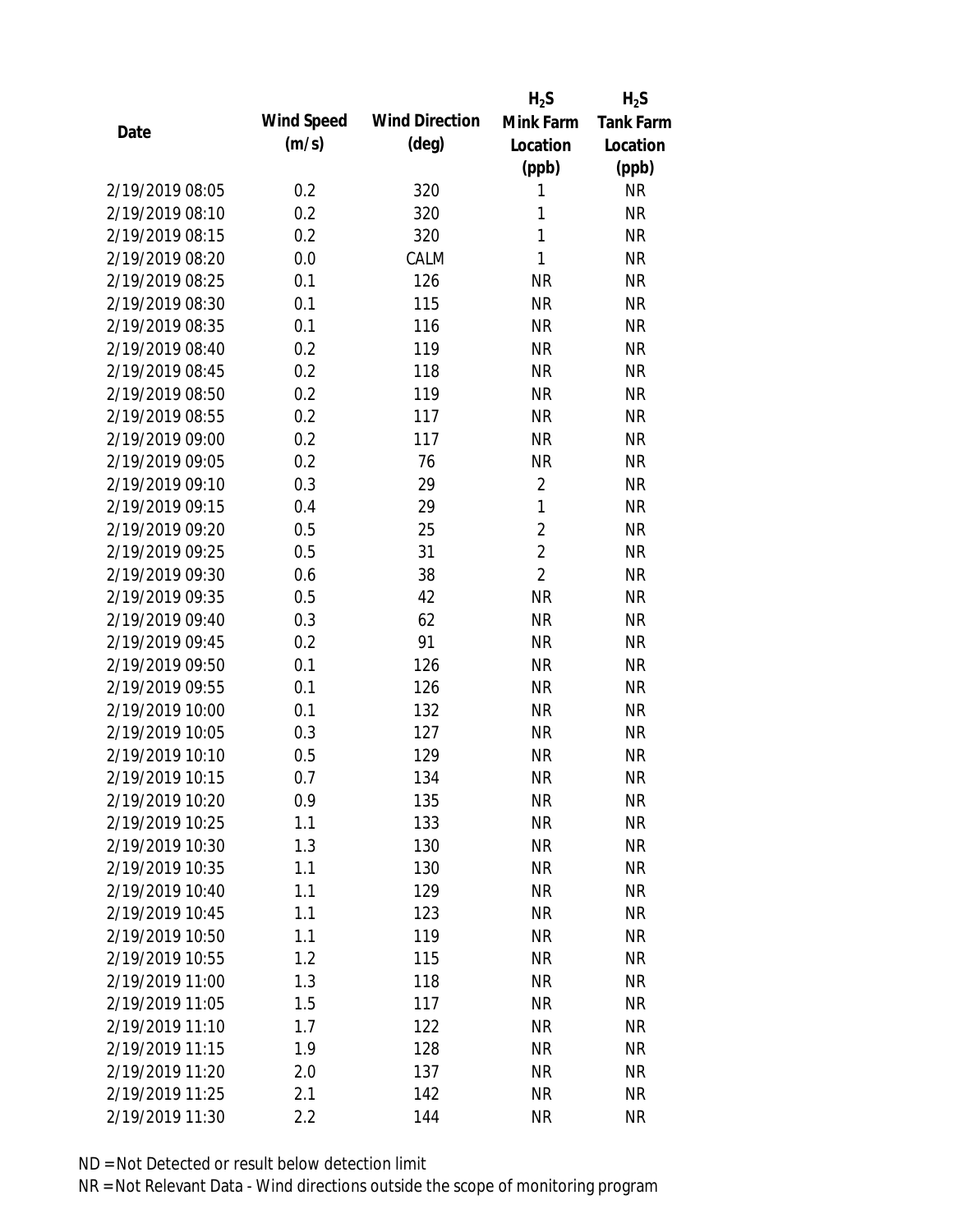|                 |            |                       | $H_2S$         | $H_2S$           |
|-----------------|------------|-----------------------|----------------|------------------|
| Date            | Wind Speed | <b>Wind Direction</b> | Mink Farm      | <b>Tank Farm</b> |
|                 | (m/s)      | $(\text{deg})$        | Location       | Location         |
|                 |            |                       | (ppb)          | (ppb)            |
| 2/19/2019 08:05 | 0.2        | 320                   | 1              | <b>NR</b>        |
| 2/19/2019 08:10 | 0.2        | 320                   | 1              | <b>NR</b>        |
| 2/19/2019 08:15 | 0.2        | 320                   | 1              | <b>NR</b>        |
| 2/19/2019 08:20 | 0.0        | CALM                  | $\mathbf{1}$   | <b>NR</b>        |
| 2/19/2019 08:25 | 0.1        | 126                   | <b>NR</b>      | <b>NR</b>        |
| 2/19/2019 08:30 | 0.1        | 115                   | <b>NR</b>      | <b>NR</b>        |
| 2/19/2019 08:35 | 0.1        | 116                   | <b>NR</b>      | <b>NR</b>        |
| 2/19/2019 08:40 | 0.2        | 119                   | <b>NR</b>      | <b>NR</b>        |
| 2/19/2019 08:45 | 0.2        | 118                   | <b>NR</b>      | <b>NR</b>        |
| 2/19/2019 08:50 | 0.2        | 119                   | <b>NR</b>      | <b>NR</b>        |
| 2/19/2019 08:55 | 0.2        | 117                   | <b>NR</b>      | <b>NR</b>        |
| 2/19/2019 09:00 | 0.2        | 117                   | <b>NR</b>      | <b>NR</b>        |
| 2/19/2019 09:05 | 0.2        | 76                    | <b>NR</b>      | <b>NR</b>        |
| 2/19/2019 09:10 | 0.3        | 29                    | $\overline{2}$ | <b>NR</b>        |
| 2/19/2019 09:15 | 0.4        | 29                    | $\mathbf{1}$   | <b>NR</b>        |
| 2/19/2019 09:20 | 0.5        | 25                    | $\overline{2}$ | <b>NR</b>        |
| 2/19/2019 09:25 | 0.5        | 31                    | $\overline{2}$ | <b>NR</b>        |
| 2/19/2019 09:30 | 0.6        | 38                    | $\overline{2}$ | <b>NR</b>        |
| 2/19/2019 09:35 | 0.5        | 42                    | <b>NR</b>      | <b>NR</b>        |
| 2/19/2019 09:40 | 0.3        | 62                    | <b>NR</b>      | <b>NR</b>        |
| 2/19/2019 09:45 | 0.2        | 91                    | <b>NR</b>      | <b>NR</b>        |
| 2/19/2019 09:50 | 0.1        | 126                   | <b>NR</b>      | <b>NR</b>        |
| 2/19/2019 09:55 | 0.1        | 126                   | <b>NR</b>      | <b>NR</b>        |
| 2/19/2019 10:00 | 0.1        | 132                   | <b>NR</b>      | <b>NR</b>        |
| 2/19/2019 10:05 | 0.3        | 127                   | <b>NR</b>      | <b>NR</b>        |
| 2/19/2019 10:10 | 0.5        | 129                   | <b>NR</b>      | <b>NR</b>        |
| 2/19/2019 10:15 | 0.7        | 134                   | <b>NR</b>      | <b>NR</b>        |
| 2/19/2019 10:20 | 0.9        | 135                   | <b>NR</b>      | <b>NR</b>        |
| 2/19/2019 10:25 | 1.1        | 133                   | <b>NR</b>      | <b>NR</b>        |
| 2/19/2019 10:30 | 1.3        | 130                   | <b>NR</b>      | <b>NR</b>        |
| 2/19/2019 10:35 | 1.1        | 130                   | <b>NR</b>      | <b>NR</b>        |
| 2/19/2019 10:40 | 1.1        | 129                   | <b>NR</b>      | <b>NR</b>        |
| 2/19/2019 10:45 | 1.1        | 123                   | <b>NR</b>      | <b>NR</b>        |
| 2/19/2019 10:50 | 1.1        | 119                   | <b>NR</b>      | <b>NR</b>        |
| 2/19/2019 10:55 | 1.2        | 115                   | <b>NR</b>      | <b>NR</b>        |
| 2/19/2019 11:00 | 1.3        | 118                   | <b>NR</b>      | <b>NR</b>        |
| 2/19/2019 11:05 | 1.5        | 117                   | <b>NR</b>      | <b>NR</b>        |
| 2/19/2019 11:10 | 1.7        | 122                   | <b>NR</b>      | <b>NR</b>        |
| 2/19/2019 11:15 | 1.9        | 128                   | <b>NR</b>      | <b>NR</b>        |
| 2/19/2019 11:20 | 2.0        | 137                   | <b>NR</b>      | <b>NR</b>        |
| 2/19/2019 11:25 | 2.1        | 142                   | <b>NR</b>      | <b>NR</b>        |
| 2/19/2019 11:30 | 2.2        | 144                   | <b>NR</b>      | <b>NR</b>        |
|                 |            |                       |                |                  |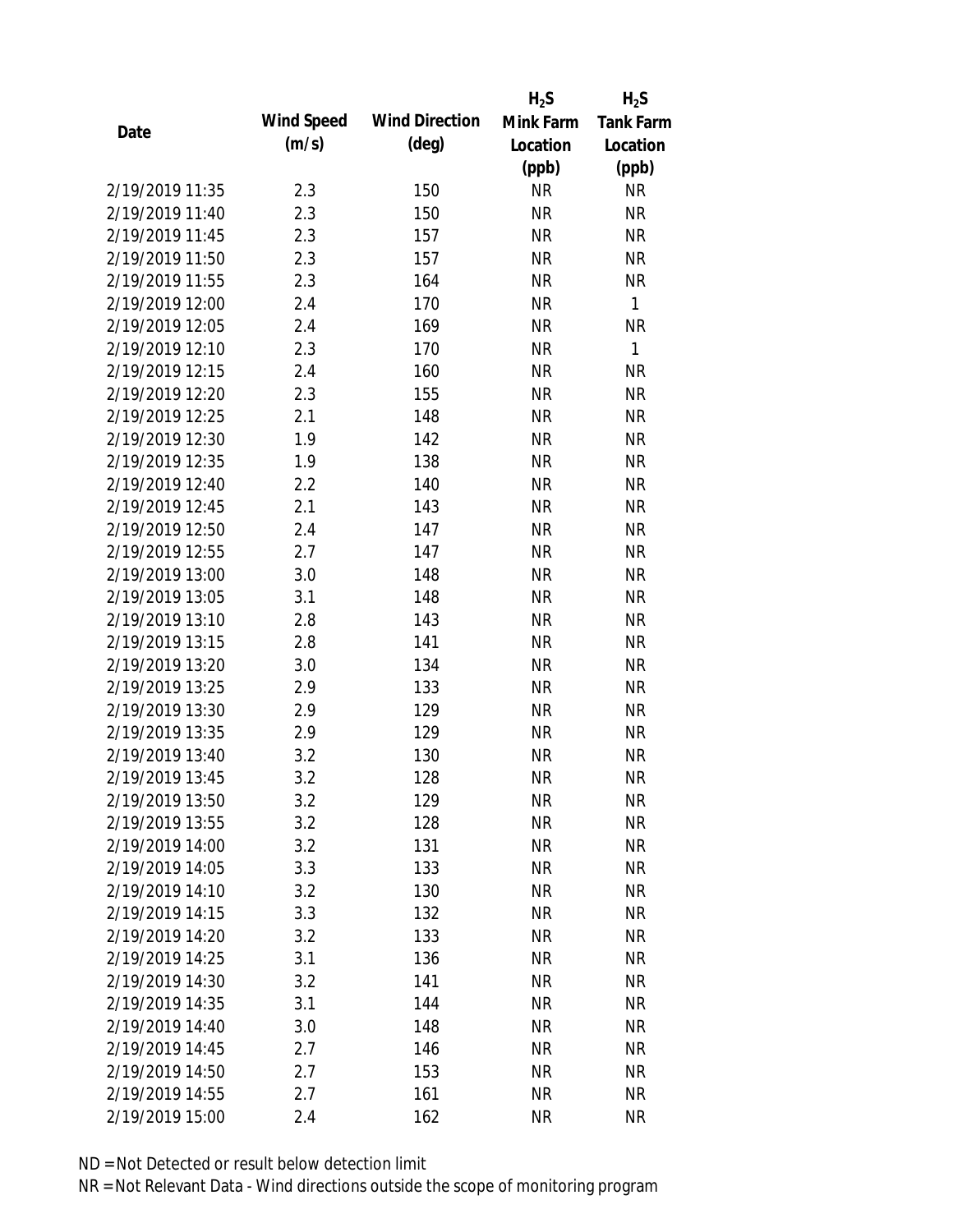|                 |            |                       | $H_2S$    | $H_2S$           |
|-----------------|------------|-----------------------|-----------|------------------|
| Date            | Wind Speed | <b>Wind Direction</b> | Mink Farm | <b>Tank Farm</b> |
|                 | (m/s)      | $(\text{deg})$        | Location  | Location         |
|                 |            |                       | (ppb)     | (ppb)            |
| 2/19/2019 11:35 | 2.3        | 150                   | <b>NR</b> | <b>NR</b>        |
| 2/19/2019 11:40 | 2.3        | 150                   | <b>NR</b> | <b>NR</b>        |
| 2/19/2019 11:45 | 2.3        | 157                   | <b>NR</b> | <b>NR</b>        |
| 2/19/2019 11:50 | 2.3        | 157                   | <b>NR</b> | <b>NR</b>        |
| 2/19/2019 11:55 | 2.3        | 164                   | <b>NR</b> | <b>NR</b>        |
| 2/19/2019 12:00 | 2.4        | 170                   | <b>NR</b> | $\mathbf{1}$     |
| 2/19/2019 12:05 | 2.4        | 169                   | <b>NR</b> | <b>NR</b>        |
| 2/19/2019 12:10 | 2.3        | 170                   | <b>NR</b> | $\mathbf{1}$     |
| 2/19/2019 12:15 | 2.4        | 160                   | <b>NR</b> | <b>NR</b>        |
| 2/19/2019 12:20 | 2.3        | 155                   | <b>NR</b> | <b>NR</b>        |
| 2/19/2019 12:25 | 2.1        | 148                   | <b>NR</b> | <b>NR</b>        |
| 2/19/2019 12:30 | 1.9        | 142                   | <b>NR</b> | <b>NR</b>        |
| 2/19/2019 12:35 | 1.9        | 138                   | <b>NR</b> | <b>NR</b>        |
| 2/19/2019 12:40 | 2.2        | 140                   | <b>NR</b> | <b>NR</b>        |
| 2/19/2019 12:45 | 2.1        | 143                   | <b>NR</b> | <b>NR</b>        |
| 2/19/2019 12:50 | 2.4        | 147                   | <b>NR</b> | <b>NR</b>        |
| 2/19/2019 12:55 | 2.7        | 147                   | <b>NR</b> | <b>NR</b>        |
| 2/19/2019 13:00 | 3.0        | 148                   | <b>NR</b> | <b>NR</b>        |
| 2/19/2019 13:05 | 3.1        | 148                   | <b>NR</b> | <b>NR</b>        |
| 2/19/2019 13:10 | 2.8        | 143                   | <b>NR</b> | <b>NR</b>        |
| 2/19/2019 13:15 | 2.8        | 141                   | <b>NR</b> | <b>NR</b>        |
| 2/19/2019 13:20 | 3.0        | 134                   | <b>NR</b> | <b>NR</b>        |
| 2/19/2019 13:25 | 2.9        | 133                   | <b>NR</b> | <b>NR</b>        |
| 2/19/2019 13:30 | 2.9        | 129                   | <b>NR</b> | <b>NR</b>        |
| 2/19/2019 13:35 | 2.9        | 129                   | <b>NR</b> | <b>NR</b>        |
| 2/19/2019 13:40 | 3.2        | 130                   | <b>NR</b> | <b>NR</b>        |
| 2/19/2019 13:45 | 3.2        | 128                   | <b>NR</b> | <b>NR</b>        |
| 2/19/2019 13:50 | 3.2        | 129                   | <b>NR</b> | <b>NR</b>        |
| 2/19/2019 13:55 | 3.2        | 128                   | <b>NR</b> | <b>NR</b>        |
| 2/19/2019 14:00 | 3.2        | 131                   | <b>NR</b> | <b>NR</b>        |
| 2/19/2019 14:05 | 3.3        | 133                   | <b>NR</b> | <b>NR</b>        |
| 2/19/2019 14:10 | 3.2        | 130                   | <b>NR</b> | NR               |
| 2/19/2019 14:15 | 3.3        | 132                   | <b>NR</b> | <b>NR</b>        |
| 2/19/2019 14:20 | 3.2        | 133                   | <b>NR</b> | <b>NR</b>        |
| 2/19/2019 14:25 | 3.1        | 136                   | <b>NR</b> | <b>NR</b>        |
| 2/19/2019 14:30 | 3.2        | 141                   | <b>NR</b> | <b>NR</b>        |
| 2/19/2019 14:35 | 3.1        | 144                   | <b>NR</b> | <b>NR</b>        |
| 2/19/2019 14:40 | 3.0        | 148                   | NR        | <b>NR</b>        |
| 2/19/2019 14:45 | 2.7        | 146                   | <b>NR</b> | <b>NR</b>        |
| 2/19/2019 14:50 | 2.7        | 153                   | <b>NR</b> | NR               |
| 2/19/2019 14:55 | 2.7        | 161                   | <b>NR</b> | <b>NR</b>        |
| 2/19/2019 15:00 | 2.4        | 162                   | <b>NR</b> | <b>NR</b>        |
|                 |            |                       |           |                  |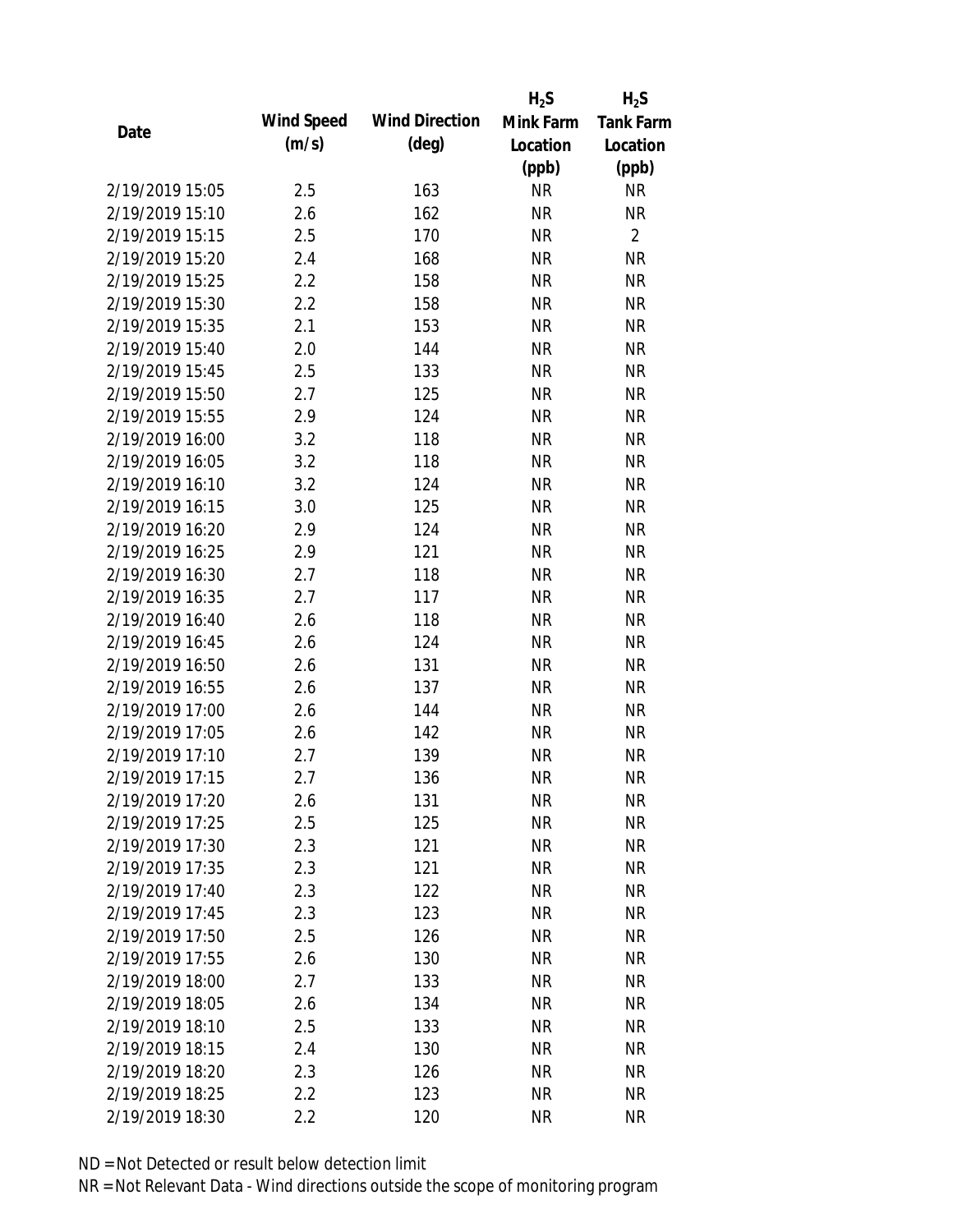|                 |            |                       | $H_2S$    | $H_2S$           |
|-----------------|------------|-----------------------|-----------|------------------|
| Date            | Wind Speed | <b>Wind Direction</b> | Mink Farm | <b>Tank Farm</b> |
|                 | (m/s)      | $(\text{deg})$        | Location  | Location         |
|                 |            |                       | (ppb)     | (ppb)            |
| 2/19/2019 15:05 | 2.5        | 163                   | <b>NR</b> | <b>NR</b>        |
| 2/19/2019 15:10 | 2.6        | 162                   | <b>NR</b> | <b>NR</b>        |
| 2/19/2019 15:15 | 2.5        | 170                   | <b>NR</b> | $\overline{2}$   |
| 2/19/2019 15:20 | 2.4        | 168                   | <b>NR</b> | <b>NR</b>        |
| 2/19/2019 15:25 | 2.2        | 158                   | <b>NR</b> | <b>NR</b>        |
| 2/19/2019 15:30 | 2.2        | 158                   | <b>NR</b> | <b>NR</b>        |
| 2/19/2019 15:35 | 2.1        | 153                   | <b>NR</b> | <b>NR</b>        |
| 2/19/2019 15:40 | 2.0        | 144                   | <b>NR</b> | <b>NR</b>        |
| 2/19/2019 15:45 | 2.5        | 133                   | <b>NR</b> | <b>NR</b>        |
| 2/19/2019 15:50 | 2.7        | 125                   | <b>NR</b> | <b>NR</b>        |
| 2/19/2019 15:55 | 2.9        | 124                   | <b>NR</b> | <b>NR</b>        |
| 2/19/2019 16:00 | 3.2        | 118                   | <b>NR</b> | <b>NR</b>        |
| 2/19/2019 16:05 | 3.2        | 118                   | <b>NR</b> | <b>NR</b>        |
| 2/19/2019 16:10 | 3.2        | 124                   | <b>NR</b> | <b>NR</b>        |
| 2/19/2019 16:15 | 3.0        | 125                   | <b>NR</b> | <b>NR</b>        |
| 2/19/2019 16:20 | 2.9        | 124                   | <b>NR</b> | <b>NR</b>        |
| 2/19/2019 16:25 | 2.9        | 121                   | <b>NR</b> | <b>NR</b>        |
| 2/19/2019 16:30 | 2.7        | 118                   | <b>NR</b> | <b>NR</b>        |
| 2/19/2019 16:35 | 2.7        | 117                   | <b>NR</b> | <b>NR</b>        |
| 2/19/2019 16:40 | 2.6        | 118                   | <b>NR</b> | <b>NR</b>        |
| 2/19/2019 16:45 | 2.6        | 124                   | <b>NR</b> | <b>NR</b>        |
| 2/19/2019 16:50 | 2.6        | 131                   | <b>NR</b> | <b>NR</b>        |
| 2/19/2019 16:55 | 2.6        | 137                   | <b>NR</b> | <b>NR</b>        |
| 2/19/2019 17:00 | 2.6        | 144                   | <b>NR</b> | <b>NR</b>        |
| 2/19/2019 17:05 | 2.6        | 142                   | <b>NR</b> | <b>NR</b>        |
| 2/19/2019 17:10 | 2.7        | 139                   | <b>NR</b> | <b>NR</b>        |
| 2/19/2019 17:15 | 2.7        | 136                   | <b>NR</b> | <b>NR</b>        |
| 2/19/2019 17:20 | 2.6        | 131                   | <b>NR</b> | <b>NR</b>        |
| 2/19/2019 17:25 | 2.5        | 125                   | <b>NR</b> | <b>NR</b>        |
| 2/19/2019 17:30 | 2.3        | 121                   | <b>NR</b> | <b>NR</b>        |
| 2/19/2019 17:35 | 2.3        | 121                   | <b>NR</b> | <b>NR</b>        |
| 2/19/2019 17:40 | 2.3        | 122                   | <b>NR</b> | NR               |
| 2/19/2019 17:45 | 2.3        | 123                   | <b>NR</b> | <b>NR</b>        |
| 2/19/2019 17:50 | 2.5        | 126                   | <b>NR</b> | <b>NR</b>        |
| 2/19/2019 17:55 | 2.6        | 130                   | <b>NR</b> | <b>NR</b>        |
| 2/19/2019 18:00 | 2.7        | 133                   | <b>NR</b> | <b>NR</b>        |
| 2/19/2019 18:05 | 2.6        | 134                   | <b>NR</b> | <b>NR</b>        |
| 2/19/2019 18:10 | 2.5        | 133                   | NR        | <b>NR</b>        |
| 2/19/2019 18:15 | 2.4        | 130                   | <b>NR</b> | <b>NR</b>        |
| 2/19/2019 18:20 | 2.3        | 126                   | <b>NR</b> | NR               |
| 2/19/2019 18:25 | 2.2        | 123                   | <b>NR</b> | <b>NR</b>        |
| 2/19/2019 18:30 | 2.2        | 120                   | <b>NR</b> | <b>NR</b>        |
|                 |            |                       |           |                  |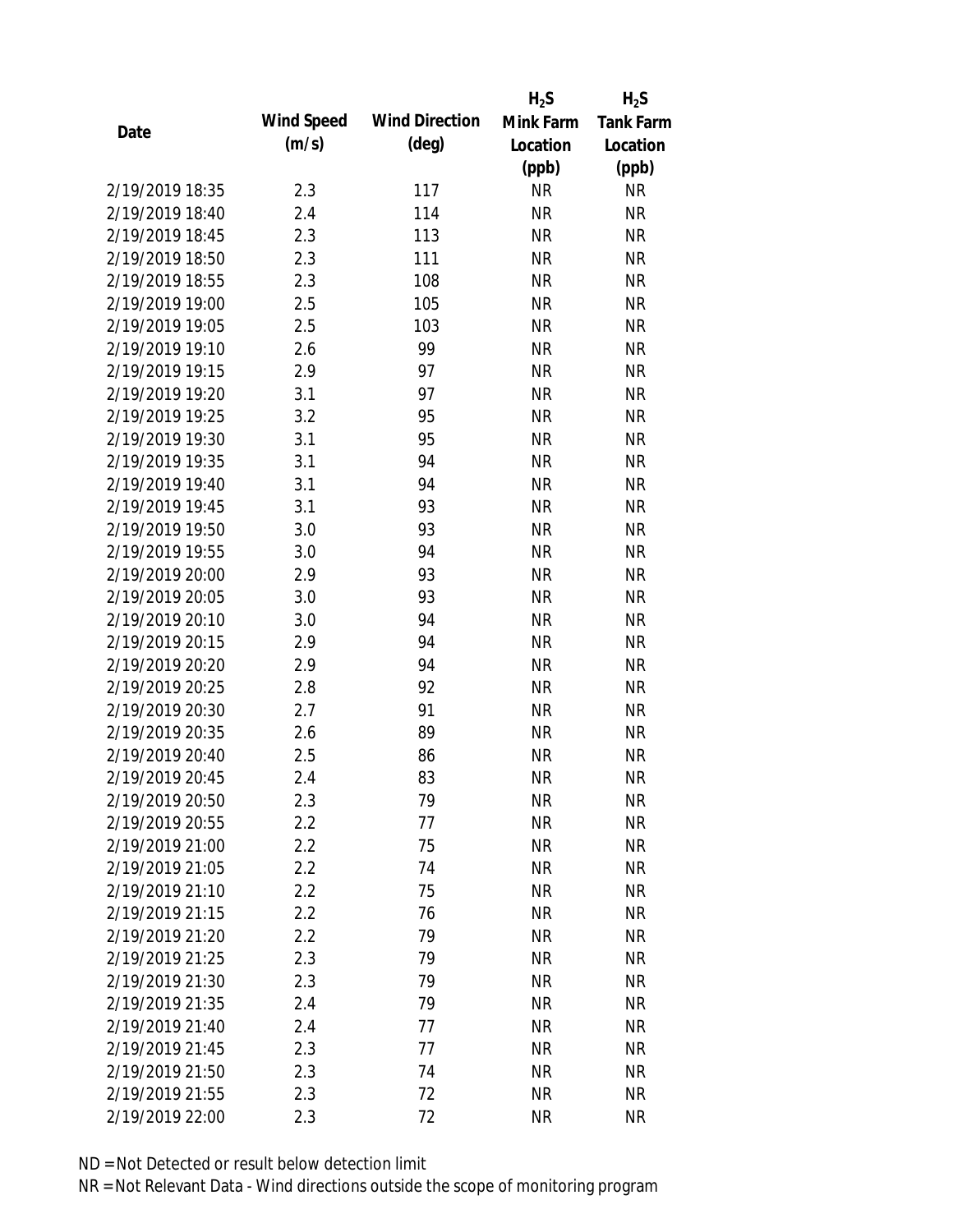|                 |            |                       | $H_2S$    | $H_2S$           |
|-----------------|------------|-----------------------|-----------|------------------|
| Date            | Wind Speed | <b>Wind Direction</b> | Mink Farm | <b>Tank Farm</b> |
|                 | (m/s)      | $(\text{deg})$        | Location  | Location         |
|                 |            |                       | (ppb)     | (ppb)            |
| 2/19/2019 18:35 | 2.3        | 117                   | <b>NR</b> | <b>NR</b>        |
| 2/19/2019 18:40 | 2.4        | 114                   | <b>NR</b> | <b>NR</b>        |
| 2/19/2019 18:45 | 2.3        | 113                   | <b>NR</b> | <b>NR</b>        |
| 2/19/2019 18:50 | 2.3        | 111                   | <b>NR</b> | <b>NR</b>        |
| 2/19/2019 18:55 | 2.3        | 108                   | <b>NR</b> | <b>NR</b>        |
| 2/19/2019 19:00 | 2.5        | 105                   | <b>NR</b> | <b>NR</b>        |
| 2/19/2019 19:05 | 2.5        | 103                   | <b>NR</b> | <b>NR</b>        |
| 2/19/2019 19:10 | 2.6        | 99                    | <b>NR</b> | <b>NR</b>        |
| 2/19/2019 19:15 | 2.9        | 97                    | <b>NR</b> | <b>NR</b>        |
| 2/19/2019 19:20 | 3.1        | 97                    | <b>NR</b> | <b>NR</b>        |
| 2/19/2019 19:25 | 3.2        | 95                    | <b>NR</b> | <b>NR</b>        |
| 2/19/2019 19:30 | 3.1        | 95                    | <b>NR</b> | <b>NR</b>        |
| 2/19/2019 19:35 | 3.1        | 94                    | <b>NR</b> | <b>NR</b>        |
| 2/19/2019 19:40 | 3.1        | 94                    | <b>NR</b> | <b>NR</b>        |
| 2/19/2019 19:45 | 3.1        | 93                    | <b>NR</b> | <b>NR</b>        |
| 2/19/2019 19:50 | 3.0        | 93                    | <b>NR</b> | <b>NR</b>        |
| 2/19/2019 19:55 | 3.0        | 94                    | <b>NR</b> | <b>NR</b>        |
| 2/19/2019 20:00 | 2.9        | 93                    | <b>NR</b> | <b>NR</b>        |
| 2/19/2019 20:05 | 3.0        | 93                    | <b>NR</b> | <b>NR</b>        |
| 2/19/2019 20:10 | 3.0        | 94                    | <b>NR</b> | <b>NR</b>        |
| 2/19/2019 20:15 | 2.9        | 94                    | <b>NR</b> | <b>NR</b>        |
| 2/19/2019 20:20 | 2.9        | 94                    | <b>NR</b> | <b>NR</b>        |
| 2/19/2019 20:25 | 2.8        | 92                    | <b>NR</b> | <b>NR</b>        |
| 2/19/2019 20:30 | 2.7        | 91                    | <b>NR</b> | <b>NR</b>        |
| 2/19/2019 20:35 | 2.6        | 89                    | <b>NR</b> | <b>NR</b>        |
| 2/19/2019 20:40 | 2.5        | 86                    | <b>NR</b> | <b>NR</b>        |
| 2/19/2019 20:45 | 2.4        | 83                    | <b>NR</b> | <b>NR</b>        |
| 2/19/2019 20:50 | 2.3        | 79                    | <b>NR</b> | <b>NR</b>        |
| 2/19/2019 20:55 | 2.2        | 77                    | <b>NR</b> | <b>NR</b>        |
| 2/19/2019 21:00 | 2.2        | 75                    | <b>NR</b> | <b>NR</b>        |
| 2/19/2019 21:05 | 2.2        | 74                    | <b>NR</b> | <b>NR</b>        |
| 2/19/2019 21:10 | 2.2        | 75                    | <b>NR</b> | <b>NR</b>        |
| 2/19/2019 21:15 | 2.2        | 76                    | <b>NR</b> | <b>NR</b>        |
| 2/19/2019 21:20 | 2.2        | 79                    | <b>NR</b> | <b>NR</b>        |
| 2/19/2019 21:25 | 2.3        | 79                    | <b>NR</b> | <b>NR</b>        |
| 2/19/2019 21:30 | 2.3        | 79                    | <b>NR</b> | <b>NR</b>        |
| 2/19/2019 21:35 | 2.4        | 79                    | <b>NR</b> | <b>NR</b>        |
| 2/19/2019 21:40 | 2.4        | 77                    | <b>NR</b> | <b>NR</b>        |
| 2/19/2019 21:45 | 2.3        | 77                    | <b>NR</b> | <b>NR</b>        |
| 2/19/2019 21:50 | 2.3        | 74                    | <b>NR</b> | <b>NR</b>        |
| 2/19/2019 21:55 | 2.3        | 72                    | <b>NR</b> | <b>NR</b>        |
| 2/19/2019 22:00 | 2.3        | 72                    | <b>NR</b> | <b>NR</b>        |
|                 |            |                       |           |                  |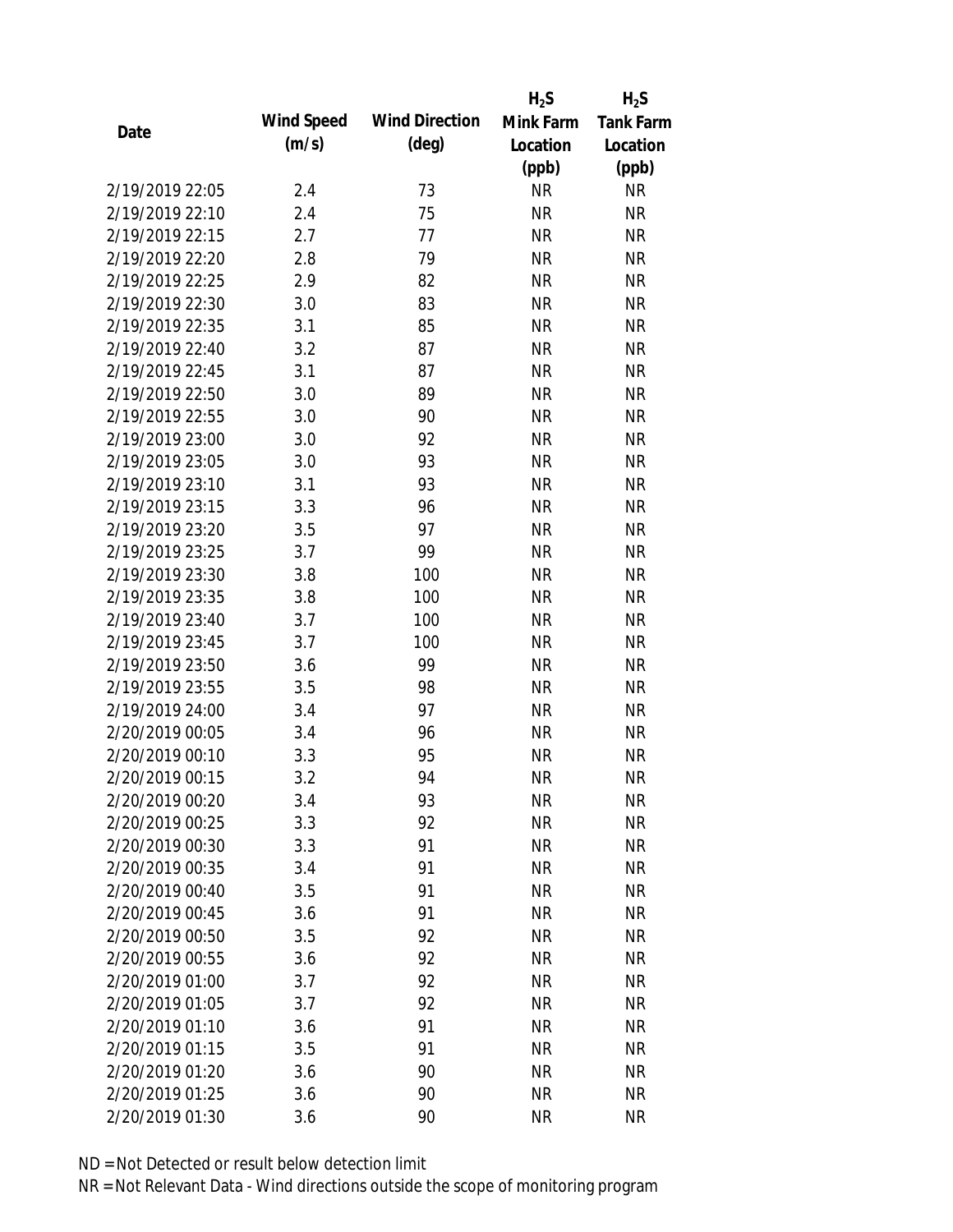|                 |            |                       | $H_2S$    | $H_2S$           |
|-----------------|------------|-----------------------|-----------|------------------|
| Date            | Wind Speed | <b>Wind Direction</b> | Mink Farm | <b>Tank Farm</b> |
|                 | (m/s)      | $(\text{deg})$        | Location  | Location         |
|                 |            |                       | (ppb)     | (ppb)            |
| 2/19/2019 22:05 | 2.4        | 73                    | <b>NR</b> | <b>NR</b>        |
| 2/19/2019 22:10 | 2.4        | 75                    | <b>NR</b> | <b>NR</b>        |
| 2/19/2019 22:15 | 2.7        | 77                    | <b>NR</b> | <b>NR</b>        |
| 2/19/2019 22:20 | 2.8        | 79                    | <b>NR</b> | <b>NR</b>        |
| 2/19/2019 22:25 | 2.9        | 82                    | <b>NR</b> | <b>NR</b>        |
| 2/19/2019 22:30 | 3.0        | 83                    | <b>NR</b> | <b>NR</b>        |
| 2/19/2019 22:35 | 3.1        | 85                    | <b>NR</b> | <b>NR</b>        |
| 2/19/2019 22:40 | 3.2        | 87                    | <b>NR</b> | <b>NR</b>        |
| 2/19/2019 22:45 | 3.1        | 87                    | <b>NR</b> | <b>NR</b>        |
| 2/19/2019 22:50 | 3.0        | 89                    | <b>NR</b> | <b>NR</b>        |
| 2/19/2019 22:55 | 3.0        | 90                    | <b>NR</b> | <b>NR</b>        |
| 2/19/2019 23:00 | 3.0        | 92                    | <b>NR</b> | <b>NR</b>        |
| 2/19/2019 23:05 | 3.0        | 93                    | <b>NR</b> | <b>NR</b>        |
| 2/19/2019 23:10 | 3.1        | 93                    | <b>NR</b> | <b>NR</b>        |
| 2/19/2019 23:15 | 3.3        | 96                    | <b>NR</b> | <b>NR</b>        |
| 2/19/2019 23:20 | 3.5        | 97                    | <b>NR</b> | <b>NR</b>        |
| 2/19/2019 23:25 | 3.7        | 99                    | <b>NR</b> | <b>NR</b>        |
| 2/19/2019 23:30 | 3.8        | 100                   | <b>NR</b> | <b>NR</b>        |
| 2/19/2019 23:35 | 3.8        | 100                   | <b>NR</b> | <b>NR</b>        |
| 2/19/2019 23:40 | 3.7        | 100                   | <b>NR</b> | <b>NR</b>        |
| 2/19/2019 23:45 | 3.7        | 100                   | <b>NR</b> | <b>NR</b>        |
| 2/19/2019 23:50 | 3.6        | 99                    | <b>NR</b> | <b>NR</b>        |
| 2/19/2019 23:55 | 3.5        | 98                    | <b>NR</b> | <b>NR</b>        |
| 2/19/2019 24:00 | 3.4        | 97                    | <b>NR</b> | <b>NR</b>        |
| 2/20/2019 00:05 | 3.4        | 96                    | <b>NR</b> | <b>NR</b>        |
| 2/20/2019 00:10 | 3.3        | 95                    | <b>NR</b> | <b>NR</b>        |
| 2/20/2019 00:15 | 3.2        | 94                    | <b>NR</b> | <b>NR</b>        |
| 2/20/2019 00:20 | 3.4        | 93                    | <b>NR</b> | <b>NR</b>        |
| 2/20/2019 00:25 | 3.3        | 92                    | <b>NR</b> | <b>NR</b>        |
| 2/20/2019 00:30 | 3.3        | 91                    | <b>NR</b> | <b>NR</b>        |
| 2/20/2019 00:35 | 3.4        | 91                    | <b>NR</b> | <b>NR</b>        |
| 2/20/2019 00:40 | 3.5        | 91                    | <b>NR</b> | <b>NR</b>        |
| 2/20/2019 00:45 | 3.6        | 91                    | <b>NR</b> | <b>NR</b>        |
| 2/20/2019 00:50 | 3.5        | 92                    | <b>NR</b> | <b>NR</b>        |
| 2/20/2019 00:55 | 3.6        | 92                    | <b>NR</b> | <b>NR</b>        |
| 2/20/2019 01:00 | 3.7        | 92                    | <b>NR</b> | <b>NR</b>        |
| 2/20/2019 01:05 |            | 92                    | <b>NR</b> | <b>NR</b>        |
| 2/20/2019 01:10 | 3.7        | 91                    |           |                  |
|                 | 3.6        |                       | NR        | <b>NR</b>        |
| 2/20/2019 01:15 | 3.5        | 91                    | <b>NR</b> | <b>NR</b>        |
| 2/20/2019 01:20 | 3.6        | 90                    | <b>NR</b> | <b>NR</b>        |
| 2/20/2019 01:25 | 3.6        | 90                    | <b>NR</b> | <b>NR</b>        |
| 2/20/2019 01:30 | 3.6        | 90                    | <b>NR</b> | <b>NR</b>        |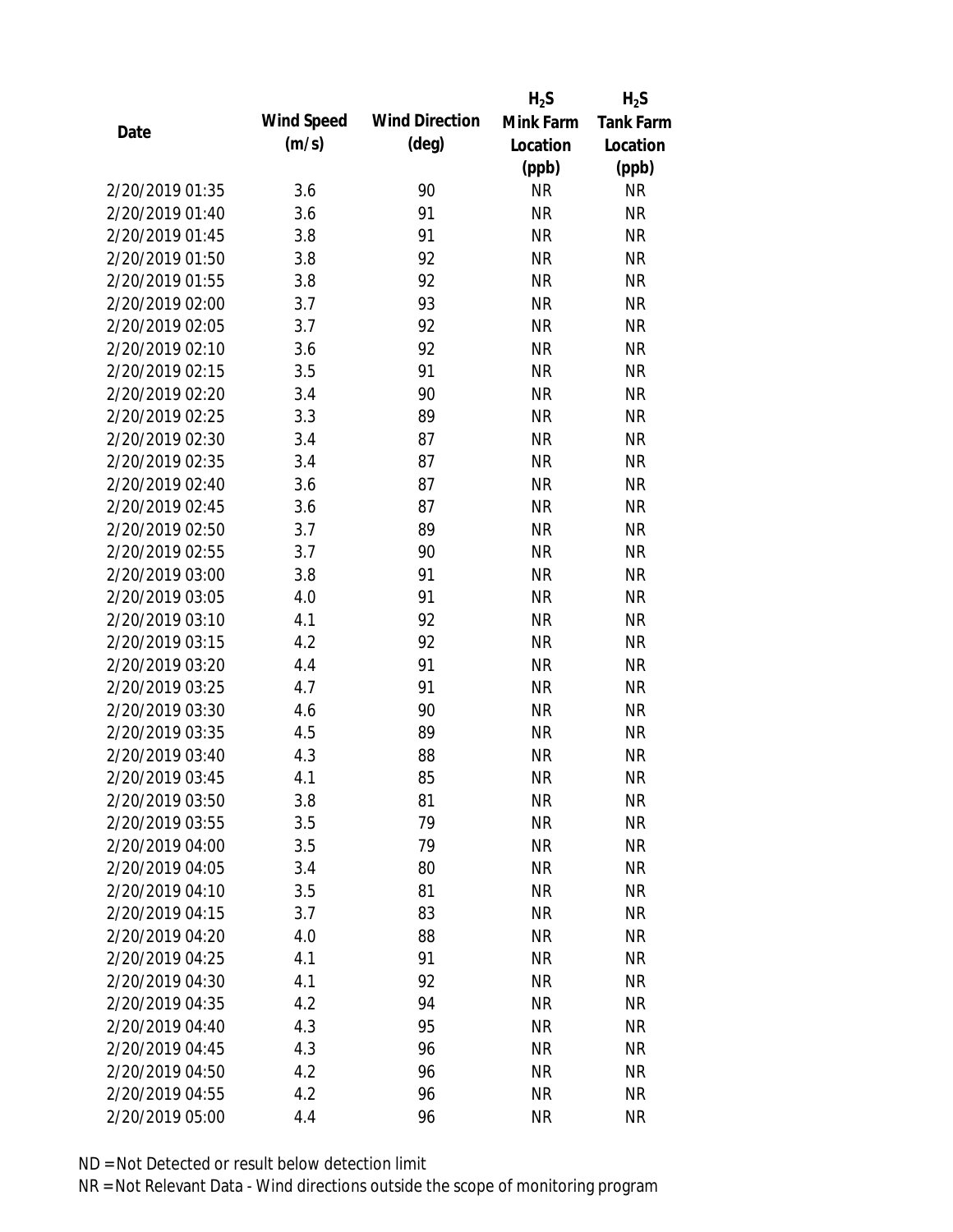|                 |            |                       | $H_2S$    | $H_2S$           |
|-----------------|------------|-----------------------|-----------|------------------|
| Date            | Wind Speed | <b>Wind Direction</b> | Mink Farm | <b>Tank Farm</b> |
|                 | (m/s)      | $(\text{deg})$        | Location  | Location         |
|                 |            |                       | (ppb)     | (ppb)            |
| 2/20/2019 01:35 | 3.6        | 90                    | <b>NR</b> | <b>NR</b>        |
| 2/20/2019 01:40 | 3.6        | 91                    | <b>NR</b> | <b>NR</b>        |
| 2/20/2019 01:45 | 3.8        | 91                    | <b>NR</b> | <b>NR</b>        |
| 2/20/2019 01:50 | 3.8        | 92                    | <b>NR</b> | <b>NR</b>        |
| 2/20/2019 01:55 | 3.8        | 92                    | <b>NR</b> | <b>NR</b>        |
| 2/20/2019 02:00 | 3.7        | 93                    | <b>NR</b> | <b>NR</b>        |
| 2/20/2019 02:05 | 3.7        | 92                    | <b>NR</b> | <b>NR</b>        |
| 2/20/2019 02:10 | 3.6        | 92                    | <b>NR</b> | <b>NR</b>        |
| 2/20/2019 02:15 | 3.5        | 91                    | <b>NR</b> | <b>NR</b>        |
| 2/20/2019 02:20 | 3.4        | 90                    | <b>NR</b> | <b>NR</b>        |
| 2/20/2019 02:25 | 3.3        | 89                    | <b>NR</b> | <b>NR</b>        |
| 2/20/2019 02:30 | 3.4        | 87                    | <b>NR</b> | <b>NR</b>        |
| 2/20/2019 02:35 | 3.4        | 87                    | <b>NR</b> | <b>NR</b>        |
| 2/20/2019 02:40 | 3.6        | 87                    | <b>NR</b> | <b>NR</b>        |
| 2/20/2019 02:45 | 3.6        | 87                    | <b>NR</b> | <b>NR</b>        |
| 2/20/2019 02:50 | 3.7        | 89                    | <b>NR</b> | <b>NR</b>        |
| 2/20/2019 02:55 | 3.7        | 90                    | <b>NR</b> | <b>NR</b>        |
| 2/20/2019 03:00 | 3.8        | 91                    | <b>NR</b> | <b>NR</b>        |
| 2/20/2019 03:05 | 4.0        | 91                    | <b>NR</b> | <b>NR</b>        |
| 2/20/2019 03:10 | 4.1        | 92                    | <b>NR</b> | <b>NR</b>        |
| 2/20/2019 03:15 | 4.2        | 92                    | <b>NR</b> | <b>NR</b>        |
| 2/20/2019 03:20 | 4.4        | 91                    | <b>NR</b> | <b>NR</b>        |
| 2/20/2019 03:25 | 4.7        | 91                    | <b>NR</b> | <b>NR</b>        |
| 2/20/2019 03:30 | 4.6        | 90                    | <b>NR</b> | <b>NR</b>        |
| 2/20/2019 03:35 | 4.5        | 89                    | <b>NR</b> | <b>NR</b>        |
| 2/20/2019 03:40 | 4.3        | 88                    | <b>NR</b> | <b>NR</b>        |
| 2/20/2019 03:45 | 4.1        | 85                    | <b>NR</b> | <b>NR</b>        |
| 2/20/2019 03:50 | 3.8        | 81                    | <b>NR</b> | <b>NR</b>        |
| 2/20/2019 03:55 | 3.5        | 79                    | <b>NR</b> | <b>NR</b>        |
| 2/20/2019 04:00 | 3.5        | 79                    | <b>NR</b> | <b>NR</b>        |
| 2/20/2019 04:05 | 3.4        | 80                    | <b>NR</b> | <b>NR</b>        |
| 2/20/2019 04:10 | 3.5        | 81                    | <b>NR</b> | <b>NR</b>        |
| 2/20/2019 04:15 | 3.7        | 83                    | <b>NR</b> | <b>NR</b>        |
| 2/20/2019 04:20 | 4.0        | 88                    | <b>NR</b> | <b>NR</b>        |
| 2/20/2019 04:25 | 4.1        | 91                    | <b>NR</b> | NR               |
| 2/20/2019 04:30 | 4.1        | 92                    | <b>NR</b> | <b>NR</b>        |
| 2/20/2019 04:35 | 4.2        | 94                    | <b>NR</b> | <b>NR</b>        |
| 2/20/2019 04:40 | 4.3        | 95                    | NR        | <b>NR</b>        |
| 2/20/2019 04:45 | 4.3        | 96                    | <b>NR</b> | NR               |
| 2/20/2019 04:50 | 4.2        | 96                    | <b>NR</b> | NR               |
| 2/20/2019 04:55 | 4.2        | 96                    | <b>NR</b> | <b>NR</b>        |
| 2/20/2019 05:00 | 4.4        | 96                    | <b>NR</b> | <b>NR</b>        |
|                 |            |                       |           |                  |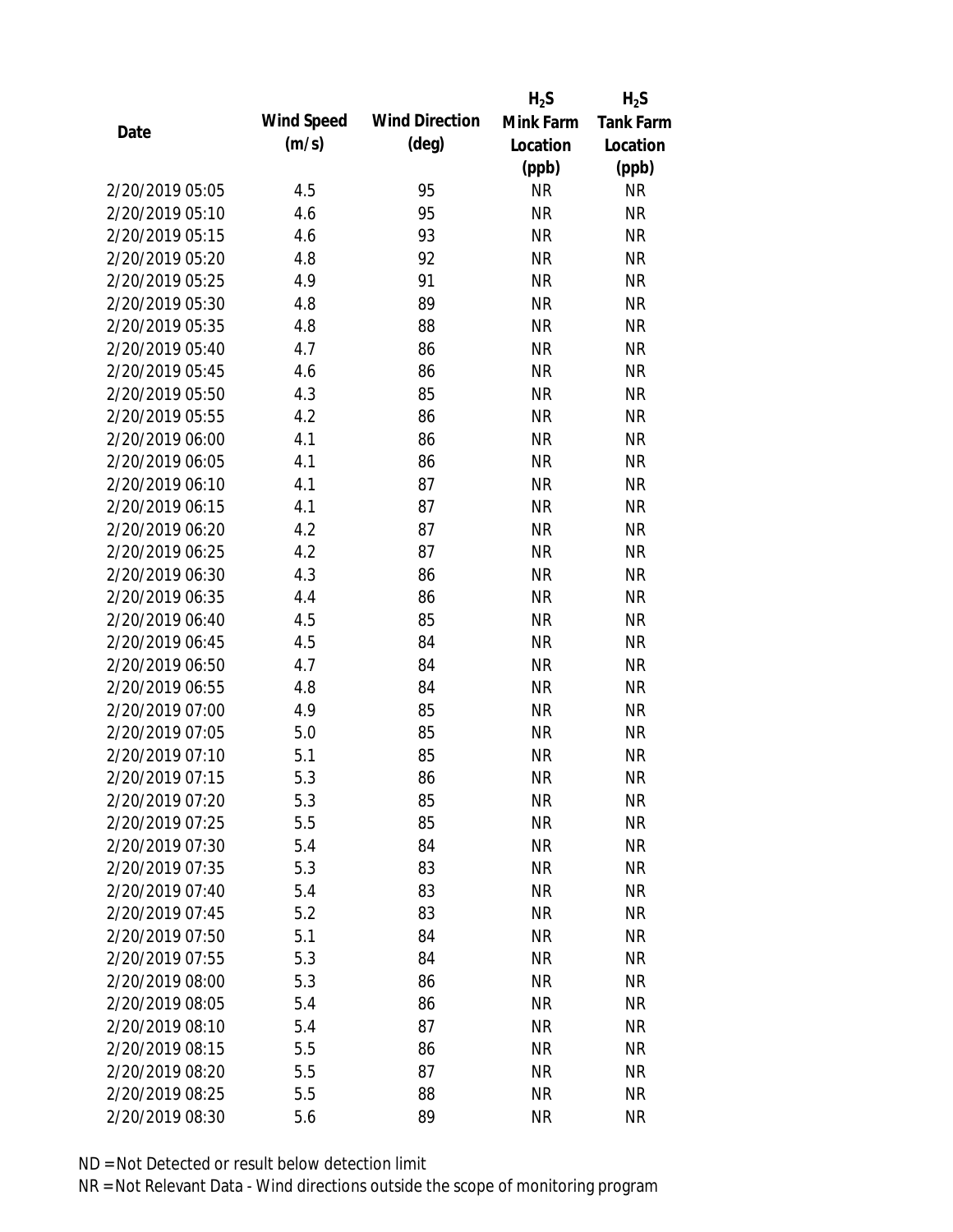|                 |            |                       | $H_2S$    | $H_2S$           |
|-----------------|------------|-----------------------|-----------|------------------|
| Date            | Wind Speed | <b>Wind Direction</b> | Mink Farm | <b>Tank Farm</b> |
|                 | (m/s)      | $(\text{deg})$        | Location  | Location         |
|                 |            |                       | (ppb)     | (ppb)            |
| 2/20/2019 05:05 | 4.5        | 95                    | <b>NR</b> | <b>NR</b>        |
| 2/20/2019 05:10 | 4.6        | 95                    | <b>NR</b> | <b>NR</b>        |
| 2/20/2019 05:15 | 4.6        | 93                    | <b>NR</b> | <b>NR</b>        |
| 2/20/2019 05:20 | 4.8        | 92                    | <b>NR</b> | <b>NR</b>        |
| 2/20/2019 05:25 | 4.9        | 91                    | <b>NR</b> | <b>NR</b>        |
| 2/20/2019 05:30 | 4.8        | 89                    | <b>NR</b> | <b>NR</b>        |
| 2/20/2019 05:35 | 4.8        | 88                    | <b>NR</b> | <b>NR</b>        |
| 2/20/2019 05:40 | 4.7        | 86                    | <b>NR</b> | <b>NR</b>        |
| 2/20/2019 05:45 | 4.6        | 86                    | <b>NR</b> | <b>NR</b>        |
| 2/20/2019 05:50 | 4.3        | 85                    | <b>NR</b> | <b>NR</b>        |
| 2/20/2019 05:55 | 4.2        | 86                    | <b>NR</b> | <b>NR</b>        |
| 2/20/2019 06:00 | 4.1        | 86                    | <b>NR</b> | <b>NR</b>        |
| 2/20/2019 06:05 | 4.1        | 86                    | <b>NR</b> | <b>NR</b>        |
| 2/20/2019 06:10 | 4.1        | 87                    | <b>NR</b> | <b>NR</b>        |
| 2/20/2019 06:15 | 4.1        | 87                    | <b>NR</b> | <b>NR</b>        |
| 2/20/2019 06:20 | 4.2        | 87                    | <b>NR</b> | <b>NR</b>        |
| 2/20/2019 06:25 | 4.2        | 87                    | <b>NR</b> | <b>NR</b>        |
| 2/20/2019 06:30 | 4.3        | 86                    | <b>NR</b> | <b>NR</b>        |
| 2/20/2019 06:35 | 4.4        | 86                    | <b>NR</b> | <b>NR</b>        |
| 2/20/2019 06:40 | 4.5        | 85                    | <b>NR</b> | <b>NR</b>        |
| 2/20/2019 06:45 | 4.5        | 84                    | <b>NR</b> | <b>NR</b>        |
| 2/20/2019 06:50 | 4.7        | 84                    | <b>NR</b> | <b>NR</b>        |
| 2/20/2019 06:55 | 4.8        | 84                    | <b>NR</b> | <b>NR</b>        |
| 2/20/2019 07:00 | 4.9        | 85                    | <b>NR</b> | <b>NR</b>        |
| 2/20/2019 07:05 | 5.0        | 85                    | <b>NR</b> | <b>NR</b>        |
| 2/20/2019 07:10 | 5.1        | 85                    | <b>NR</b> | <b>NR</b>        |
| 2/20/2019 07:15 | 5.3        | 86                    | <b>NR</b> | <b>NR</b>        |
| 2/20/2019 07:20 | 5.3        | 85                    | <b>NR</b> | <b>NR</b>        |
| 2/20/2019 07:25 | 5.5        | 85                    | <b>NR</b> | <b>NR</b>        |
| 2/20/2019 07:30 | 5.4        | 84                    | <b>NR</b> | <b>NR</b>        |
| 2/20/2019 07:35 | 5.3        | 83                    | <b>NR</b> | <b>NR</b>        |
| 2/20/2019 07:40 | 5.4        | 83                    | <b>NR</b> | <b>NR</b>        |
| 2/20/2019 07:45 | 5.2        | 83                    | <b>NR</b> | <b>NR</b>        |
| 2/20/2019 07:50 | 5.1        | 84                    | <b>NR</b> | <b>NR</b>        |
| 2/20/2019 07:55 | 5.3        | 84                    | <b>NR</b> | NR               |
| 2/20/2019 08:00 | 5.3        | 86                    | <b>NR</b> | <b>NR</b>        |
| 2/20/2019 08:05 | 5.4        | 86                    | <b>NR</b> | <b>NR</b>        |
| 2/20/2019 08:10 | 5.4        | 87                    | NR        | <b>NR</b>        |
| 2/20/2019 08:15 | 5.5        | 86                    | <b>NR</b> | NR               |
| 2/20/2019 08:20 | 5.5        | 87                    | <b>NR</b> | NR               |
| 2/20/2019 08:25 | 5.5        | 88                    | <b>NR</b> | <b>NR</b>        |
| 2/20/2019 08:30 | 5.6        | 89                    | <b>NR</b> | <b>NR</b>        |
|                 |            |                       |           |                  |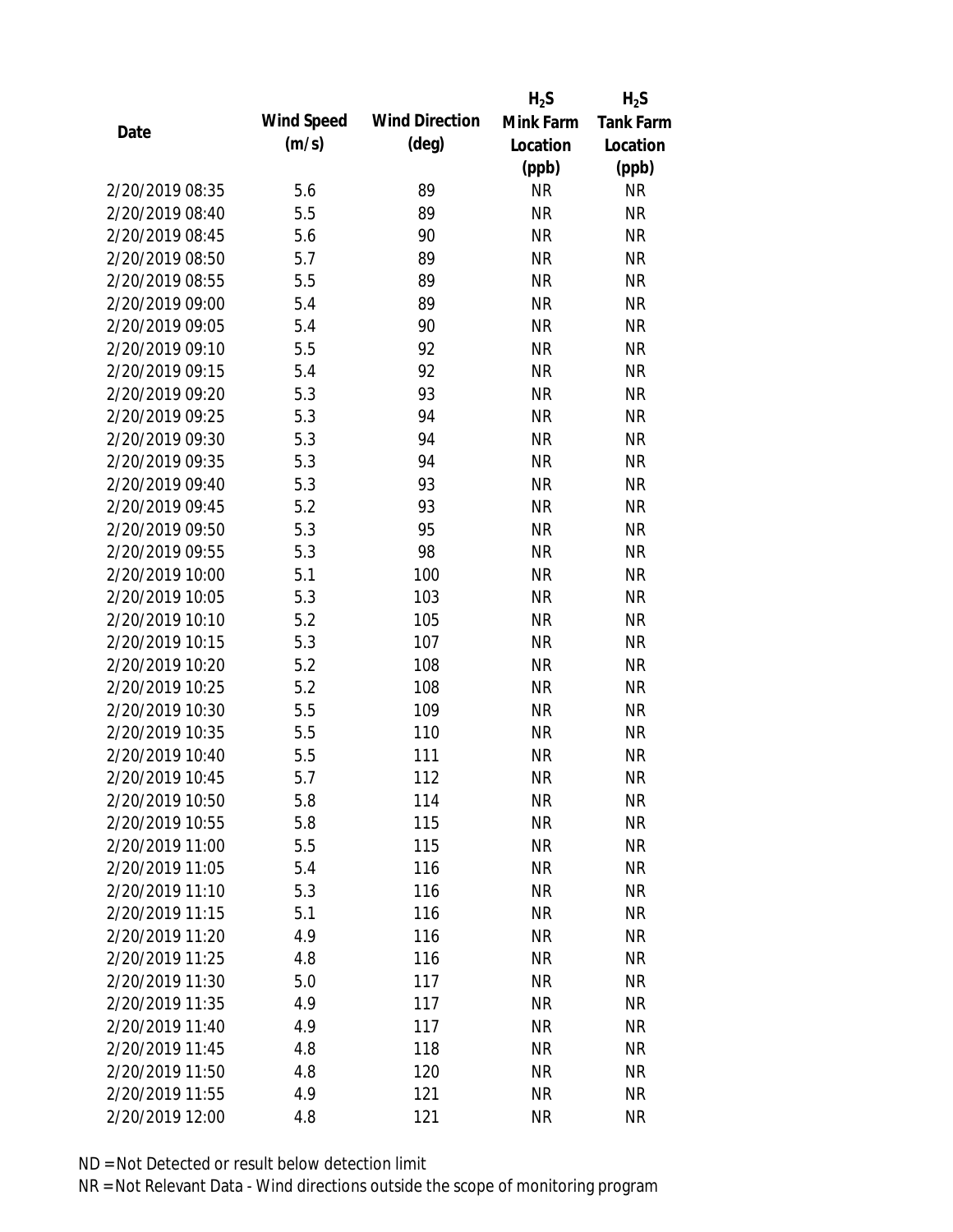|                 |            |                       | $H_2S$    | $H_2S$           |
|-----------------|------------|-----------------------|-----------|------------------|
| Date            | Wind Speed | <b>Wind Direction</b> | Mink Farm | <b>Tank Farm</b> |
|                 | (m/s)      | $(\text{deg})$        | Location  | Location         |
|                 |            |                       | (ppb)     | (ppb)            |
| 2/20/2019 08:35 | 5.6        | 89                    | <b>NR</b> | <b>NR</b>        |
| 2/20/2019 08:40 | 5.5        | 89                    | <b>NR</b> | <b>NR</b>        |
| 2/20/2019 08:45 | 5.6        | 90                    | <b>NR</b> | <b>NR</b>        |
| 2/20/2019 08:50 | 5.7        | 89                    | <b>NR</b> | <b>NR</b>        |
| 2/20/2019 08:55 | 5.5        | 89                    | <b>NR</b> | <b>NR</b>        |
| 2/20/2019 09:00 | 5.4        | 89                    | <b>NR</b> | <b>NR</b>        |
| 2/20/2019 09:05 | 5.4        | 90                    | <b>NR</b> | <b>NR</b>        |
| 2/20/2019 09:10 | 5.5        | 92                    | <b>NR</b> | <b>NR</b>        |
| 2/20/2019 09:15 | 5.4        | 92                    | <b>NR</b> | <b>NR</b>        |
| 2/20/2019 09:20 | 5.3        | 93                    | <b>NR</b> | <b>NR</b>        |
| 2/20/2019 09:25 | 5.3        | 94                    | <b>NR</b> | <b>NR</b>        |
| 2/20/2019 09:30 | 5.3        | 94                    | <b>NR</b> | <b>NR</b>        |
| 2/20/2019 09:35 | 5.3        | 94                    | <b>NR</b> | <b>NR</b>        |
| 2/20/2019 09:40 | 5.3        | 93                    | <b>NR</b> | <b>NR</b>        |
| 2/20/2019 09:45 | 5.2        | 93                    | <b>NR</b> | <b>NR</b>        |
| 2/20/2019 09:50 | 5.3        | 95                    | <b>NR</b> | <b>NR</b>        |
| 2/20/2019 09:55 | 5.3        | 98                    | <b>NR</b> | <b>NR</b>        |
| 2/20/2019 10:00 | 5.1        | 100                   | <b>NR</b> | <b>NR</b>        |
| 2/20/2019 10:05 | 5.3        | 103                   | <b>NR</b> | <b>NR</b>        |
| 2/20/2019 10:10 | 5.2        | 105                   | <b>NR</b> | <b>NR</b>        |
| 2/20/2019 10:15 | 5.3        | 107                   | <b>NR</b> | <b>NR</b>        |
| 2/20/2019 10:20 | 5.2        | 108                   | <b>NR</b> | <b>NR</b>        |
| 2/20/2019 10:25 | 5.2        | 108                   | <b>NR</b> | <b>NR</b>        |
| 2/20/2019 10:30 | 5.5        | 109                   | <b>NR</b> | <b>NR</b>        |
| 2/20/2019 10:35 | 5.5        | 110                   | <b>NR</b> | <b>NR</b>        |
| 2/20/2019 10:40 | 5.5        | 111                   | <b>NR</b> | <b>NR</b>        |
| 2/20/2019 10:45 | 5.7        | 112                   | <b>NR</b> | <b>NR</b>        |
| 2/20/2019 10:50 | 5.8        | 114                   | <b>NR</b> | <b>NR</b>        |
| 2/20/2019 10:55 | 5.8        | 115                   | <b>NR</b> | <b>NR</b>        |
| 2/20/2019 11:00 | 5.5        | 115                   | <b>NR</b> | <b>NR</b>        |
| 2/20/2019 11:05 | 5.4        | 116                   | <b>NR</b> | <b>NR</b>        |
| 2/20/2019 11:10 | 5.3        | 116                   | <b>NR</b> | <b>NR</b>        |
| 2/20/2019 11:15 | 5.1        | 116                   | <b>NR</b> | <b>NR</b>        |
| 2/20/2019 11:20 | 4.9        | 116                   | <b>NR</b> | <b>NR</b>        |
| 2/20/2019 11:25 | 4.8        | 116                   | <b>NR</b> | <b>NR</b>        |
| 2/20/2019 11:30 | 5.0        | 117                   | <b>NR</b> | <b>NR</b>        |
| 2/20/2019 11:35 | 4.9        | 117                   | <b>NR</b> | <b>NR</b>        |
| 2/20/2019 11:40 | 4.9        | 117                   | NR        | <b>NR</b>        |
| 2/20/2019 11:45 | 4.8        | 118                   | <b>NR</b> | <b>NR</b>        |
| 2/20/2019 11:50 | 4.8        | 120                   | <b>NR</b> | <b>NR</b>        |
| 2/20/2019 11:55 | 4.9        | 121                   | <b>NR</b> | <b>NR</b>        |
| 2/20/2019 12:00 | 4.8        | 121                   | <b>NR</b> | <b>NR</b>        |
|                 |            |                       |           |                  |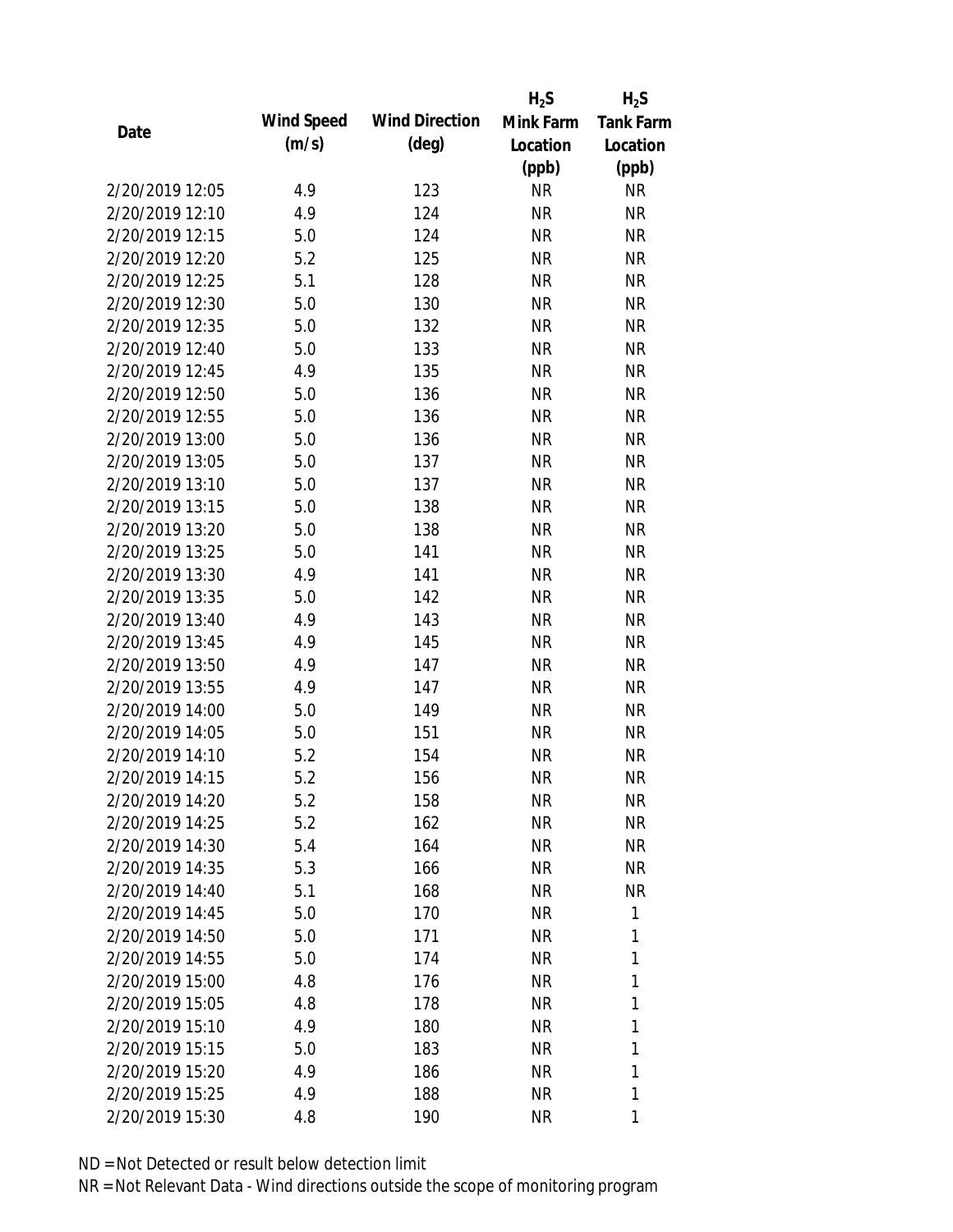|                 |            |                       | $H_2S$    | $H_2S$           |
|-----------------|------------|-----------------------|-----------|------------------|
| Date            | Wind Speed | <b>Wind Direction</b> | Mink Farm | <b>Tank Farm</b> |
|                 | (m/s)      | $(\text{deg})$        | Location  | Location         |
|                 |            |                       | (ppb)     | (ppb)            |
| 2/20/2019 12:05 | 4.9        | 123                   | <b>NR</b> | NR               |
| 2/20/2019 12:10 | 4.9        | 124                   | <b>NR</b> | <b>NR</b>        |
| 2/20/2019 12:15 | 5.0        | 124                   | <b>NR</b> | <b>NR</b>        |
| 2/20/2019 12:20 | 5.2        | 125                   | <b>NR</b> | <b>NR</b>        |
| 2/20/2019 12:25 | 5.1        | 128                   | <b>NR</b> | <b>NR</b>        |
| 2/20/2019 12:30 | 5.0        | 130                   | <b>NR</b> | <b>NR</b>        |
| 2/20/2019 12:35 | 5.0        | 132                   | <b>NR</b> | <b>NR</b>        |
| 2/20/2019 12:40 | 5.0        | 133                   | <b>NR</b> | <b>NR</b>        |
| 2/20/2019 12:45 | 4.9        | 135                   | <b>NR</b> | <b>NR</b>        |
| 2/20/2019 12:50 | 5.0        | 136                   | <b>NR</b> | <b>NR</b>        |
| 2/20/2019 12:55 | 5.0        | 136                   | <b>NR</b> | <b>NR</b>        |
| 2/20/2019 13:00 | 5.0        | 136                   | <b>NR</b> | <b>NR</b>        |
| 2/20/2019 13:05 | 5.0        | 137                   | <b>NR</b> | <b>NR</b>        |
| 2/20/2019 13:10 | 5.0        | 137                   | <b>NR</b> | <b>NR</b>        |
| 2/20/2019 13:15 | 5.0        | 138                   | <b>NR</b> | <b>NR</b>        |
| 2/20/2019 13:20 | 5.0        | 138                   | <b>NR</b> | <b>NR</b>        |
| 2/20/2019 13:25 | 5.0        | 141                   | <b>NR</b> | <b>NR</b>        |
| 2/20/2019 13:30 | 4.9        | 141                   | <b>NR</b> | <b>NR</b>        |
| 2/20/2019 13:35 | 5.0        | 142                   | <b>NR</b> | <b>NR</b>        |
| 2/20/2019 13:40 | 4.9        | 143                   | <b>NR</b> | <b>NR</b>        |
| 2/20/2019 13:45 | 4.9        | 145                   | <b>NR</b> | <b>NR</b>        |
| 2/20/2019 13:50 | 4.9        | 147                   | <b>NR</b> | <b>NR</b>        |
| 2/20/2019 13:55 | 4.9        | 147                   | <b>NR</b> | <b>NR</b>        |
| 2/20/2019 14:00 | 5.0        | 149                   | <b>NR</b> | <b>NR</b>        |
| 2/20/2019 14:05 | 5.0        | 151                   | <b>NR</b> | <b>NR</b>        |
| 2/20/2019 14:10 | 5.2        | 154                   | <b>NR</b> | <b>NR</b>        |
| 2/20/2019 14:15 | 5.2        | 156                   | <b>NR</b> | <b>NR</b>        |
| 2/20/2019 14:20 | 5.2        | 158                   | <b>NR</b> | <b>NR</b>        |
| 2/20/2019 14:25 | 5.2        | 162                   | <b>NR</b> | NR               |
| 2/20/2019 14:30 | 5.4        | 164                   | NR        | <b>NR</b>        |
| 2/20/2019 14:35 | 5.3        | 166                   | NR        | <b>NR</b>        |
| 2/20/2019 14:40 | 5.1        | 168                   | <b>NR</b> | NR               |
| 2/20/2019 14:45 | 5.0        | 170                   | <b>NR</b> | 1                |
| 2/20/2019 14:50 | 5.0        | 171                   | <b>NR</b> | 1                |
| 2/20/2019 14:55 | 5.0        | 174                   | <b>NR</b> | 1                |
| 2/20/2019 15:00 | 4.8        | 176                   | <b>NR</b> | 1                |
| 2/20/2019 15:05 | 4.8        | 178                   | <b>NR</b> | 1                |
| 2/20/2019 15:10 | 4.9        | 180                   | NR        | 1                |
| 2/20/2019 15:15 | 5.0        | 183                   | NR        | 1                |
| 2/20/2019 15:20 | 4.9        | 186                   | <b>NR</b> | 1                |
| 2/20/2019 15:25 | 4.9        | 188                   | <b>NR</b> | 1                |
| 2/20/2019 15:30 | 4.8        | 190                   | <b>NR</b> | 1                |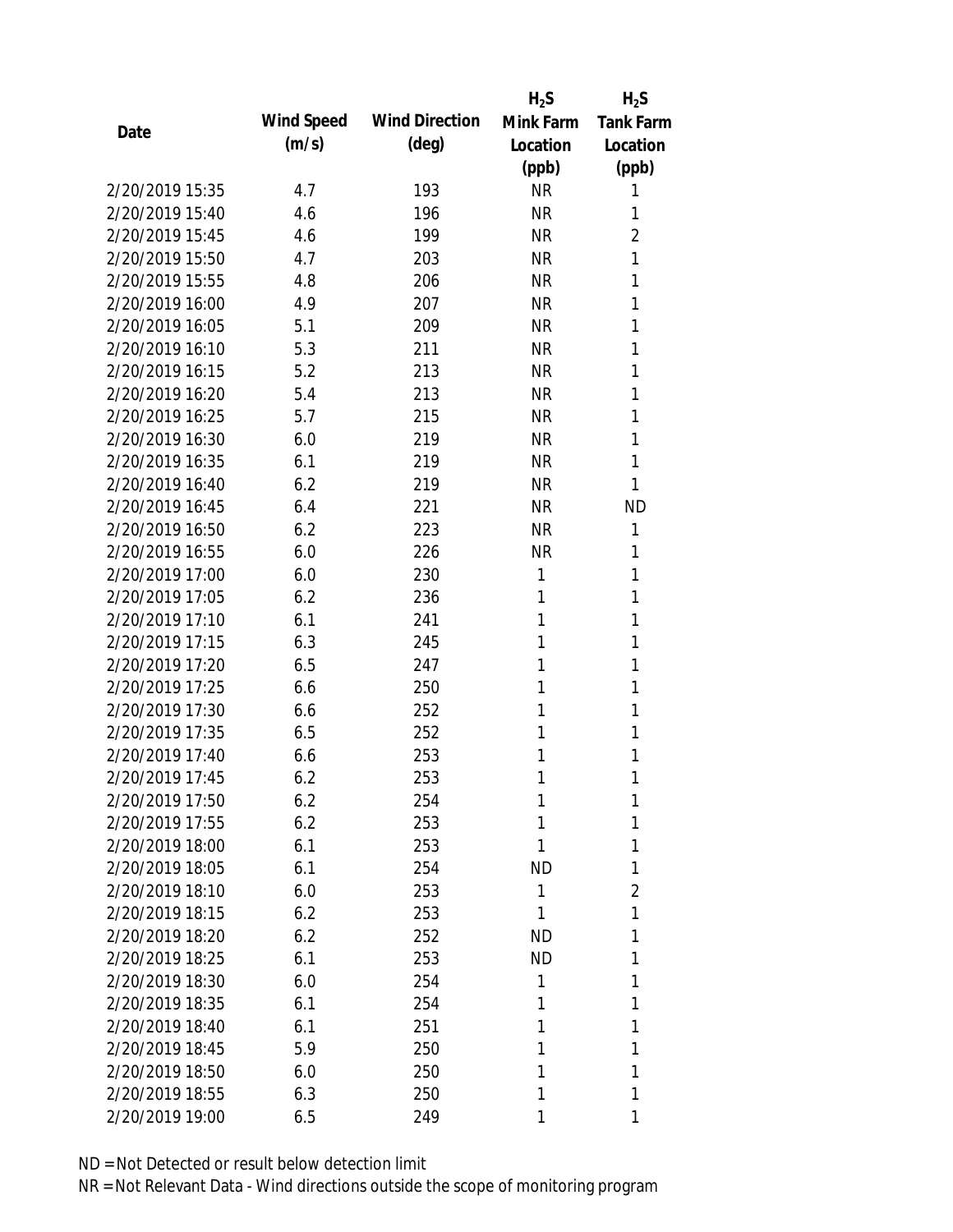|                 |            |                       | $H_2S$    | $H_2S$           |
|-----------------|------------|-----------------------|-----------|------------------|
|                 | Wind Speed | <b>Wind Direction</b> | Mink Farm | <b>Tank Farm</b> |
| Date            | (m/s)      | $(\text{deg})$        | Location  | Location         |
|                 |            |                       | (ppb)     | (ppb)            |
| 2/20/2019 15:35 | 4.7        | 193                   | <b>NR</b> | 1                |
| 2/20/2019 15:40 | 4.6        | 196                   | <b>NR</b> | 1                |
| 2/20/2019 15:45 | 4.6        | 199                   | <b>NR</b> | $\overline{2}$   |
| 2/20/2019 15:50 | 4.7        | 203                   | <b>NR</b> | 1                |
| 2/20/2019 15:55 | 4.8        | 206                   | <b>NR</b> | 1                |
| 2/20/2019 16:00 | 4.9        | 207                   | <b>NR</b> | 1                |
| 2/20/2019 16:05 | 5.1        | 209                   | <b>NR</b> | 1                |
| 2/20/2019 16:10 | 5.3        | 211                   | <b>NR</b> | 1                |
| 2/20/2019 16:15 | 5.2        | 213                   | <b>NR</b> | 1                |
| 2/20/2019 16:20 | 5.4        | 213                   | <b>NR</b> | 1                |
| 2/20/2019 16:25 | 5.7        | 215                   | <b>NR</b> | 1                |
| 2/20/2019 16:30 | 6.0        | 219                   | <b>NR</b> | 1                |
| 2/20/2019 16:35 | 6.1        | 219                   | <b>NR</b> | 1                |
| 2/20/2019 16:40 | 6.2        | 219                   | <b>NR</b> | 1                |
| 2/20/2019 16:45 | 6.4        | 221                   | <b>NR</b> | <b>ND</b>        |
| 2/20/2019 16:50 | 6.2        | 223                   | <b>NR</b> | 1                |
| 2/20/2019 16:55 | 6.0        | 226                   | <b>NR</b> | 1                |
| 2/20/2019 17:00 | 6.0        | 230                   | 1         | 1                |
| 2/20/2019 17:05 | 6.2        | 236                   | 1         | 1                |
| 2/20/2019 17:10 | 6.1        | 241                   | 1         | 1                |
| 2/20/2019 17:15 | 6.3        | 245                   | 1         | 1                |
| 2/20/2019 17:20 | 6.5        | 247                   | 1         | 1                |
| 2/20/2019 17:25 | 6.6        | 250                   | 1         | 1                |
| 2/20/2019 17:30 | 6.6        | 252                   | 1         | 1                |
| 2/20/2019 17:35 | 6.5        | 252                   | 1         | 1                |
| 2/20/2019 17:40 | 6.6        | 253                   | 1         | 1                |
| 2/20/2019 17:45 | 6.2        | 253                   | 1         | 1                |
| 2/20/2019 17:50 | 6.2        | 254                   | 1         | 1                |
| 2/20/2019 17:55 | 6.2        | 253                   | 1         | 1                |
| 2/20/2019 18:00 | 6.1        | 253                   | 1         | 1                |
| 2/20/2019 18:05 | 6.1        | 254                   | <b>ND</b> | 1                |
| 2/20/2019 18:10 | 6.0        | 253                   | 1         | 2                |
| 2/20/2019 18:15 | 6.2        | 253                   | 1         | 1                |
| 2/20/2019 18:20 | 6.2        | 252                   | <b>ND</b> | 1                |
| 2/20/2019 18:25 | 6.1        | 253                   | <b>ND</b> | 1                |
| 2/20/2019 18:30 | 6.0        | 254                   | 1         | 1                |
| 2/20/2019 18:35 | 6.1        | 254                   | 1         | 1                |
| 2/20/2019 18:40 | 6.1        | 251                   | 1         | 1                |
| 2/20/2019 18:45 | 5.9        | 250                   | 1         | 1                |
| 2/20/2019 18:50 | 6.0        | 250                   | 1         | 1                |
| 2/20/2019 18:55 | 6.3        | 250                   | 1         | 1                |
| 2/20/2019 19:00 | 6.5        | 249                   | 1         | 1                |
|                 |            |                       |           |                  |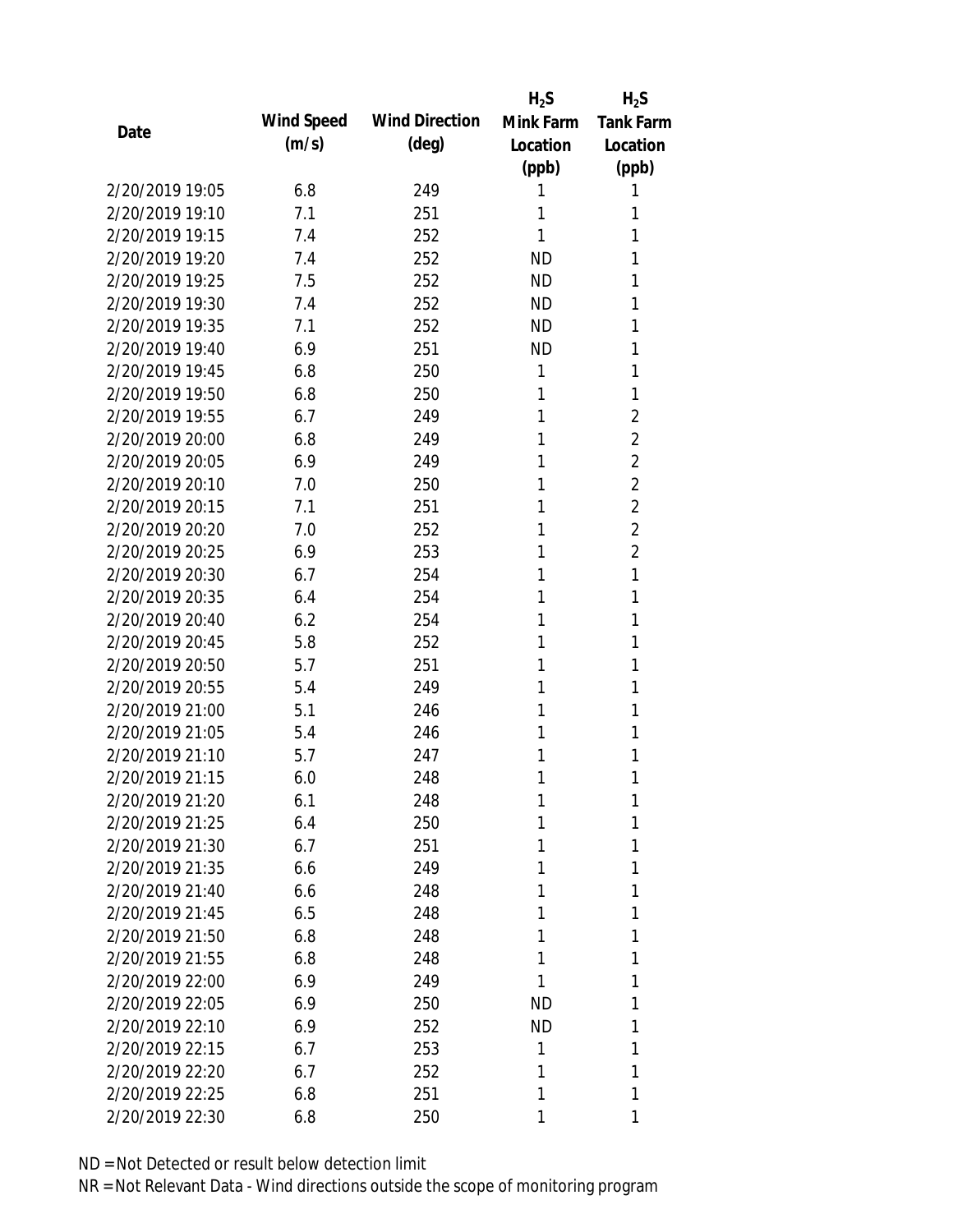|                 |            |                       | $H_2S$    | $H_2S$           |
|-----------------|------------|-----------------------|-----------|------------------|
| Date            | Wind Speed | <b>Wind Direction</b> | Mink Farm | <b>Tank Farm</b> |
|                 | (m/s)      | $(\text{deg})$        | Location  | Location         |
|                 |            |                       | (ppb)     | (ppb)            |
| 2/20/2019 19:05 | 6.8        | 249                   | 1         | 1                |
| 2/20/2019 19:10 | 7.1        | 251                   | 1         | 1                |
| 2/20/2019 19:15 | 7.4        | 252                   | 1         | 1                |
| 2/20/2019 19:20 | 7.4        | 252                   | <b>ND</b> | 1                |
| 2/20/2019 19:25 | 7.5        | 252                   | <b>ND</b> | 1                |
| 2/20/2019 19:30 | 7.4        | 252                   | ND.       | 1                |
| 2/20/2019 19:35 | 7.1        | 252                   | <b>ND</b> | 1                |
| 2/20/2019 19:40 | 6.9        | 251                   | <b>ND</b> | 1                |
| 2/20/2019 19:45 | 6.8        | 250                   | 1         | 1                |
| 2/20/2019 19:50 | 6.8        | 250                   | 1         | 1                |
| 2/20/2019 19:55 | 6.7        | 249                   | 1         | 2                |
| 2/20/2019 20:00 | 6.8        | 249                   | 1         | $\overline{2}$   |
| 2/20/2019 20:05 | 6.9        | 249                   | 1         | $\overline{2}$   |
| 2/20/2019 20:10 | 7.0        | 250                   | 1         | $\overline{2}$   |
| 2/20/2019 20:15 | 7.1        | 251                   | 1         | $\overline{2}$   |
| 2/20/2019 20:20 | 7.0        | 252                   | 1         | $\overline{2}$   |
| 2/20/2019 20:25 | 6.9        | 253                   | 1         | $\overline{2}$   |
| 2/20/2019 20:30 | 6.7        | 254                   | 1         | 1                |
| 2/20/2019 20:35 | 6.4        | 254                   | 1         | 1                |
| 2/20/2019 20:40 | 6.2        | 254                   | 1         | 1                |
| 2/20/2019 20:45 | 5.8        | 252                   | 1         | 1                |
| 2/20/2019 20:50 | 5.7        | 251                   | 1         | 1                |
| 2/20/2019 20:55 | 5.4        | 249                   | 1         | 1                |
| 2/20/2019 21:00 | 5.1        | 246                   | 1         | 1                |
| 2/20/2019 21:05 | 5.4        | 246                   | 1         | 1                |
| 2/20/2019 21:10 | 5.7        | 247                   | 1         | 1                |
| 2/20/2019 21:15 | 6.0        | 248                   | 1         | 1                |
| 2/20/2019 21:20 | 6.1        | 248                   | 1         | 1                |
| 2/20/2019 21:25 | 6.4        | 250                   | 1         | 1                |
| 2/20/2019 21:30 | 6.7        | 251                   | 1         | 1                |
| 2/20/2019 21:35 | 6.6        | 249                   | 1         | 1                |
| 2/20/2019 21:40 | 6.6        | 248                   | 1         | 1                |
| 2/20/2019 21:45 | 6.5        | 248                   | 1         | 1                |
| 2/20/2019 21:50 | 6.8        | 248                   | 1         | 1                |
| 2/20/2019 21:55 | 6.8        | 248                   | 1         | 1                |
| 2/20/2019 22:00 | 6.9        | 249                   | 1         | 1                |
| 2/20/2019 22:05 | 6.9        | 250                   | ND        | 1                |
| 2/20/2019 22:10 | 6.9        | 252                   | ND.       | 1                |
| 2/20/2019 22:15 | 6.7        | 253                   | 1         | 1                |
| 2/20/2019 22:20 | 6.7        | 252                   | 1         | 1                |
| 2/20/2019 22:25 | 6.8        | 251                   | 1         | 1                |
| 2/20/2019 22:30 | 6.8        | 250                   | 1         | 1                |
|                 |            |                       |           |                  |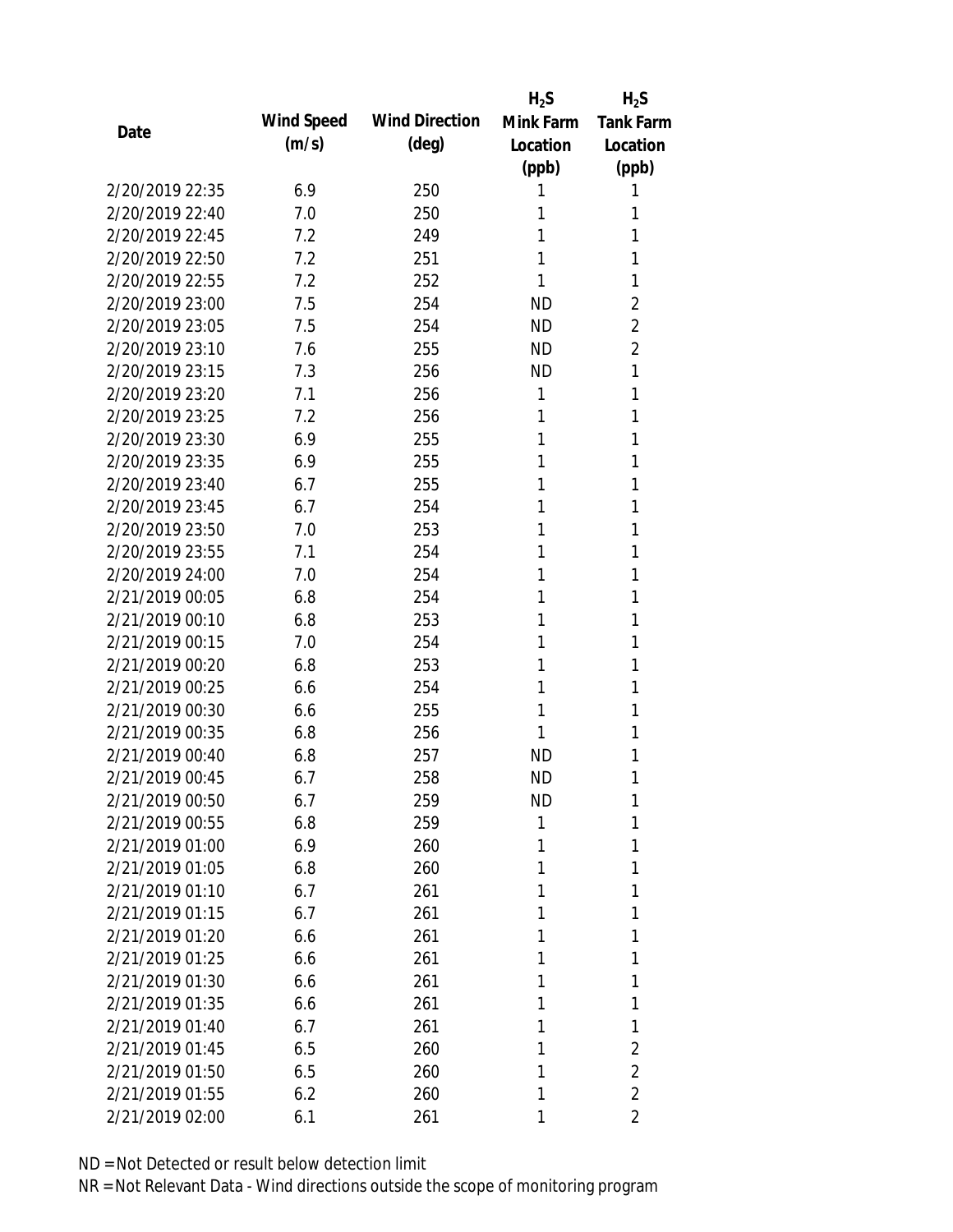|                 |            |                       | $H_2S$    | $H_2S$           |
|-----------------|------------|-----------------------|-----------|------------------|
| Date            | Wind Speed | <b>Wind Direction</b> | Mink Farm | <b>Tank Farm</b> |
|                 | (m/s)      | $(\text{deg})$        | Location  | Location         |
|                 |            |                       | (ppb)     | (ppb)            |
| 2/20/2019 22:35 | 6.9        | 250                   | 1         | 1                |
| 2/20/2019 22:40 | 7.0        | 250                   | 1         | 1                |
| 2/20/2019 22:45 | 7.2        | 249                   | 1         | 1                |
| 2/20/2019 22:50 | 7.2        | 251                   | 1         | 1                |
| 2/20/2019 22:55 | 7.2        | 252                   | 1         | 1                |
| 2/20/2019 23:00 | 7.5        | 254                   | <b>ND</b> | 2                |
| 2/20/2019 23:05 | 7.5        | 254                   | <b>ND</b> | $\overline{2}$   |
| 2/20/2019 23:10 | 7.6        | 255                   | <b>ND</b> | 2                |
| 2/20/2019 23:15 | 7.3        | 256                   | <b>ND</b> | 1                |
| 2/20/2019 23:20 | 7.1        | 256                   | 1         | 1                |
| 2/20/2019 23:25 | 7.2        | 256                   | 1         | 1                |
| 2/20/2019 23:30 | 6.9        | 255                   | 1         | 1                |
| 2/20/2019 23:35 | 6.9        | 255                   | 1         | 1                |
| 2/20/2019 23:40 | 6.7        | 255                   | 1         | 1                |
| 2/20/2019 23:45 | 6.7        | 254                   | 1         | 1                |
| 2/20/2019 23:50 | 7.0        | 253                   | 1         | 1                |
| 2/20/2019 23:55 | 7.1        | 254                   | 1         | 1                |
| 2/20/2019 24:00 | 7.0        | 254                   | 1         | 1                |
| 2/21/2019 00:05 | 6.8        | 254                   | 1         | 1                |
| 2/21/2019 00:10 | 6.8        | 253                   | 1         | 1                |
| 2/21/2019 00:15 | 7.0        | 254                   | 1         | 1                |
| 2/21/2019 00:20 | 6.8        | 253                   | 1         | 1                |
| 2/21/2019 00:25 | 6.6        | 254                   | 1         | 1                |
| 2/21/2019 00:30 | 6.6        | 255                   | 1         | 1                |
| 2/21/2019 00:35 | 6.8        | 256                   | 1         | 1                |
| 2/21/2019 00:40 | 6.8        | 257                   | <b>ND</b> | 1                |
| 2/21/2019 00:45 | 6.7        | 258                   | <b>ND</b> | 1                |
| 2/21/2019 00:50 | 6.7        | 259                   | <b>ND</b> | 1                |
| 2/21/2019 00:55 | 6.8        | 259                   | 1         | 1                |
| 2/21/2019 01:00 | 6.9        | 260                   | 1         | 1                |
| 2/21/2019 01:05 | 6.8        | 260                   | 1         | 1                |
| 2/21/2019 01:10 | 6.7        | 261                   | 1         | 1                |
| 2/21/2019 01:15 | 6.7        | 261                   | 1         | 1                |
| 2/21/2019 01:20 | 6.6        | 261                   | 1         | 1                |
| 2/21/2019 01:25 | 6.6        | 261                   | 1         | 1                |
| 2/21/2019 01:30 | 6.6        | 261                   | 1         | 1                |
| 2/21/2019 01:35 | 6.6        | 261                   | 1         | 1                |
| 2/21/2019 01:40 | 6.7        | 261                   | 1         | 1                |
| 2/21/2019 01:45 | 6.5        | 260                   | 1         | 2                |
| 2/21/2019 01:50 | 6.5        | 260                   | 1         | $\overline{2}$   |
| 2/21/2019 01:55 | 6.2        | 260                   | 1         | $\overline{2}$   |
| 2/21/2019 02:00 | 6.1        | 261                   | 1         | 2                |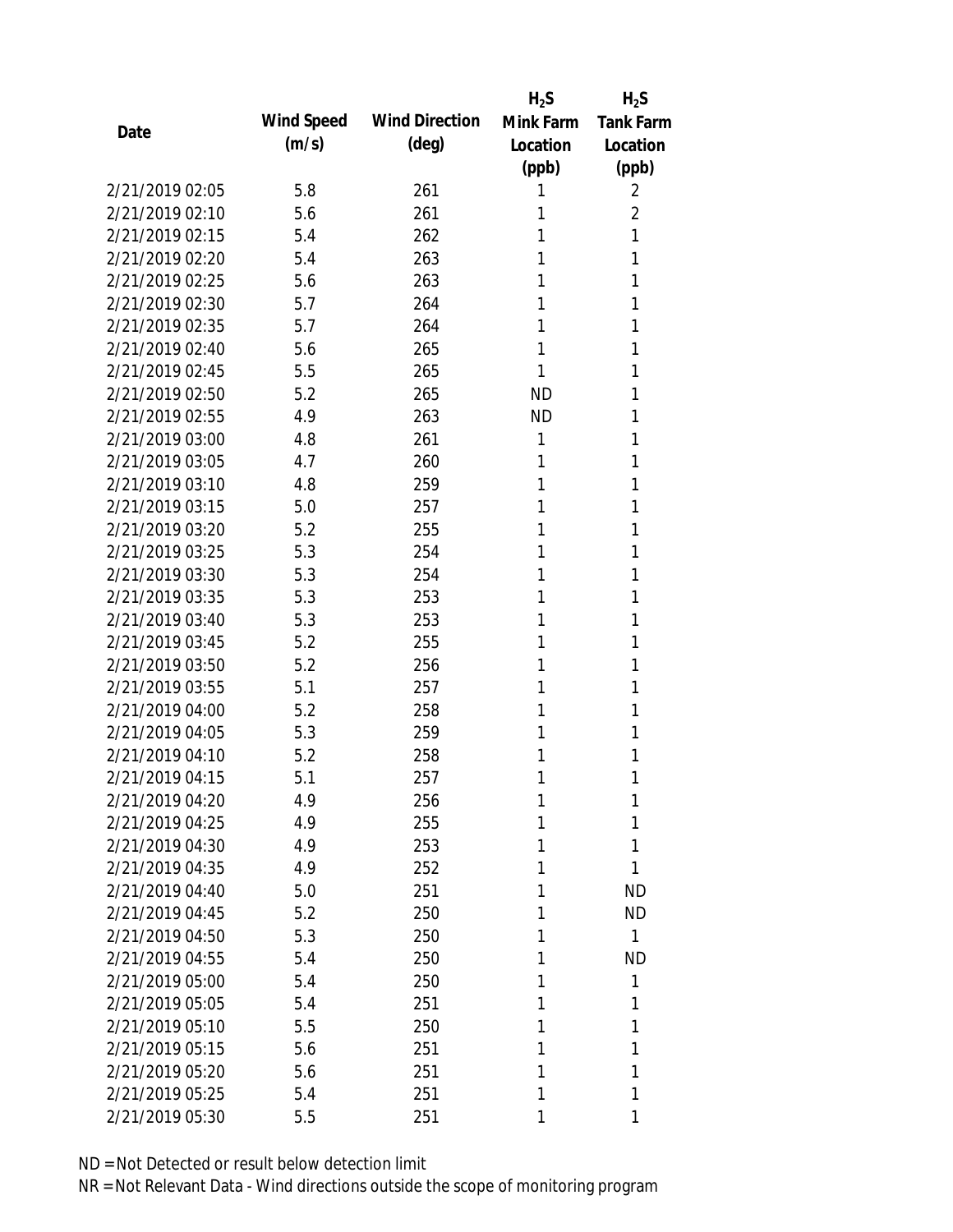|                 |            |                       | $H_2S$    | $H_2S$           |
|-----------------|------------|-----------------------|-----------|------------------|
|                 | Wind Speed | <b>Wind Direction</b> | Mink Farm | <b>Tank Farm</b> |
| Date            | (m/s)      | $(\text{deg})$        | Location  | Location         |
|                 |            |                       | (ppb)     | (ppb)            |
| 2/21/2019 02:05 | 5.8        | 261                   | 1         | 2                |
| 2/21/2019 02:10 | 5.6        | 261                   | 1         | 2                |
| 2/21/2019 02:15 | 5.4        | 262                   | 1         | 1                |
| 2/21/2019 02:20 | 5.4        | 263                   | 1         | 1                |
| 2/21/2019 02:25 | 5.6        | 263                   | 1         | 1                |
| 2/21/2019 02:30 | 5.7        | 264                   | 1         | 1                |
| 2/21/2019 02:35 | 5.7        | 264                   | 1         | 1                |
| 2/21/2019 02:40 | 5.6        | 265                   | 1         | 1                |
| 2/21/2019 02:45 | 5.5        | 265                   | 1         | 1                |
| 2/21/2019 02:50 | 5.2        | 265                   | <b>ND</b> | 1                |
| 2/21/2019 02:55 | 4.9        | 263                   | <b>ND</b> | 1                |
| 2/21/2019 03:00 | 4.8        | 261                   | 1         | 1                |
| 2/21/2019 03:05 | 4.7        | 260                   | 1         | 1                |
| 2/21/2019 03:10 | 4.8        | 259                   | 1         | 1                |
| 2/21/2019 03:15 | 5.0        | 257                   | 1         | 1                |
| 2/21/2019 03:20 | 5.2        | 255                   | 1         | 1                |
| 2/21/2019 03:25 | 5.3        | 254                   | 1         | 1                |
| 2/21/2019 03:30 | 5.3        | 254                   | 1         | 1                |
| 2/21/2019 03:35 | 5.3        | 253                   | 1         | 1                |
| 2/21/2019 03:40 | 5.3        | 253                   | 1         | 1                |
| 2/21/2019 03:45 | 5.2        | 255                   | 1         | 1                |
| 2/21/2019 03:50 | 5.2        | 256                   | 1         | 1                |
| 2/21/2019 03:55 | 5.1        | 257                   | 1         | 1                |
| 2/21/2019 04:00 | 5.2        | 258                   | 1         | 1                |
| 2/21/2019 04:05 | 5.3        | 259                   | 1         | 1                |
| 2/21/2019 04:10 | 5.2        | 258                   | 1         | 1                |
| 2/21/2019 04:15 | 5.1        | 257                   | 1         | 1                |
| 2/21/2019 04:20 | 4.9        | 256                   | 1         | 1                |
| 2/21/2019 04:25 | 4.9        | 255                   | 1         | 1                |
| 2/21/2019 04:30 | 4.9        | 253                   | 1         | 1                |
| 2/21/2019 04:35 | 4.9        | 252                   | 1         | 1                |
| 2/21/2019 04:40 | 5.0        | 251                   | 1         | <b>ND</b>        |
| 2/21/2019 04:45 | 5.2        | 250                   | 1         | <b>ND</b>        |
| 2/21/2019 04:50 | 5.3        | 250                   | 1         | $\mathbf{1}$     |
| 2/21/2019 04:55 | 5.4        | 250                   | 1         | <b>ND</b>        |
| 2/21/2019 05:00 | 5.4        | 250                   | 1         | 1                |
| 2/21/2019 05:05 | 5.4        | 251                   | 1         | 1                |
| 2/21/2019 05:10 | 5.5        | 250                   | 1         | 1                |
| 2/21/2019 05:15 | 5.6        | 251                   | 1         | 1                |
| 2/21/2019 05:20 | 5.6        | 251                   | 1         | 1                |
| 2/21/2019 05:25 | 5.4        | 251                   | 1         | 1                |
| 2/21/2019 05:30 | 5.5        | 251                   | 1         | 1                |
|                 |            |                       |           |                  |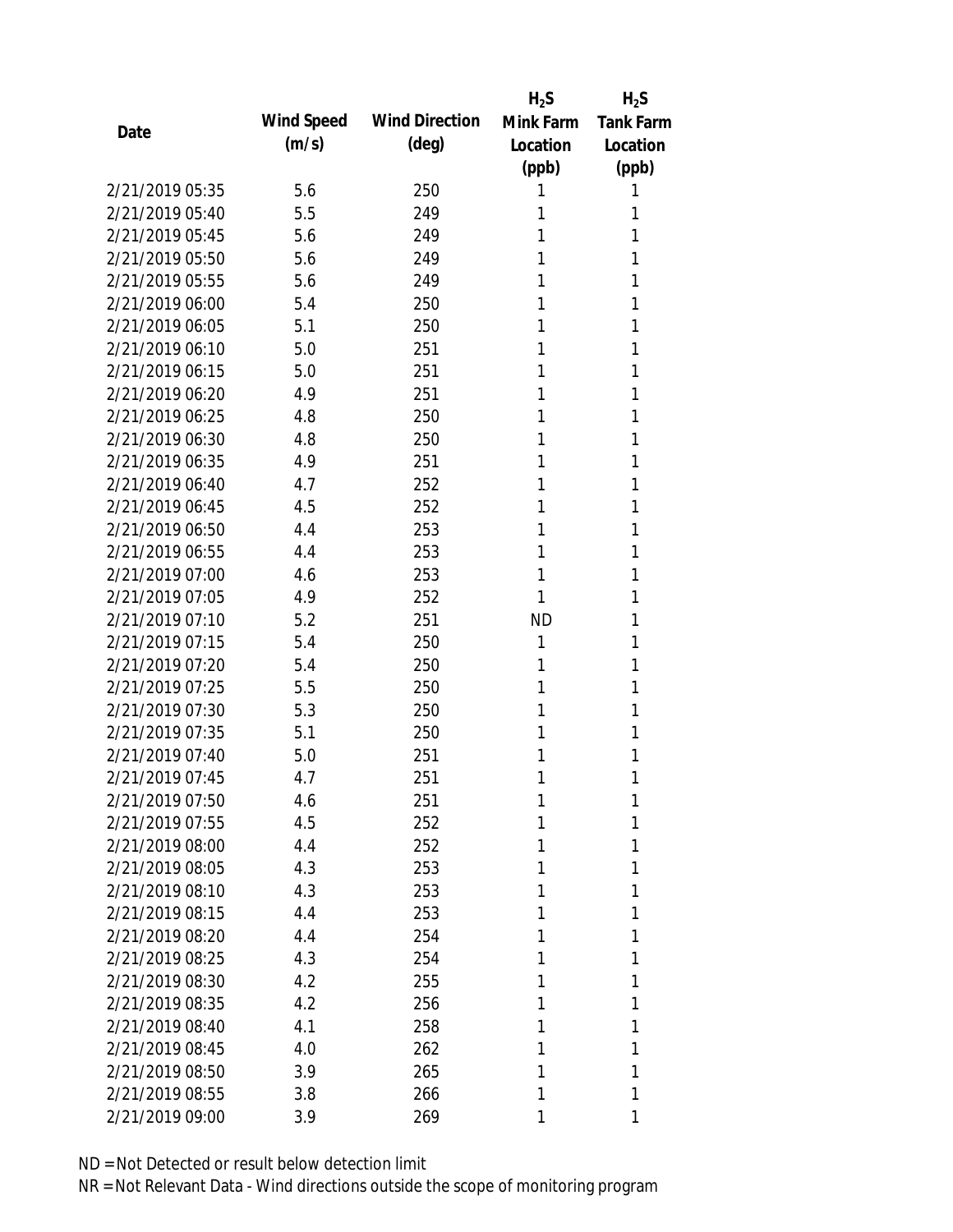|                 |            |                       | $H_2S$    | $H_2S$           |
|-----------------|------------|-----------------------|-----------|------------------|
| Date            | Wind Speed | <b>Wind Direction</b> | Mink Farm | <b>Tank Farm</b> |
|                 | (m/s)      | $(\text{deg})$        | Location  | Location         |
|                 |            |                       | (ppb)     | (ppb)            |
| 2/21/2019 05:35 | 5.6        | 250                   | 1         | 1                |
| 2/21/2019 05:40 | 5.5        | 249                   | 1         | 1                |
| 2/21/2019 05:45 | 5.6        | 249                   | 1         | 1                |
| 2/21/2019 05:50 | 5.6        | 249                   | 1         | 1                |
| 2/21/2019 05:55 | 5.6        | 249                   | 1         | 1                |
| 2/21/2019 06:00 | 5.4        | 250                   | 1         | 1                |
| 2/21/2019 06:05 | 5.1        | 250                   | 1         | 1                |
| 2/21/2019 06:10 | 5.0        | 251                   | 1         | 1                |
| 2/21/2019 06:15 | 5.0        | 251                   | 1         | 1                |
| 2/21/2019 06:20 | 4.9        | 251                   | 1         | 1                |
| 2/21/2019 06:25 | 4.8        | 250                   | 1         | 1                |
| 2/21/2019 06:30 | 4.8        | 250                   | 1         | 1                |
| 2/21/2019 06:35 | 4.9        | 251                   | 1         | 1                |
| 2/21/2019 06:40 | 4.7        | 252                   | 1         | 1                |
| 2/21/2019 06:45 | 4.5        | 252                   | 1         | 1                |
| 2/21/2019 06:50 | 4.4        | 253                   | 1         | 1                |
| 2/21/2019 06:55 | 4.4        | 253                   | 1         | 1                |
| 2/21/2019 07:00 | 4.6        | 253                   | 1         | 1                |
| 2/21/2019 07:05 | 4.9        | 252                   | 1         | 1                |
| 2/21/2019 07:10 | 5.2        | 251                   | <b>ND</b> | 1                |
| 2/21/2019 07:15 | 5.4        | 250                   | 1         | 1                |
| 2/21/2019 07:20 | 5.4        | 250                   | 1         | 1                |
| 2/21/2019 07:25 | 5.5        | 250                   | 1         | 1                |
| 2/21/2019 07:30 | 5.3        | 250                   | 1         | 1                |
| 2/21/2019 07:35 | 5.1        | 250                   | 1         | 1                |
| 2/21/2019 07:40 | 5.0        | 251                   | 1         | 1                |
| 2/21/2019 07:45 | 4.7        | 251                   | 1         | 1                |
| 2/21/2019 07:50 | 4.6        | 251                   | 1         | 1                |
| 2/21/2019 07:55 | 4.5        | 252                   | 1         | 1                |
| 2/21/2019 08:00 | 4.4        | 252                   | 1         | 1                |
| 2/21/2019 08:05 | 4.3        | 253                   | 1         | 1                |
| 2/21/2019 08:10 | 4.3        | 253                   | 1         | 1                |
| 2/21/2019 08:15 | 4.4        | 253                   | 1         | 1                |
| 2/21/2019 08:20 | 4.4        | 254                   | 1         | 1                |
| 2/21/2019 08:25 | 4.3        | 254                   | 1         | 1                |
| 2/21/2019 08:30 | 4.2        | 255                   | 1         | 1                |
| 2/21/2019 08:35 | 4.2        | 256                   | 1         | 1                |
| 2/21/2019 08:40 | 4.1        | 258                   | 1         | 1                |
| 2/21/2019 08:45 | 4.0        | 262                   | 1         | 1                |
| 2/21/2019 08:50 | 3.9        | 265                   | 1         | 1                |
| 2/21/2019 08:55 | 3.8        | 266                   | 1         | 1                |
| 2/21/2019 09:00 | 3.9        | 269                   | 1         | 1                |
|                 |            |                       |           |                  |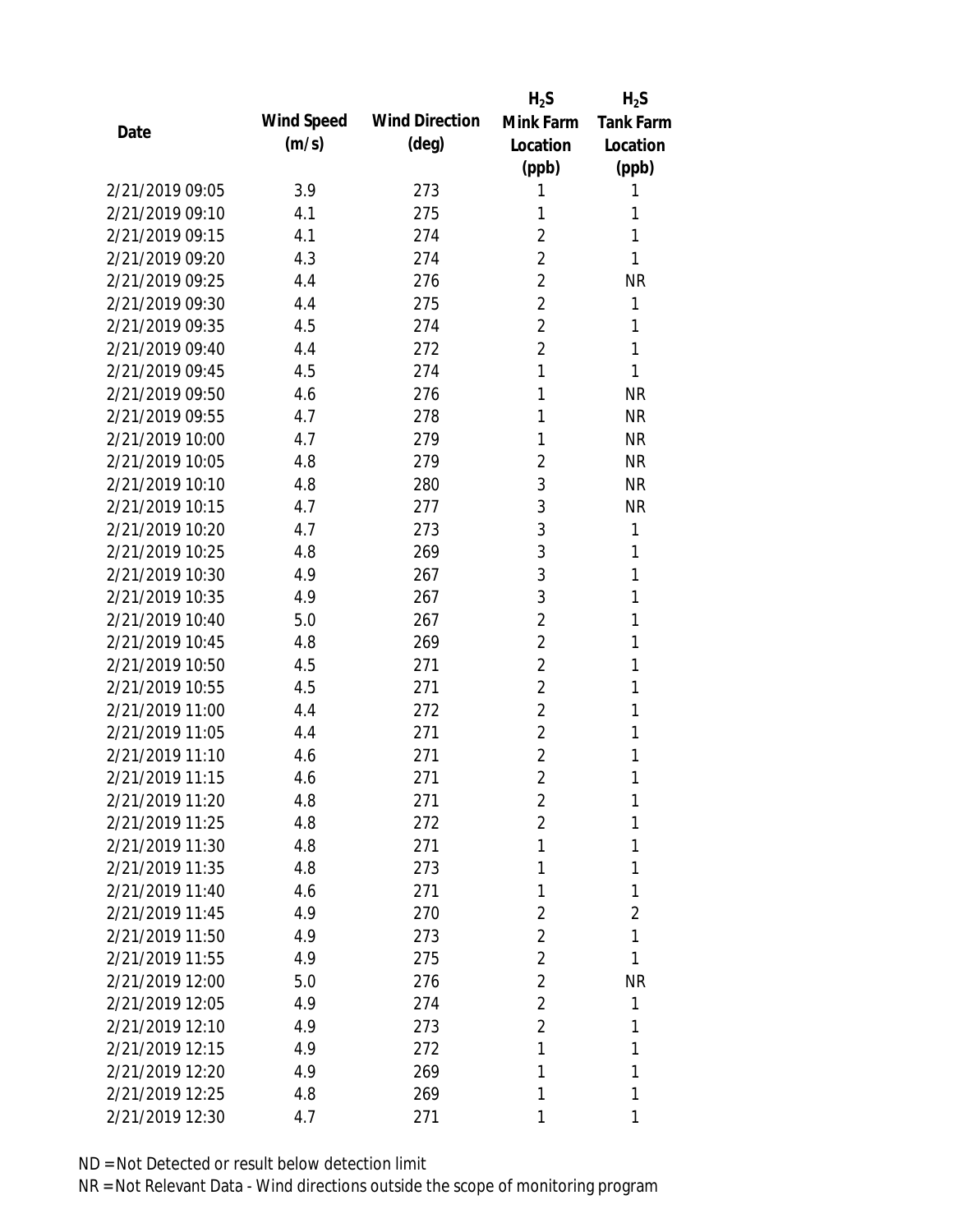|                 |            |                       | $H_2S$         | $H_2S$           |
|-----------------|------------|-----------------------|----------------|------------------|
| Date            | Wind Speed | <b>Wind Direction</b> | Mink Farm      | <b>Tank Farm</b> |
|                 | (m/s)      | $(\text{deg})$        | Location       | Location         |
|                 |            |                       | (ppb)          | (ppb)            |
| 2/21/2019 09:05 | 3.9        | 273                   | 1              | 1                |
| 2/21/2019 09:10 | 4.1        | 275                   | 1              | 1                |
| 2/21/2019 09:15 | 4.1        | 274                   | $\overline{2}$ | 1                |
| 2/21/2019 09:20 | 4.3        | 274                   | $\overline{2}$ | 1                |
| 2/21/2019 09:25 | 4.4        | 276                   | $\overline{2}$ | <b>NR</b>        |
| 2/21/2019 09:30 | 4.4        | 275                   | $\overline{2}$ | 1                |
| 2/21/2019 09:35 | 4.5        | 274                   | 2              | 1                |
| 2/21/2019 09:40 | 4.4        | 272                   | $\overline{2}$ | 1                |
| 2/21/2019 09:45 | 4.5        | 274                   | 1              | 1                |
| 2/21/2019 09:50 | 4.6        | 276                   | 1              | <b>NR</b>        |
| 2/21/2019 09:55 | 4.7        | 278                   | 1              | <b>NR</b>        |
| 2/21/2019 10:00 | 4.7        | 279                   | 1              | <b>NR</b>        |
| 2/21/2019 10:05 | 4.8        | 279                   | 2              | <b>NR</b>        |
| 2/21/2019 10:10 | 4.8        | 280                   | 3              | <b>NR</b>        |
| 2/21/2019 10:15 | 4.7        | 277                   | 3              | <b>NR</b>        |
| 2/21/2019 10:20 | 4.7        | 273                   | 3              | 1                |
| 2/21/2019 10:25 | 4.8        | 269                   | 3              | 1                |
| 2/21/2019 10:30 | 4.9        | 267                   | 3              | 1                |
| 2/21/2019 10:35 | 4.9        | 267                   | 3              | 1                |
| 2/21/2019 10:40 | 5.0        | 267                   | $\overline{2}$ | 1                |
| 2/21/2019 10:45 | 4.8        | 269                   | 2              | 1                |
| 2/21/2019 10:50 | 4.5        | 271                   | $\overline{2}$ | 1                |
| 2/21/2019 10:55 | 4.5        | 271                   | $\overline{2}$ | 1                |
| 2/21/2019 11:00 | 4.4        | 272                   | $\overline{2}$ | 1                |
| 2/21/2019 11:05 | 4.4        | 271                   | $\overline{2}$ | 1                |
| 2/21/2019 11:10 | 4.6        | 271                   | $\overline{2}$ | 1                |
| 2/21/2019 11:15 | 4.6        | 271                   | $\overline{2}$ | 1                |
| 2/21/2019 11:20 | 4.8        | 271                   | 2              | 1                |
| 2/21/2019 11:25 | 4.8        | 272                   | $\overline{2}$ | 1                |
| 2/21/2019 11:30 | 4.8        | 271                   | 1              | 1                |
| 2/21/2019 11:35 | 4.8        | 273                   | 1              | 1                |
| 2/21/2019 11:40 | 4.6        | 271                   | 1              | 1                |
| 2/21/2019 11:45 | 4.9        | 270                   | 2              | 2                |
| 2/21/2019 11:50 | 4.9        | 273                   | $\overline{2}$ | 1                |
| 2/21/2019 11:55 | 4.9        | 275                   | 2              | 1                |
| 2/21/2019 12:00 | 5.0        | 276                   | 2              | <b>NR</b>        |
| 2/21/2019 12:05 | 4.9        | 274                   | $\overline{2}$ | 1                |
| 2/21/2019 12:10 | 4.9        | 273                   | $\overline{2}$ | 1                |
| 2/21/2019 12:15 | 4.9        | 272                   | 1              | 1                |
| 2/21/2019 12:20 | 4.9        | 269                   | 1              | 1                |
| 2/21/2019 12:25 | 4.8        | 269                   | 1              | 1                |
| 2/21/2019 12:30 | 4.7        | 271                   | 1              | 1                |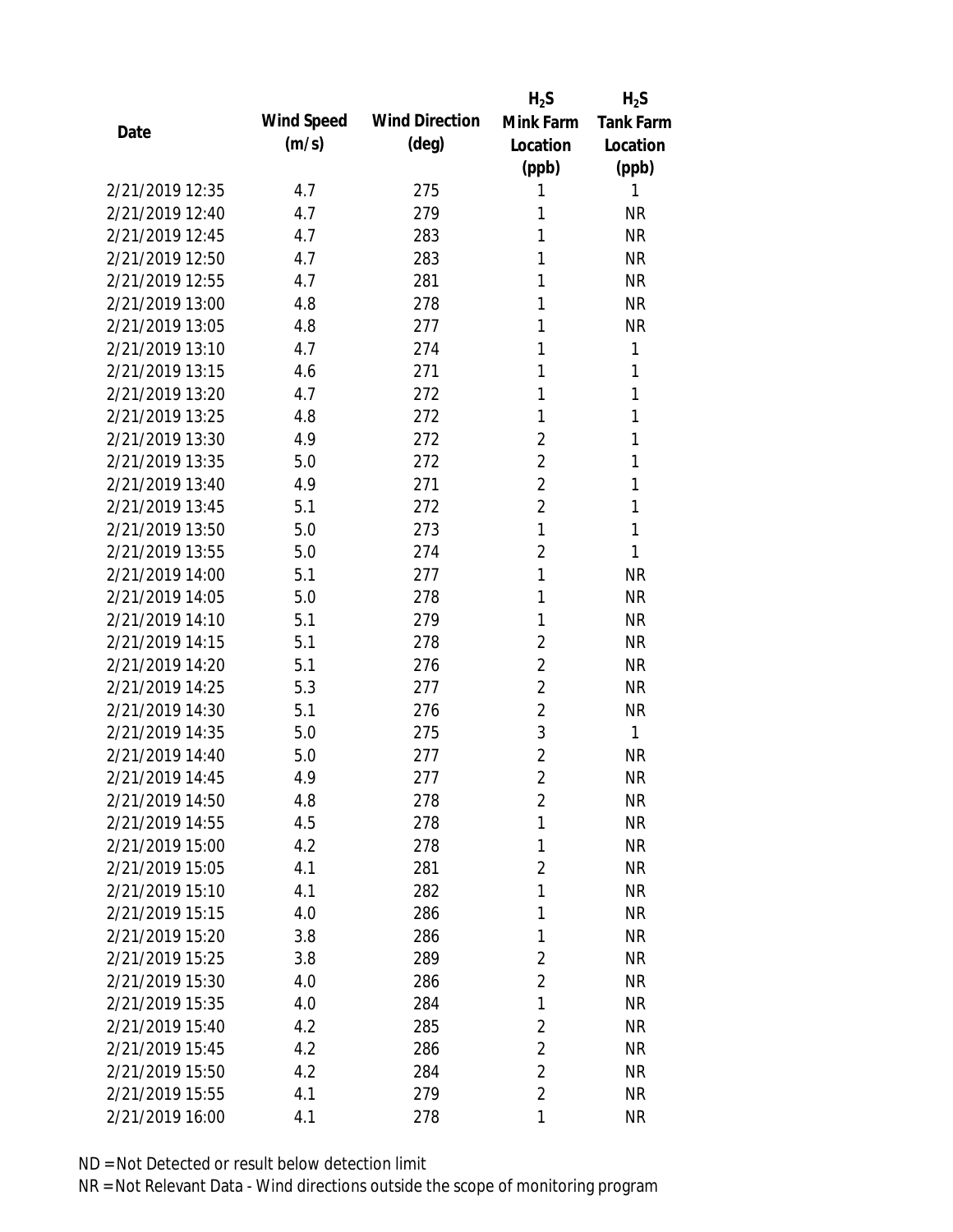|                 |            |                       | $H_2S$         | $H_2S$           |
|-----------------|------------|-----------------------|----------------|------------------|
| Date            | Wind Speed | <b>Wind Direction</b> | Mink Farm      | <b>Tank Farm</b> |
|                 | (m/s)      | $(\text{deg})$        | Location       | Location         |
|                 |            |                       | (ppb)          | (ppb)            |
| 2/21/2019 12:35 | 4.7        | 275                   | 1              | 1                |
| 2/21/2019 12:40 | 4.7        | 279                   | 1              | <b>NR</b>        |
| 2/21/2019 12:45 | 4.7        | 283                   | 1              | <b>NR</b>        |
| 2/21/2019 12:50 | 4.7        | 283                   | 1              | <b>NR</b>        |
| 2/21/2019 12:55 | 4.7        | 281                   | 1              | <b>NR</b>        |
| 2/21/2019 13:00 | 4.8        | 278                   | 1              | <b>NR</b>        |
| 2/21/2019 13:05 | 4.8        | 277                   | 1              | <b>NR</b>        |
| 2/21/2019 13:10 | 4.7        | 274                   | 1              | 1                |
| 2/21/2019 13:15 | 4.6        | 271                   | 1              | 1                |
| 2/21/2019 13:20 | 4.7        | 272                   | 1              | 1                |
| 2/21/2019 13:25 | 4.8        | 272                   | 1              | 1                |
| 2/21/2019 13:30 | 4.9        | 272                   | 2              | 1                |
| 2/21/2019 13:35 | 5.0        | 272                   | $\overline{2}$ | 1                |
| 2/21/2019 13:40 | 4.9        | 271                   | $\overline{2}$ | 1                |
| 2/21/2019 13:45 | 5.1        | 272                   | $\overline{2}$ | 1                |
| 2/21/2019 13:50 | 5.0        | 273                   | 1              | 1                |
| 2/21/2019 13:55 | 5.0        | 274                   | $\overline{2}$ | 1                |
| 2/21/2019 14:00 | 5.1        | 277                   | 1              | <b>NR</b>        |
| 2/21/2019 14:05 | 5.0        | 278                   | 1              | <b>NR</b>        |
| 2/21/2019 14:10 | 5.1        | 279                   | 1              | <b>NR</b>        |
| 2/21/2019 14:15 | 5.1        | 278                   | $\overline{2}$ | <b>NR</b>        |
| 2/21/2019 14:20 | 5.1        | 276                   | 2              | <b>NR</b>        |
| 2/21/2019 14:25 | 5.3        | 277                   | 2              | <b>NR</b>        |
| 2/21/2019 14:30 | 5.1        | 276                   | $\overline{2}$ | <b>NR</b>        |
| 2/21/2019 14:35 | 5.0        | 275                   | 3              | 1                |
| 2/21/2019 14:40 | 5.0        | 277                   | $\overline{2}$ | <b>NR</b>        |
| 2/21/2019 14:45 | 4.9        | 277                   | $\overline{2}$ | <b>NR</b>        |
| 2/21/2019 14:50 | 4.8        | 278                   | $\overline{2}$ | <b>NR</b>        |
| 2/21/2019 14:55 | 4.5        | 278                   | 1              | <b>NR</b>        |
| 2/21/2019 15:00 | 4.2        | 278                   | 1              | NR               |
| 2/21/2019 15:05 | 4.1        | 281                   | $\overline{2}$ | <b>NR</b>        |
| 2/21/2019 15:10 | 4.1        | 282                   | 1              | NR               |
| 2/21/2019 15:15 | 4.0        | 286                   | 1              | NR               |
| 2/21/2019 15:20 | 3.8        | 286                   | 1              | <b>NR</b>        |
| 2/21/2019 15:25 | 3.8        | 289                   | 2              | <b>NR</b>        |
| 2/21/2019 15:30 | 4.0        | 286                   | $\overline{2}$ | <b>NR</b>        |
| 2/21/2019 15:35 | 4.0        | 284                   | 1              | <b>NR</b>        |
| 2/21/2019 15:40 | 4.2        | 285                   | $\overline{2}$ | <b>NR</b>        |
| 2/21/2019 15:45 | 4.2        | 286                   | $\overline{2}$ | <b>NR</b>        |
| 2/21/2019 15:50 | 4.2        | 284                   | $\overline{2}$ | <b>NR</b>        |
| 2/21/2019 15:55 | 4.1        | 279                   | $\overline{2}$ | <b>NR</b>        |
| 2/21/2019 16:00 | 4.1        | 278                   | 1              | <b>NR</b>        |
|                 |            |                       |                |                  |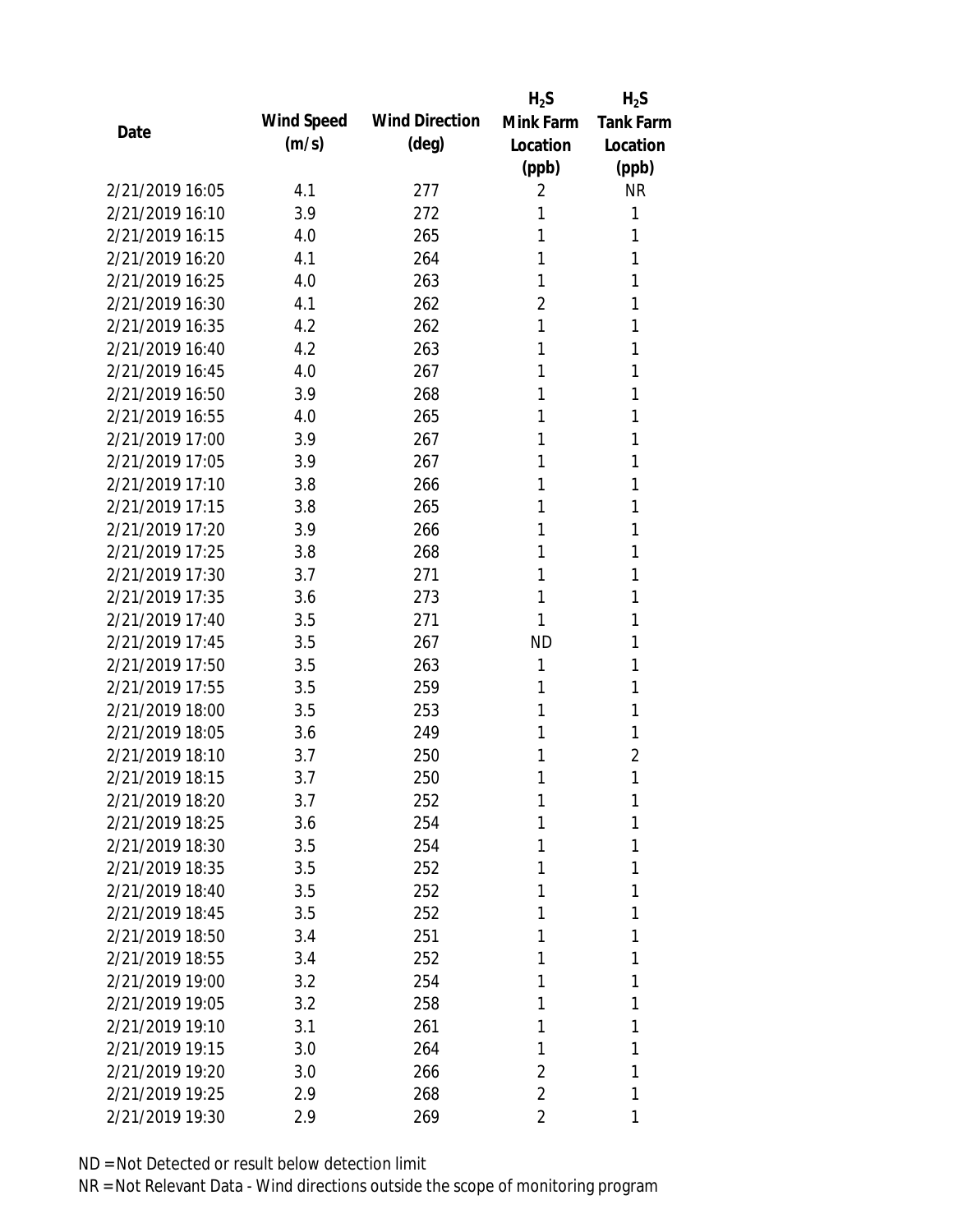|                 |            |                       | $H_2S$         | $H_2S$         |
|-----------------|------------|-----------------------|----------------|----------------|
| Date            | Wind Speed | <b>Wind Direction</b> | Mink Farm      | Tank Farm      |
|                 | (m/s)      | $(\text{deg})$        | Location       | Location       |
|                 |            |                       | (ppb)          | (ppb)          |
| 2/21/2019 16:05 | 4.1        | 277                   | 2              | <b>NR</b>      |
| 2/21/2019 16:10 | 3.9        | 272                   | 1              | 1              |
| 2/21/2019 16:15 | 4.0        | 265                   | 1              | 1              |
| 2/21/2019 16:20 | 4.1        | 264                   | 1              | 1              |
| 2/21/2019 16:25 | 4.0        | 263                   | 1              | 1              |
| 2/21/2019 16:30 | 4.1        | 262                   | 2              | 1              |
| 2/21/2019 16:35 | 4.2        | 262                   | 1              | 1              |
| 2/21/2019 16:40 | 4.2        | 263                   | 1              | 1              |
| 2/21/2019 16:45 | 4.0        | 267                   | 1              | 1              |
| 2/21/2019 16:50 | 3.9        | 268                   | 1              | 1              |
| 2/21/2019 16:55 | 4.0        | 265                   | 1              | 1              |
| 2/21/2019 17:00 | 3.9        | 267                   | 1              | 1              |
| 2/21/2019 17:05 | 3.9        | 267                   | 1              | 1              |
| 2/21/2019 17:10 | 3.8        | 266                   | 1              | 1              |
| 2/21/2019 17:15 | 3.8        | 265                   | 1              | 1              |
| 2/21/2019 17:20 | 3.9        | 266                   | 1              | 1              |
| 2/21/2019 17:25 | 3.8        | 268                   | 1              | 1              |
| 2/21/2019 17:30 | 3.7        | 271                   | 1              | 1              |
| 2/21/2019 17:35 | 3.6        | 273                   | 1              | 1              |
| 2/21/2019 17:40 | 3.5        | 271                   | 1              | 1              |
| 2/21/2019 17:45 | 3.5        | 267                   | <b>ND</b>      | 1              |
| 2/21/2019 17:50 | 3.5        | 263                   | 1              | 1              |
| 2/21/2019 17:55 | 3.5        | 259                   | 1              | 1              |
| 2/21/2019 18:00 | 3.5        | 253                   | 1              | 1              |
| 2/21/2019 18:05 | 3.6        | 249                   | 1              | 1              |
| 2/21/2019 18:10 | 3.7        | 250                   | 1              | $\overline{2}$ |
| 2/21/2019 18:15 | 3.7        | 250                   | 1              | 1              |
| 2/21/2019 18:20 | 3.7        | 252                   | 1              | 1              |
| 2/21/2019 18:25 | 3.6        | 254                   | 1              | 1              |
| 2/21/2019 18:30 | 3.5        | 254                   | 1              | 1              |
| 2/21/2019 18:35 | 3.5        | 252                   | 1              | 1              |
| 2/21/2019 18:40 | 3.5        | 252                   | 1              | 1              |
| 2/21/2019 18:45 | 3.5        | 252                   | 1              | 1              |
| 2/21/2019 18:50 | 3.4        | 251                   | 1              | 1              |
| 2/21/2019 18:55 | 3.4        | 252                   | 1              | 1              |
| 2/21/2019 19:00 | 3.2        | 254                   | 1              | 1              |
| 2/21/2019 19:05 | 3.2        | 258                   | 1              | 1              |
| 2/21/2019 19:10 | 3.1        | 261                   | 1              | 1              |
| 2/21/2019 19:15 | 3.0        | 264                   | 1              | 1              |
| 2/21/2019 19:20 | 3.0        | 266                   | 2              | 1              |
| 2/21/2019 19:25 | 2.9        | 268                   | $\overline{2}$ | 1              |
| 2/21/2019 19:30 | 2.9        | 269                   | 2              | 1              |
|                 |            |                       |                |                |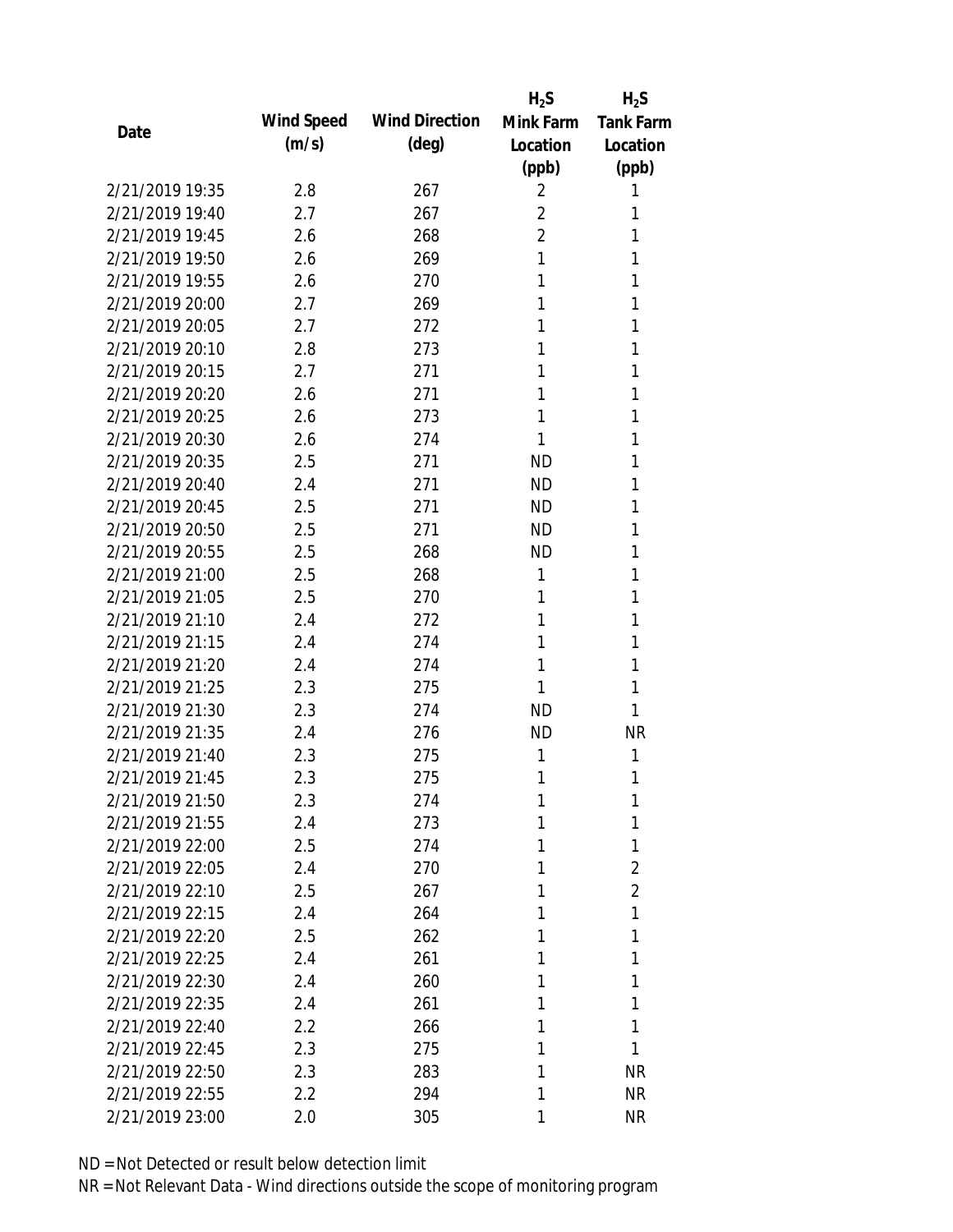|                 |            |                       | $H_2S$         | $H_2S$           |
|-----------------|------------|-----------------------|----------------|------------------|
| Date            | Wind Speed | <b>Wind Direction</b> | Mink Farm      | <b>Tank Farm</b> |
|                 | (m/s)      | $(\text{deg})$        | Location       | Location         |
|                 |            |                       | (ppb)          | (ppb)            |
| 2/21/2019 19:35 | 2.8        | 267                   | 2              | 1                |
| 2/21/2019 19:40 | 2.7        | 267                   | $\overline{2}$ | 1                |
| 2/21/2019 19:45 | 2.6        | 268                   | $\overline{2}$ | 1                |
| 2/21/2019 19:50 | 2.6        | 269                   | 1              | 1                |
| 2/21/2019 19:55 | 2.6        | 270                   | 1              | 1                |
| 2/21/2019 20:00 | 2.7        | 269                   | 1              | 1                |
| 2/21/2019 20:05 | 2.7        | 272                   | 1              | 1                |
| 2/21/2019 20:10 | 2.8        | 273                   | 1              | 1                |
| 2/21/2019 20:15 | 2.7        | 271                   | 1              | 1                |
| 2/21/2019 20:20 | 2.6        | 271                   | 1              | 1                |
| 2/21/2019 20:25 | 2.6        | 273                   | 1              | 1                |
| 2/21/2019 20:30 | 2.6        | 274                   | 1              | 1                |
| 2/21/2019 20:35 | 2.5        | 271                   | <b>ND</b>      | 1                |
| 2/21/2019 20:40 | 2.4        | 271                   | <b>ND</b>      | 1                |
| 2/21/2019 20:45 | 2.5        | 271                   | <b>ND</b>      | 1                |
| 2/21/2019 20:50 | 2.5        | 271                   | <b>ND</b>      | 1                |
| 2/21/2019 20:55 | 2.5        | 268                   | <b>ND</b>      | 1                |
| 2/21/2019 21:00 | 2.5        | 268                   | 1              | 1                |
| 2/21/2019 21:05 | 2.5        | 270                   | 1              | 1                |
| 2/21/2019 21:10 | 2.4        | 272                   | 1              | 1                |
| 2/21/2019 21:15 | 2.4        | 274                   | 1              | 1                |
| 2/21/2019 21:20 | 2.4        | 274                   | 1              | 1                |
| 2/21/2019 21:25 | 2.3        | 275                   | 1              | 1                |
| 2/21/2019 21:30 | 2.3        | 274                   | <b>ND</b>      | 1                |
| 2/21/2019 21:35 | 2.4        | 276                   | <b>ND</b>      | <b>NR</b>        |
| 2/21/2019 21:40 | 2.3        | 275                   | 1              | 1                |
| 2/21/2019 21:45 | 2.3        | 275                   | 1              | 1                |
| 2/21/2019 21:50 | 2.3        | 274                   | 1              | 1                |
| 2/21/2019 21:55 | 2.4        | 273                   | 1              | 1                |
| 2/21/2019 22:00 | 2.5        | 274                   | 1              | 1                |
| 2/21/2019 22:05 | 2.4        | 270                   | 1              | $\overline{2}$   |
| 2/21/2019 22:10 | 2.5        | 267                   | 1              | $\overline{2}$   |
| 2/21/2019 22:15 | 2.4        | 264                   | 1              | 1                |
| 2/21/2019 22:20 | 2.5        | 262                   | 1              | 1                |
| 2/21/2019 22:25 | 2.4        | 261                   | 1              | 1                |
| 2/21/2019 22:30 | 2.4        | 260                   | 1              | 1                |
| 2/21/2019 22:35 | 2.4        | 261                   | 1              | 1                |
| 2/21/2019 22:40 | 2.2        | 266                   | 1              | 1                |
| 2/21/2019 22:45 | 2.3        | 275                   | 1              | 1                |
| 2/21/2019 22:50 | 2.3        | 283                   | 1              | <b>NR</b>        |
| 2/21/2019 22:55 | 2.2        | 294                   | 1              | <b>NR</b>        |
| 2/21/2019 23:00 | 2.0        | 305                   | 1              | <b>NR</b>        |
|                 |            |                       |                |                  |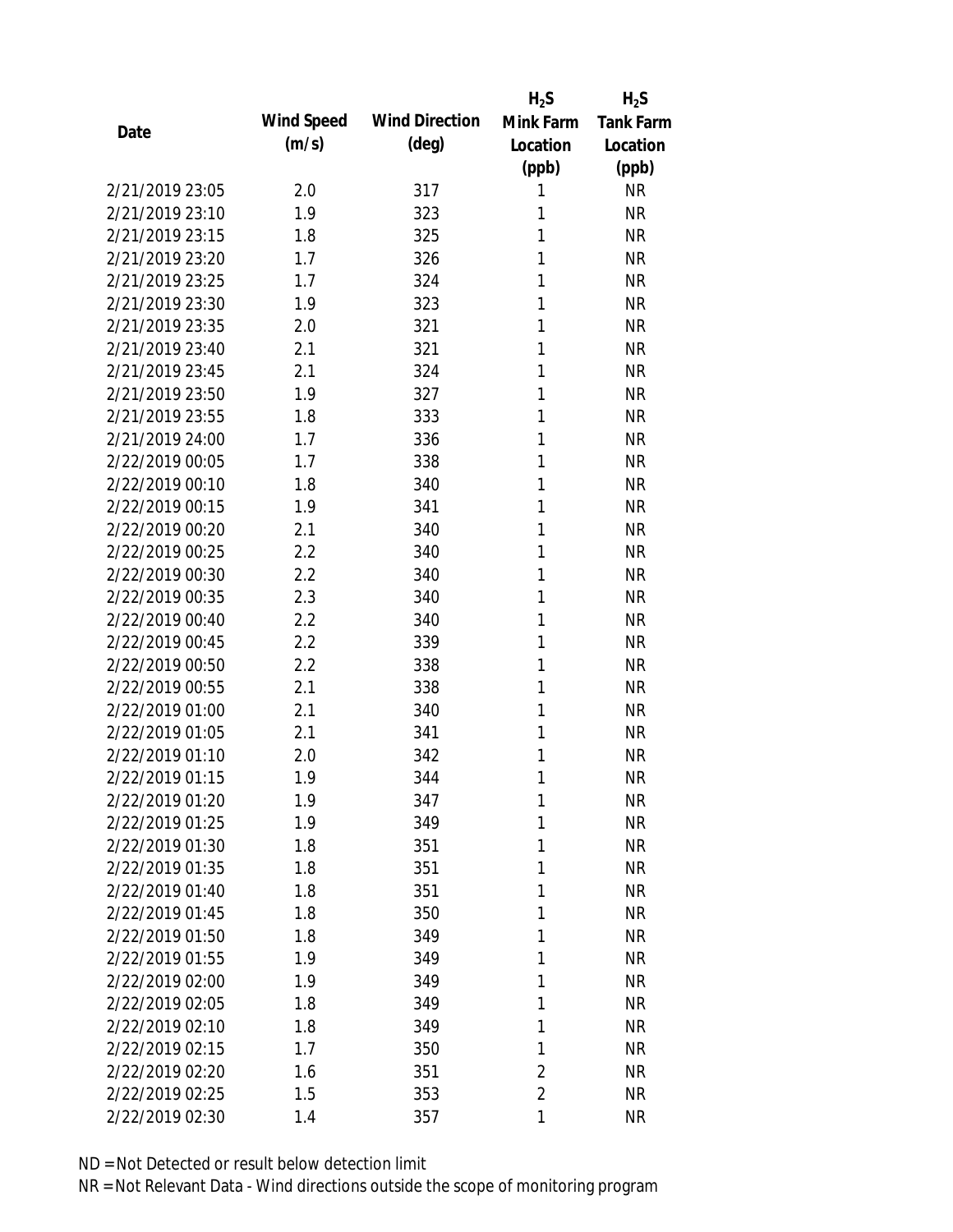|                 |            |                       | $H_2S$         | $H_2S$           |
|-----------------|------------|-----------------------|----------------|------------------|
|                 | Wind Speed | <b>Wind Direction</b> | Mink Farm      | <b>Tank Farm</b> |
| Date            | (m/s)      | $(\text{deg})$        | Location       | Location         |
|                 |            |                       | (ppb)          | (ppb)            |
| 2/21/2019 23:05 | 2.0        | 317                   | 1              | <b>NR</b>        |
| 2/21/2019 23:10 | 1.9        | 323                   | 1              | <b>NR</b>        |
| 2/21/2019 23:15 | 1.8        | 325                   | 1              | <b>NR</b>        |
| 2/21/2019 23:20 | 1.7        | 326                   | 1              | <b>NR</b>        |
| 2/21/2019 23:25 | 1.7        | 324                   | 1              | <b>NR</b>        |
| 2/21/2019 23:30 | 1.9        | 323                   | 1              | <b>NR</b>        |
| 2/21/2019 23:35 | 2.0        | 321                   | 1              | <b>NR</b>        |
| 2/21/2019 23:40 | 2.1        | 321                   | 1              | <b>NR</b>        |
| 2/21/2019 23:45 | 2.1        | 324                   | 1              | <b>NR</b>        |
| 2/21/2019 23:50 | 1.9        | 327                   | 1              | <b>NR</b>        |
| 2/21/2019 23:55 | 1.8        | 333                   | 1              | <b>NR</b>        |
| 2/21/2019 24:00 | 1.7        | 336                   | 1              | <b>NR</b>        |
| 2/22/2019 00:05 | 1.7        | 338                   | 1              | <b>NR</b>        |
| 2/22/2019 00:10 | 1.8        | 340                   | 1              | <b>NR</b>        |
| 2/22/2019 00:15 | 1.9        | 341                   | 1              | <b>NR</b>        |
| 2/22/2019 00:20 | 2.1        | 340                   | 1              | <b>NR</b>        |
| 2/22/2019 00:25 | 2.2        | 340                   | 1              | <b>NR</b>        |
| 2/22/2019 00:30 | 2.2        | 340                   | 1              | <b>NR</b>        |
| 2/22/2019 00:35 | 2.3        | 340                   | 1              | <b>NR</b>        |
| 2/22/2019 00:40 | 2.2        | 340                   | 1              | <b>NR</b>        |
| 2/22/2019 00:45 | 2.2        | 339                   | 1              | <b>NR</b>        |
| 2/22/2019 00:50 | 2.2        | 338                   | 1              | <b>NR</b>        |
| 2/22/2019 00:55 | 2.1        | 338                   | 1              | <b>NR</b>        |
| 2/22/2019 01:00 | 2.1        | 340                   | 1              | <b>NR</b>        |
| 2/22/2019 01:05 | 2.1        | 341                   | 1              | <b>NR</b>        |
| 2/22/2019 01:10 | 2.0        | 342                   | 1              | <b>NR</b>        |
| 2/22/2019 01:15 | 1.9        | 344                   | 1              | <b>NR</b>        |
| 2/22/2019 01:20 | 1.9        | 347                   | $\mathbf{1}$   | <b>NR</b>        |
| 2/22/2019 01:25 | 1.9        | 349                   | 1              | <b>NR</b>        |
| 2/22/2019 01:30 | 1.8        | 351                   | 1              | <b>NR</b>        |
| 2/22/2019 01:35 | 1.8        | 351                   | 1              | <b>NR</b>        |
| 2/22/2019 01:40 | 1.8        | 351                   | 1              | <b>NR</b>        |
| 2/22/2019 01:45 | 1.8        | 350                   | 1              | <b>NR</b>        |
| 2/22/2019 01:50 | 1.8        | 349                   | 1              | <b>NR</b>        |
| 2/22/2019 01:55 | 1.9        | 349                   | 1              | <b>NR</b>        |
| 2/22/2019 02:00 | 1.9        | 349                   | 1              | <b>NR</b>        |
| 2/22/2019 02:05 | 1.8        | 349                   | 1              | <b>NR</b>        |
| 2/22/2019 02:10 | 1.8        | 349                   | 1              | <b>NR</b>        |
| 2/22/2019 02:15 | 1.7        | 350                   | 1              | <b>NR</b>        |
| 2/22/2019 02:20 | 1.6        | 351                   | $\overline{2}$ | <b>NR</b>        |
| 2/22/2019 02:25 | 1.5        | 353                   | $\overline{2}$ | <b>NR</b>        |
| 2/22/2019 02:30 | 1.4        | 357                   | 1              | <b>NR</b>        |
|                 |            |                       |                |                  |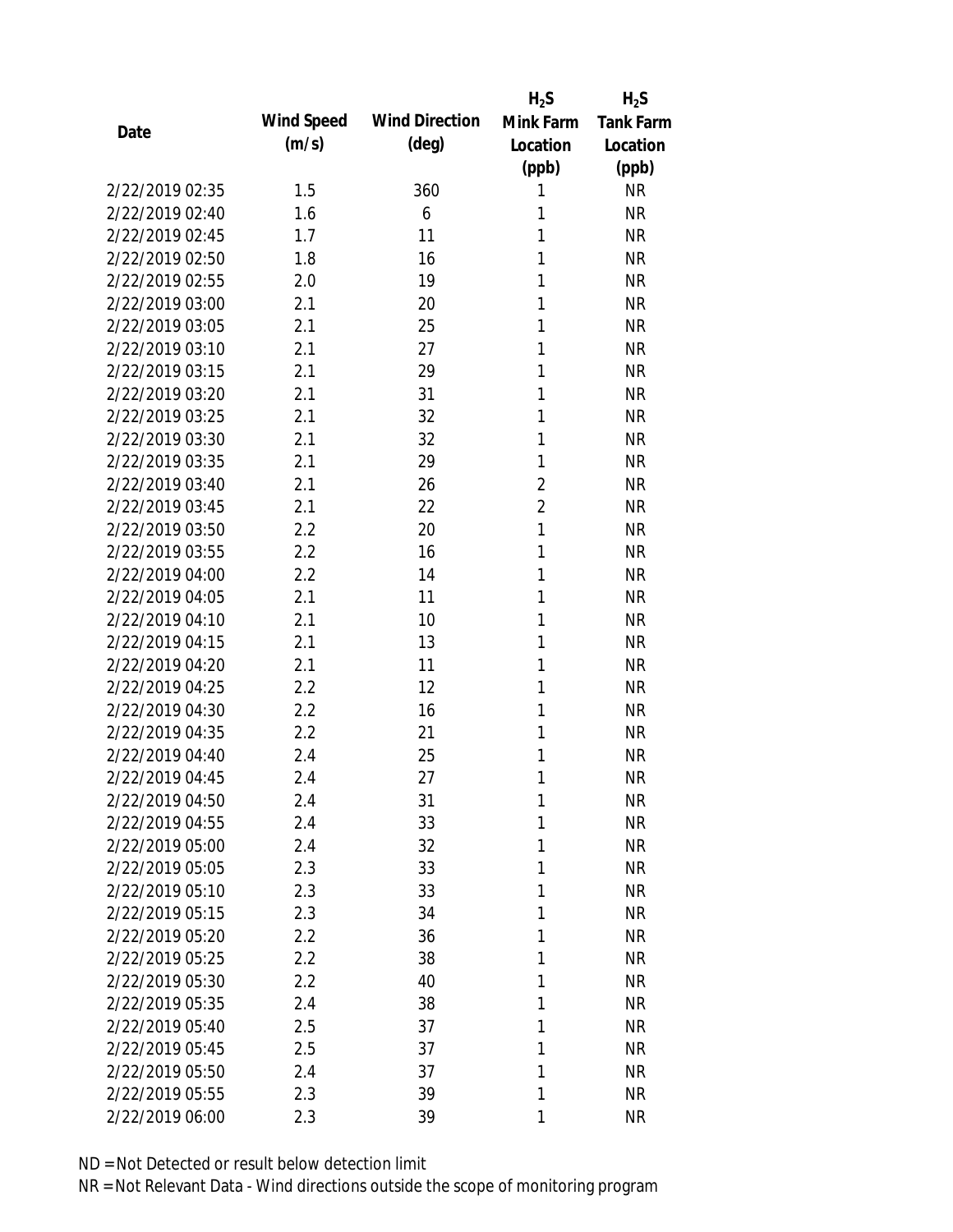|                 |            |                       | $H_2S$         | $H_2S$           |
|-----------------|------------|-----------------------|----------------|------------------|
| Date            | Wind Speed | <b>Wind Direction</b> | Mink Farm      | <b>Tank Farm</b> |
|                 | (m/s)      | $(\text{deg})$        | Location       | Location         |
|                 |            |                       | (ppb)          | (ppb)            |
| 2/22/2019 02:35 | 1.5        | 360                   | 1              | <b>NR</b>        |
| 2/22/2019 02:40 | 1.6        | 6                     | 1              | <b>NR</b>        |
| 2/22/2019 02:45 | 1.7        | 11                    | 1              | <b>NR</b>        |
| 2/22/2019 02:50 | 1.8        | 16                    | 1              | <b>NR</b>        |
| 2/22/2019 02:55 | 2.0        | 19                    | 1              | <b>NR</b>        |
| 2/22/2019 03:00 | 2.1        | 20                    | 1              | <b>NR</b>        |
| 2/22/2019 03:05 | 2.1        | 25                    | 1              | <b>NR</b>        |
| 2/22/2019 03:10 | 2.1        | 27                    | 1              | <b>NR</b>        |
| 2/22/2019 03:15 | 2.1        | 29                    | 1              | <b>NR</b>        |
| 2/22/2019 03:20 | 2.1        | 31                    | 1              | <b>NR</b>        |
| 2/22/2019 03:25 | 2.1        | 32                    | 1              | <b>NR</b>        |
| 2/22/2019 03:30 | 2.1        | 32                    | 1              | <b>NR</b>        |
| 2/22/2019 03:35 | 2.1        | 29                    | 1              | <b>NR</b>        |
| 2/22/2019 03:40 | 2.1        | 26                    | $\overline{2}$ | <b>NR</b>        |
| 2/22/2019 03:45 | 2.1        | 22                    | $\overline{2}$ | <b>NR</b>        |
| 2/22/2019 03:50 | 2.2        | 20                    | 1              | <b>NR</b>        |
| 2/22/2019 03:55 | 2.2        | 16                    | 1              | <b>NR</b>        |
| 2/22/2019 04:00 | 2.2        | 14                    | 1              | <b>NR</b>        |
| 2/22/2019 04:05 | 2.1        | 11                    | 1              | <b>NR</b>        |
| 2/22/2019 04:10 | 2.1        | 10                    | 1              | <b>NR</b>        |
| 2/22/2019 04:15 | 2.1        | 13                    | 1              | <b>NR</b>        |
| 2/22/2019 04:20 | 2.1        | 11                    | 1              | <b>NR</b>        |
| 2/22/2019 04:25 | 2.2        | 12                    | 1              | <b>NR</b>        |
| 2/22/2019 04:30 | 2.2        | 16                    | 1              | <b>NR</b>        |
| 2/22/2019 04:35 | 2.2        | 21                    | 1              | <b>NR</b>        |
| 2/22/2019 04:40 | 2.4        | 25                    | 1              | <b>NR</b>        |
| 2/22/2019 04:45 | 2.4        | 27                    | 1              | <b>NR</b>        |
| 2/22/2019 04:50 | 2.4        | 31                    | $\mathbf{1}$   | <b>NR</b>        |
| 2/22/2019 04:55 | 2.4        | 33                    | 1              | <b>NR</b>        |
| 2/22/2019 05:00 | 2.4        | 32                    | 1              | <b>NR</b>        |
| 2/22/2019 05:05 | 2.3        | 33                    | 1              | <b>NR</b>        |
| 2/22/2019 05:10 | 2.3        | 33                    | 1              | <b>NR</b>        |
| 2/22/2019 05:15 | 2.3        | 34                    | 1              | <b>NR</b>        |
| 2/22/2019 05:20 | 2.2        | 36                    | 1              | <b>NR</b>        |
| 2/22/2019 05:25 | 2.2        | 38                    | 1              | <b>NR</b>        |
| 2/22/2019 05:30 | 2.2        | 40                    | 1              | <b>NR</b>        |
| 2/22/2019 05:35 | 2.4        | 38                    | 1              | <b>NR</b>        |
| 2/22/2019 05:40 | 2.5        | 37                    | 1              | <b>NR</b>        |
| 2/22/2019 05:45 | 2.5        | 37                    | 1              | <b>NR</b>        |
| 2/22/2019 05:50 | 2.4        | 37                    | 1              | <b>NR</b>        |
| 2/22/2019 05:55 | 2.3        | 39                    | 1              | <b>NR</b>        |
| 2/22/2019 06:00 | 2.3        | 39                    | 1              | <b>NR</b>        |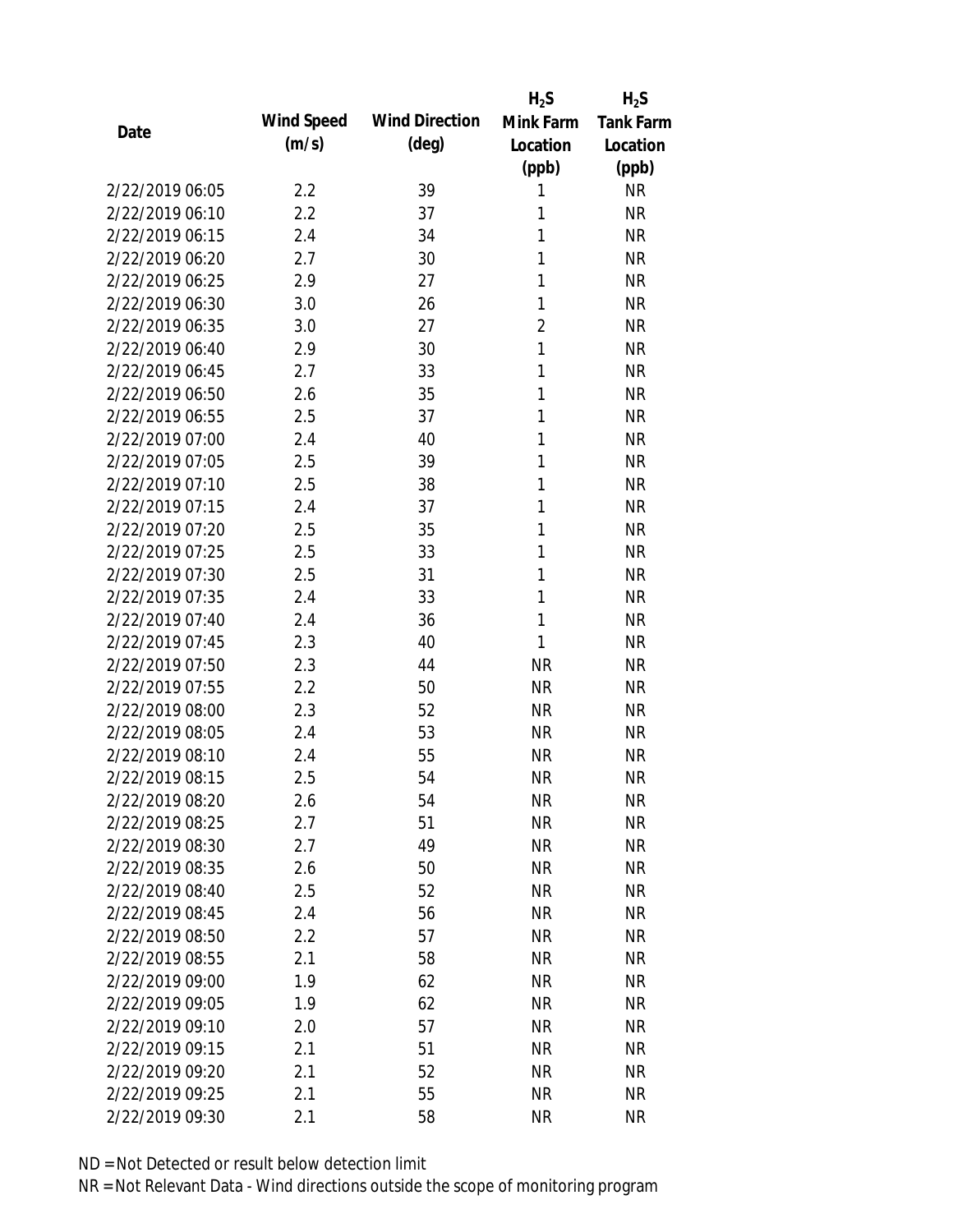|                 |            |                       | $H_2S$         | $H_2S$           |
|-----------------|------------|-----------------------|----------------|------------------|
| Date            | Wind Speed | <b>Wind Direction</b> | Mink Farm      | <b>Tank Farm</b> |
|                 | (m/s)      | $(\text{deg})$        | Location       | Location         |
|                 |            |                       | (ppb)          | (ppb)            |
| 2/22/2019 06:05 | 2.2        | 39                    | 1              | <b>NR</b>        |
| 2/22/2019 06:10 | 2.2        | 37                    | 1              | <b>NR</b>        |
| 2/22/2019 06:15 | 2.4        | 34                    | 1              | <b>NR</b>        |
| 2/22/2019 06:20 | 2.7        | 30                    | 1              | <b>NR</b>        |
| 2/22/2019 06:25 | 2.9        | 27                    | 1              | <b>NR</b>        |
| 2/22/2019 06:30 | 3.0        | 26                    | 1              | <b>NR</b>        |
| 2/22/2019 06:35 | 3.0        | 27                    | $\overline{2}$ | <b>NR</b>        |
| 2/22/2019 06:40 | 2.9        | 30                    | $\mathbf{1}$   | <b>NR</b>        |
| 2/22/2019 06:45 | 2.7        | 33                    | 1              | <b>NR</b>        |
| 2/22/2019 06:50 | 2.6        | 35                    | 1              | <b>NR</b>        |
| 2/22/2019 06:55 | 2.5        | 37                    | 1              | <b>NR</b>        |
| 2/22/2019 07:00 | 2.4        | 40                    | 1              | <b>NR</b>        |
| 2/22/2019 07:05 | 2.5        | 39                    | 1              | <b>NR</b>        |
| 2/22/2019 07:10 | 2.5        | 38                    | 1              | <b>NR</b>        |
| 2/22/2019 07:15 | 2.4        | 37                    | 1              | <b>NR</b>        |
| 2/22/2019 07:20 | 2.5        | 35                    | 1              | <b>NR</b>        |
| 2/22/2019 07:25 | 2.5        | 33                    | 1              | <b>NR</b>        |
| 2/22/2019 07:30 | 2.5        | 31                    | 1              | <b>NR</b>        |
| 2/22/2019 07:35 | 2.4        | 33                    | 1              | <b>NR</b>        |
| 2/22/2019 07:40 | 2.4        | 36                    | 1              | <b>NR</b>        |
| 2/22/2019 07:45 | 2.3        | 40                    | 1              | <b>NR</b>        |
| 2/22/2019 07:50 | 2.3        | 44                    | <b>NR</b>      | <b>NR</b>        |
| 2/22/2019 07:55 | 2.2        | 50                    | <b>NR</b>      | <b>NR</b>        |
| 2/22/2019 08:00 | 2.3        | 52                    | <b>NR</b>      | <b>NR</b>        |
| 2/22/2019 08:05 | 2.4        | 53                    | <b>NR</b>      | <b>NR</b>        |
| 2/22/2019 08:10 | 2.4        | 55                    | <b>NR</b>      | <b>NR</b>        |
| 2/22/2019 08:15 | 2.5        | 54                    | <b>NR</b>      | <b>NR</b>        |
| 2/22/2019 08:20 | 2.6        | 54                    | <b>NR</b>      | <b>NR</b>        |
| 2/22/2019 08:25 | 2.7        | 51                    | <b>NR</b>      | <b>NR</b>        |
| 2/22/2019 08:30 | 2.7        | 49                    | <b>NR</b>      | <b>NR</b>        |
| 2/22/2019 08:35 | 2.6        | 50                    | <b>NR</b>      | <b>NR</b>        |
| 2/22/2019 08:40 | 2.5        | 52                    | <b>NR</b>      | <b>NR</b>        |
| 2/22/2019 08:45 | 2.4        | 56                    | <b>NR</b>      | <b>NR</b>        |
| 2/22/2019 08:50 | 2.2        | 57                    | <b>NR</b>      | <b>NR</b>        |
| 2/22/2019 08:55 | 2.1        | 58                    | <b>NR</b>      | <b>NR</b>        |
| 2/22/2019 09:00 | 1.9        | 62                    | <b>NR</b>      | <b>NR</b>        |
| 2/22/2019 09:05 | 1.9        | 62                    | <b>NR</b>      | <b>NR</b>        |
| 2/22/2019 09:10 | 2.0        | 57                    | NR             | <b>NR</b>        |
| 2/22/2019 09:15 | 2.1        | 51                    | <b>NR</b>      | <b>NR</b>        |
| 2/22/2019 09:20 | 2.1        | 52                    | <b>NR</b>      | <b>NR</b>        |
| 2/22/2019 09:25 | 2.1        | 55                    | <b>NR</b>      | <b>NR</b>        |
| 2/22/2019 09:30 | 2.1        | 58                    | <b>NR</b>      | <b>NR</b>        |
|                 |            |                       |                |                  |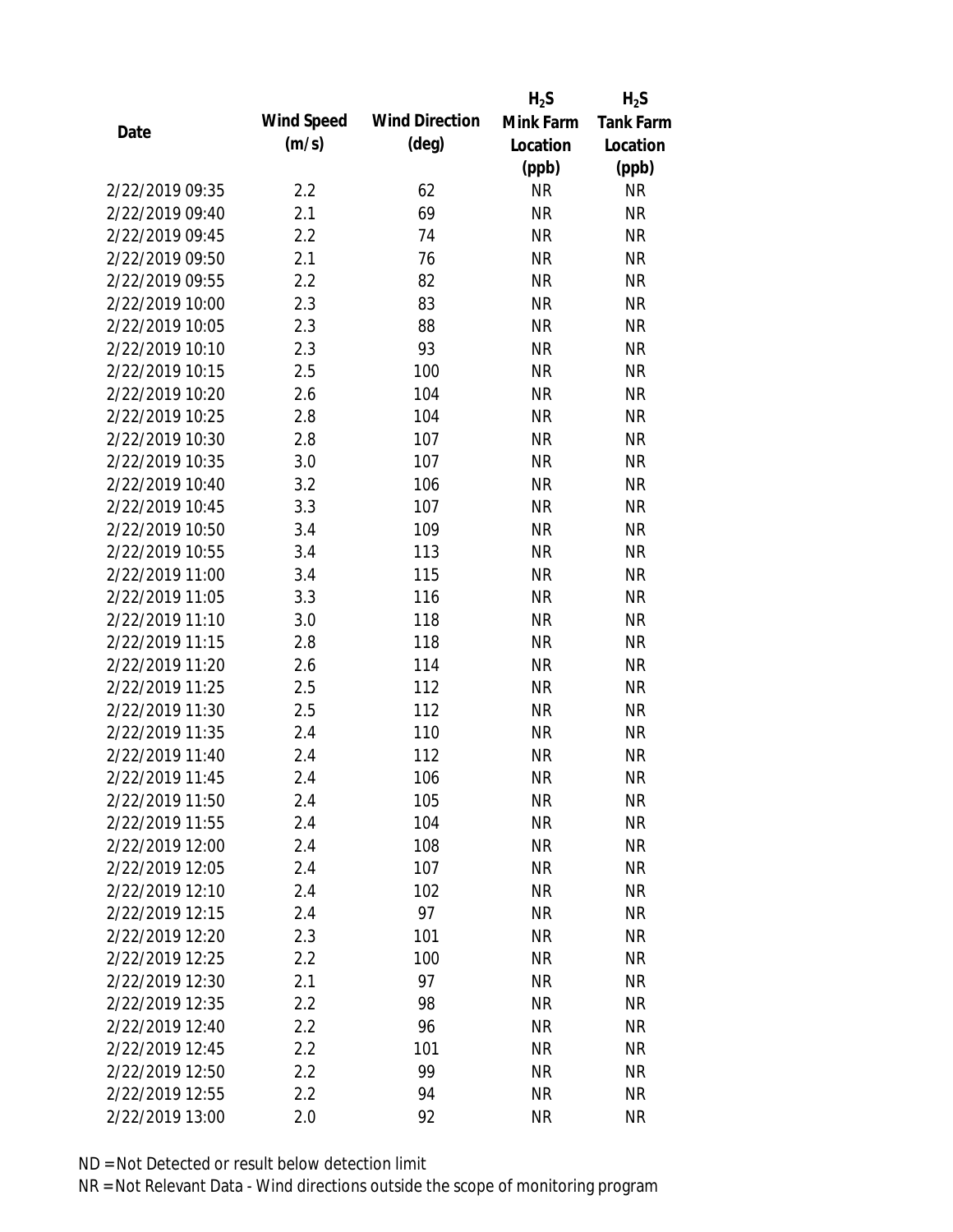|                 |            |                       | $H_2S$    | $H_2S$           |
|-----------------|------------|-----------------------|-----------|------------------|
| Date            | Wind Speed | <b>Wind Direction</b> | Mink Farm | <b>Tank Farm</b> |
|                 | (m/s)      | $(\text{deg})$        | Location  | Location         |
|                 |            |                       | (ppb)     | (ppb)            |
| 2/22/2019 09:35 | 2.2        | 62                    | <b>NR</b> | <b>NR</b>        |
| 2/22/2019 09:40 | 2.1        | 69                    | <b>NR</b> | <b>NR</b>        |
| 2/22/2019 09:45 | 2.2        | 74                    | <b>NR</b> | <b>NR</b>        |
| 2/22/2019 09:50 | 2.1        | 76                    | <b>NR</b> | <b>NR</b>        |
| 2/22/2019 09:55 | 2.2        | 82                    | <b>NR</b> | <b>NR</b>        |
| 2/22/2019 10:00 | 2.3        | 83                    | $\sf NR$  | <b>NR</b>        |
| 2/22/2019 10:05 | 2.3        | 88                    | <b>NR</b> | <b>NR</b>        |
| 2/22/2019 10:10 | 2.3        | 93                    | <b>NR</b> | <b>NR</b>        |
| 2/22/2019 10:15 | 2.5        | 100                   | <b>NR</b> | <b>NR</b>        |
| 2/22/2019 10:20 | 2.6        | 104                   | <b>NR</b> | <b>NR</b>        |
| 2/22/2019 10:25 | 2.8        | 104                   | <b>NR</b> | <b>NR</b>        |
| 2/22/2019 10:30 | 2.8        | 107                   | <b>NR</b> | <b>NR</b>        |
| 2/22/2019 10:35 | 3.0        | 107                   | <b>NR</b> | <b>NR</b>        |
| 2/22/2019 10:40 | 3.2        | 106                   | <b>NR</b> | <b>NR</b>        |
| 2/22/2019 10:45 | 3.3        | 107                   | <b>NR</b> | <b>NR</b>        |
| 2/22/2019 10:50 | 3.4        | 109                   | <b>NR</b> | <b>NR</b>        |
| 2/22/2019 10:55 | 3.4        | 113                   | <b>NR</b> | <b>NR</b>        |
| 2/22/2019 11:00 | 3.4        | 115                   | <b>NR</b> | <b>NR</b>        |
| 2/22/2019 11:05 | 3.3        | 116                   | <b>NR</b> | <b>NR</b>        |
| 2/22/2019 11:10 | 3.0        | 118                   | <b>NR</b> | <b>NR</b>        |
| 2/22/2019 11:15 | 2.8        | 118                   | <b>NR</b> | <b>NR</b>        |
| 2/22/2019 11:20 | 2.6        | 114                   | <b>NR</b> | <b>NR</b>        |
| 2/22/2019 11:25 | 2.5        | 112                   | <b>NR</b> | <b>NR</b>        |
| 2/22/2019 11:30 | 2.5        | 112                   | <b>NR</b> | <b>NR</b>        |
| 2/22/2019 11:35 | 2.4        | 110                   | <b>NR</b> | <b>NR</b>        |
| 2/22/2019 11:40 | 2.4        | 112                   | <b>NR</b> | <b>NR</b>        |
| 2/22/2019 11:45 | 2.4        | 106                   | <b>NR</b> | <b>NR</b>        |
| 2/22/2019 11:50 | 2.4        | 105                   | <b>NR</b> | <b>NR</b>        |
| 2/22/2019 11:55 | 2.4        | 104                   | <b>NR</b> | <b>NR</b>        |
| 2/22/2019 12:00 | 2.4        | 108                   | <b>NR</b> | <b>NR</b>        |
| 2/22/2019 12:05 | 2.4        | 107                   | <b>NR</b> | <b>NR</b>        |
| 2/22/2019 12:10 | 2.4        | 102                   | <b>NR</b> | NR               |
| 2/22/2019 12:15 | 2.4        | 97                    | <b>NR</b> | <b>NR</b>        |
| 2/22/2019 12:20 | 2.3        | 101                   | <b>NR</b> | <b>NR</b>        |
| 2/22/2019 12:25 | 2.2        | 100                   | <b>NR</b> | <b>NR</b>        |
| 2/22/2019 12:30 | 2.1        | 97                    | <b>NR</b> | <b>NR</b>        |
| 2/22/2019 12:35 | 2.2        | 98                    | <b>NR</b> | <b>NR</b>        |
| 2/22/2019 12:40 | 2.2        | 96                    | NR        | <b>NR</b>        |
| 2/22/2019 12:45 | 2.2        | 101                   | <b>NR</b> | <b>NR</b>        |
| 2/22/2019 12:50 | 2.2        | 99                    | <b>NR</b> | <b>NR</b>        |
| 2/22/2019 12:55 | 2.2        | 94                    | <b>NR</b> | <b>NR</b>        |
| 2/22/2019 13:00 | 2.0        | 92                    | <b>NR</b> | <b>NR</b>        |
|                 |            |                       |           |                  |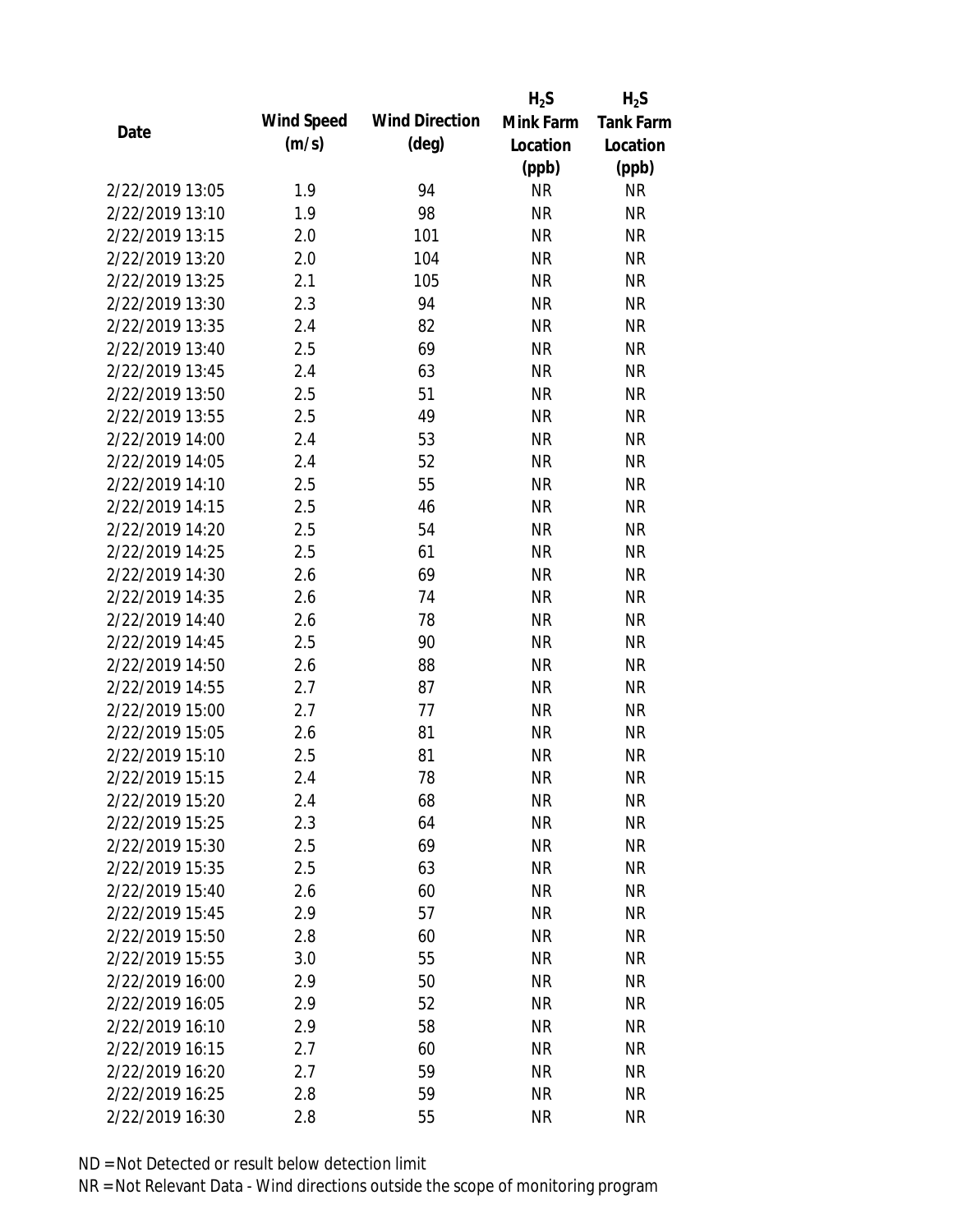|                 |            |                       | $H_2S$    | $H_2S$           |
|-----------------|------------|-----------------------|-----------|------------------|
| Date            | Wind Speed | <b>Wind Direction</b> | Mink Farm | <b>Tank Farm</b> |
|                 | (m/s)      | $(\text{deg})$        | Location  | Location         |
|                 |            |                       | (ppb)     | (ppb)            |
| 2/22/2019 13:05 | 1.9        | 94                    | <b>NR</b> | <b>NR</b>        |
| 2/22/2019 13:10 | 1.9        | 98                    | <b>NR</b> | <b>NR</b>        |
| 2/22/2019 13:15 | 2.0        | 101                   | <b>NR</b> | <b>NR</b>        |
| 2/22/2019 13:20 | 2.0        | 104                   | <b>NR</b> | <b>NR</b>        |
| 2/22/2019 13:25 | 2.1        | 105                   | <b>NR</b> | <b>NR</b>        |
| 2/22/2019 13:30 | 2.3        | 94                    | NR        | <b>NR</b>        |
| 2/22/2019 13:35 | 2.4        | 82                    | <b>NR</b> | <b>NR</b>        |
| 2/22/2019 13:40 | 2.5        | 69                    | <b>NR</b> | <b>NR</b>        |
| 2/22/2019 13:45 | 2.4        | 63                    | <b>NR</b> | <b>NR</b>        |
| 2/22/2019 13:50 | 2.5        | 51                    | <b>NR</b> | <b>NR</b>        |
| 2/22/2019 13:55 | 2.5        | 49                    | <b>NR</b> | <b>NR</b>        |
| 2/22/2019 14:00 | 2.4        | 53                    | <b>NR</b> | <b>NR</b>        |
| 2/22/2019 14:05 | 2.4        | 52                    | <b>NR</b> | <b>NR</b>        |
| 2/22/2019 14:10 | 2.5        | 55                    | <b>NR</b> | <b>NR</b>        |
| 2/22/2019 14:15 | 2.5        | 46                    | <b>NR</b> | <b>NR</b>        |
| 2/22/2019 14:20 | 2.5        | 54                    | <b>NR</b> | <b>NR</b>        |
| 2/22/2019 14:25 | 2.5        | 61                    | <b>NR</b> | <b>NR</b>        |
| 2/22/2019 14:30 | 2.6        | 69                    | <b>NR</b> | <b>NR</b>        |
| 2/22/2019 14:35 | 2.6        | 74                    | <b>NR</b> | <b>NR</b>        |
| 2/22/2019 14:40 | 2.6        | 78                    | <b>NR</b> | <b>NR</b>        |
| 2/22/2019 14:45 | 2.5        | 90                    | <b>NR</b> | <b>NR</b>        |
| 2/22/2019 14:50 | 2.6        | 88                    | <b>NR</b> | <b>NR</b>        |
| 2/22/2019 14:55 | 2.7        | 87                    | <b>NR</b> | <b>NR</b>        |
| 2/22/2019 15:00 | 2.7        | 77                    | <b>NR</b> | <b>NR</b>        |
| 2/22/2019 15:05 | 2.6        | 81                    | <b>NR</b> | <b>NR</b>        |
| 2/22/2019 15:10 | 2.5        | 81                    | <b>NR</b> | <b>NR</b>        |
| 2/22/2019 15:15 | 2.4        | 78                    | <b>NR</b> | <b>NR</b>        |
| 2/22/2019 15:20 | 2.4        | 68                    | <b>NR</b> | <b>NR</b>        |
| 2/22/2019 15:25 | 2.3        | 64                    | <b>NR</b> | <b>NR</b>        |
| 2/22/2019 15:30 | 2.5        | 69                    | <b>NR</b> | <b>NR</b>        |
| 2/22/2019 15:35 | 2.5        | 63                    | <b>NR</b> | <b>NR</b>        |
| 2/22/2019 15:40 | 2.6        | 60                    | <b>NR</b> | NR               |
| 2/22/2019 15:45 | 2.9        | 57                    | <b>NR</b> | <b>NR</b>        |
| 2/22/2019 15:50 | 2.8        | 60                    | <b>NR</b> | <b>NR</b>        |
| 2/22/2019 15:55 | 3.0        | 55                    | <b>NR</b> | NR               |
| 2/22/2019 16:00 | 2.9        | 50                    | <b>NR</b> | <b>NR</b>        |
| 2/22/2019 16:05 | 2.9        | 52                    | <b>NR</b> | <b>NR</b>        |
| 2/22/2019 16:10 | 2.9        | 58                    | <b>NR</b> | <b>NR</b>        |
| 2/22/2019 16:15 | 2.7        | 60                    | <b>NR</b> | NR               |
| 2/22/2019 16:20 | 2.7        | 59                    | <b>NR</b> | NR               |
| 2/22/2019 16:25 | 2.8        | 59                    | <b>NR</b> | <b>NR</b>        |
| 2/22/2019 16:30 | 2.8        | 55                    | <b>NR</b> | <b>NR</b>        |
|                 |            |                       |           |                  |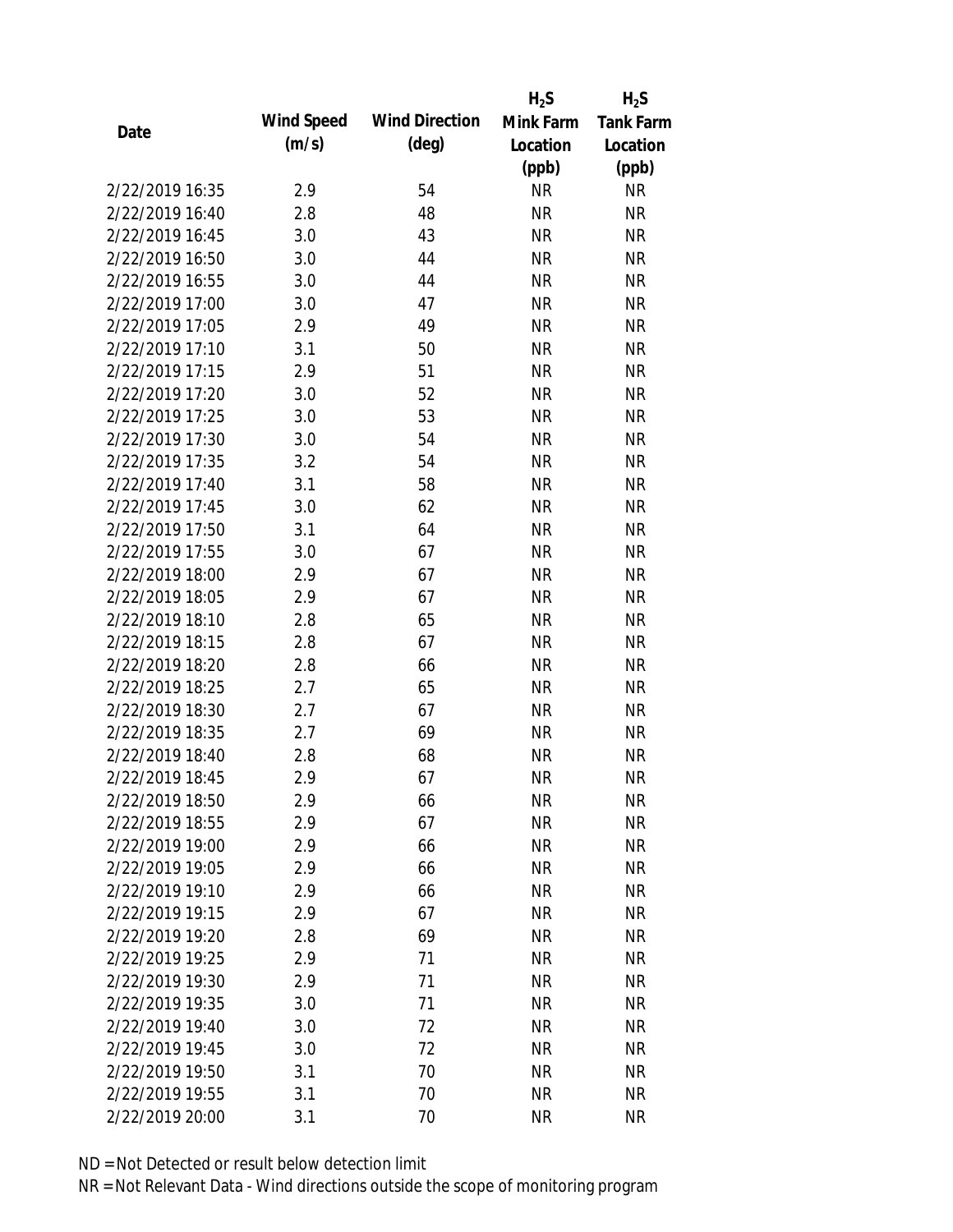|                 |            |                       | $H_2S$    | $H_2S$           |
|-----------------|------------|-----------------------|-----------|------------------|
| Date            | Wind Speed | <b>Wind Direction</b> | Mink Farm | <b>Tank Farm</b> |
|                 | (m/s)      | $(\text{deg})$        | Location  | Location         |
|                 |            |                       | (ppb)     | (ppb)            |
| 2/22/2019 16:35 | 2.9        | 54                    | <b>NR</b> | <b>NR</b>        |
| 2/22/2019 16:40 | 2.8        | 48                    | <b>NR</b> | <b>NR</b>        |
| 2/22/2019 16:45 | 3.0        | 43                    | <b>NR</b> | <b>NR</b>        |
| 2/22/2019 16:50 | 3.0        | 44                    | <b>NR</b> | <b>NR</b>        |
| 2/22/2019 16:55 | 3.0        | 44                    | <b>NR</b> | <b>NR</b>        |
| 2/22/2019 17:00 | 3.0        | 47                    | NR        | <b>NR</b>        |
| 2/22/2019 17:05 | 2.9        | 49                    | <b>NR</b> | <b>NR</b>        |
| 2/22/2019 17:10 | 3.1        | 50                    | <b>NR</b> | <b>NR</b>        |
| 2/22/2019 17:15 | 2.9        | 51                    | <b>NR</b> | <b>NR</b>        |
| 2/22/2019 17:20 | 3.0        | 52                    | <b>NR</b> | <b>NR</b>        |
| 2/22/2019 17:25 | 3.0        | 53                    | <b>NR</b> | <b>NR</b>        |
| 2/22/2019 17:30 | 3.0        | 54                    | <b>NR</b> | <b>NR</b>        |
| 2/22/2019 17:35 | 3.2        | 54                    | <b>NR</b> | <b>NR</b>        |
| 2/22/2019 17:40 | 3.1        | 58                    | <b>NR</b> | <b>NR</b>        |
| 2/22/2019 17:45 | 3.0        | 62                    | <b>NR</b> | <b>NR</b>        |
| 2/22/2019 17:50 | 3.1        | 64                    | <b>NR</b> | <b>NR</b>        |
| 2/22/2019 17:55 | 3.0        | 67                    | <b>NR</b> | <b>NR</b>        |
| 2/22/2019 18:00 | 2.9        | 67                    | <b>NR</b> | <b>NR</b>        |
| 2/22/2019 18:05 | 2.9        | 67                    | <b>NR</b> | <b>NR</b>        |
| 2/22/2019 18:10 | 2.8        | 65                    | <b>NR</b> | <b>NR</b>        |
| 2/22/2019 18:15 | 2.8        | 67                    | <b>NR</b> | <b>NR</b>        |
| 2/22/2019 18:20 | 2.8        | 66                    | <b>NR</b> | <b>NR</b>        |
| 2/22/2019 18:25 | 2.7        | 65                    | <b>NR</b> | <b>NR</b>        |
| 2/22/2019 18:30 | 2.7        | 67                    | <b>NR</b> | <b>NR</b>        |
| 2/22/2019 18:35 | 2.7        | 69                    | <b>NR</b> | <b>NR</b>        |
| 2/22/2019 18:40 | 2.8        | 68                    | <b>NR</b> | <b>NR</b>        |
| 2/22/2019 18:45 | 2.9        | 67                    | <b>NR</b> | <b>NR</b>        |
| 2/22/2019 18:50 | 2.9        | 66                    | <b>NR</b> | <b>NR</b>        |
| 2/22/2019 18:55 | 2.9        | 67                    | <b>NR</b> | <b>NR</b>        |
| 2/22/2019 19:00 | 2.9        | 66                    | <b>NR</b> | <b>NR</b>        |
| 2/22/2019 19:05 | 2.9        | 66                    | <b>NR</b> | <b>NR</b>        |
| 2/22/2019 19:10 | 2.9        | 66                    | <b>NR</b> | <b>NR</b>        |
| 2/22/2019 19:15 | 2.9        | 67                    | <b>NR</b> | <b>NR</b>        |
| 2/22/2019 19:20 | 2.8        | 69                    | <b>NR</b> | <b>NR</b>        |
| 2/22/2019 19:25 | 2.9        | 71                    | <b>NR</b> | <b>NR</b>        |
| 2/22/2019 19:30 | 2.9        | 71                    | <b>NR</b> | <b>NR</b>        |
| 2/22/2019 19:35 | 3.0        | 71                    | <b>NR</b> | <b>NR</b>        |
| 2/22/2019 19:40 | 3.0        | 72                    | NR        | <b>NR</b>        |
| 2/22/2019 19:45 | 3.0        | 72                    | <b>NR</b> | <b>NR</b>        |
| 2/22/2019 19:50 | 3.1        | 70                    | <b>NR</b> | <b>NR</b>        |
| 2/22/2019 19:55 | 3.1        | 70                    | <b>NR</b> | <b>NR</b>        |
| 2/22/2019 20:00 | 3.1        | 70                    | <b>NR</b> | <b>NR</b>        |
|                 |            |                       |           |                  |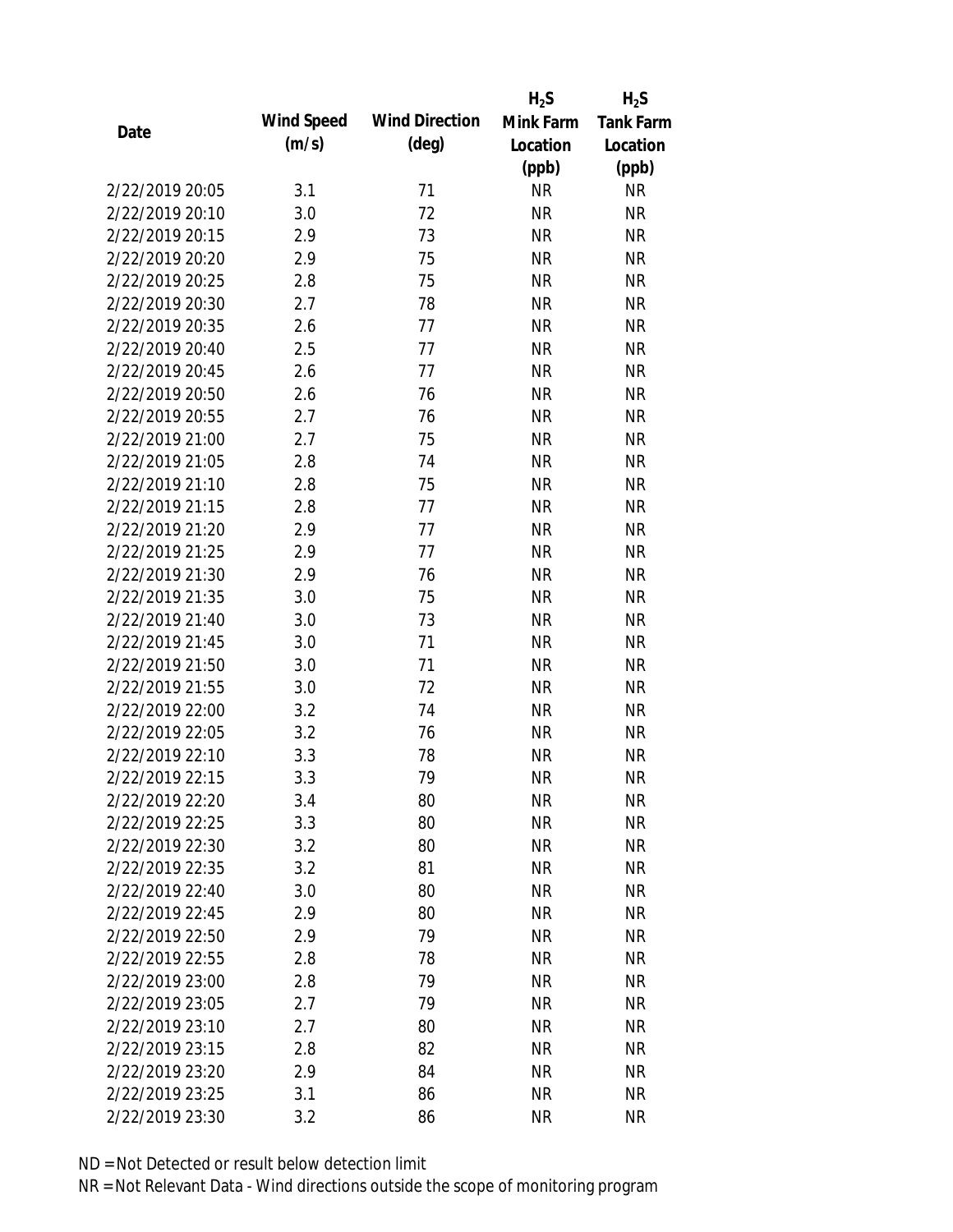|                 |            |                       | $H_2S$    | $H_2S$           |
|-----------------|------------|-----------------------|-----------|------------------|
| Date            | Wind Speed | <b>Wind Direction</b> | Mink Farm | <b>Tank Farm</b> |
|                 | (m/s)      | $(\text{deg})$        | Location  | Location         |
|                 |            |                       | (ppb)     | (ppb)            |
| 2/22/2019 20:05 | 3.1        | 71                    | <b>NR</b> | <b>NR</b>        |
| 2/22/2019 20:10 | 3.0        | 72                    | <b>NR</b> | <b>NR</b>        |
| 2/22/2019 20:15 | 2.9        | 73                    | <b>NR</b> | <b>NR</b>        |
| 2/22/2019 20:20 | 2.9        | 75                    | <b>NR</b> | <b>NR</b>        |
| 2/22/2019 20:25 | 2.8        | 75                    | <b>NR</b> | <b>NR</b>        |
| 2/22/2019 20:30 | 2.7        | 78                    | <b>NR</b> | <b>NR</b>        |
| 2/22/2019 20:35 | 2.6        | 77                    | <b>NR</b> | <b>NR</b>        |
| 2/22/2019 20:40 | 2.5        | 77                    | <b>NR</b> | <b>NR</b>        |
| 2/22/2019 20:45 | 2.6        | 77                    | <b>NR</b> | <b>NR</b>        |
| 2/22/2019 20:50 | 2.6        | 76                    | <b>NR</b> | <b>NR</b>        |
| 2/22/2019 20:55 | 2.7        | 76                    | <b>NR</b> | <b>NR</b>        |
| 2/22/2019 21:00 | 2.7        | 75                    | <b>NR</b> | <b>NR</b>        |
| 2/22/2019 21:05 | 2.8        | 74                    | <b>NR</b> | <b>NR</b>        |
| 2/22/2019 21:10 | 2.8        | 75                    | <b>NR</b> | <b>NR</b>        |
| 2/22/2019 21:15 | 2.8        | 77                    | <b>NR</b> | <b>NR</b>        |
| 2/22/2019 21:20 | 2.9        | 77                    | <b>NR</b> | <b>NR</b>        |
| 2/22/2019 21:25 | 2.9        | 77                    | <b>NR</b> | <b>NR</b>        |
| 2/22/2019 21:30 | 2.9        | 76                    | <b>NR</b> | <b>NR</b>        |
| 2/22/2019 21:35 | 3.0        | 75                    | <b>NR</b> | <b>NR</b>        |
| 2/22/2019 21:40 | 3.0        | 73                    | <b>NR</b> | <b>NR</b>        |
| 2/22/2019 21:45 | 3.0        | 71                    | <b>NR</b> | <b>NR</b>        |
| 2/22/2019 21:50 | 3.0        | 71                    | <b>NR</b> | <b>NR</b>        |
| 2/22/2019 21:55 | 3.0        | 72                    | <b>NR</b> | <b>NR</b>        |
| 2/22/2019 22:00 | 3.2        | 74                    | <b>NR</b> | <b>NR</b>        |
| 2/22/2019 22:05 | 3.2        | 76                    | <b>NR</b> | <b>NR</b>        |
| 2/22/2019 22:10 | 3.3        | 78                    | <b>NR</b> | <b>NR</b>        |
| 2/22/2019 22:15 | 3.3        | 79                    | <b>NR</b> | <b>NR</b>        |
| 2/22/2019 22:20 | 3.4        | 80                    | <b>NR</b> | <b>NR</b>        |
| 2/22/2019 22:25 | 3.3        | 80                    | <b>NR</b> | <b>NR</b>        |
| 2/22/2019 22:30 | 3.2        | 80                    | <b>NR</b> | <b>NR</b>        |
| 2/22/2019 22:35 | 3.2        | 81                    | <b>NR</b> | <b>NR</b>        |
| 2/22/2019 22:40 | 3.0        | 80                    | <b>NR</b> | <b>NR</b>        |
| 2/22/2019 22:45 | 2.9        | 80                    | <b>NR</b> | <b>NR</b>        |
| 2/22/2019 22:50 | 2.9        | 79                    | <b>NR</b> | <b>NR</b>        |
| 2/22/2019 22:55 | 2.8        | 78                    | <b>NR</b> | <b>NR</b>        |
| 2/22/2019 23:00 | 2.8        | 79                    | <b>NR</b> | <b>NR</b>        |
| 2/22/2019 23:05 | 2.7        | 79                    | <b>NR</b> | <b>NR</b>        |
| 2/22/2019 23:10 | 2.7        | 80                    | NR        | <b>NR</b>        |
| 2/22/2019 23:15 | 2.8        | 82                    | <b>NR</b> | <b>NR</b>        |
| 2/22/2019 23:20 | 2.9        | 84                    | <b>NR</b> | NR               |
| 2/22/2019 23:25 | 3.1        | 86                    | <b>NR</b> | <b>NR</b>        |
| 2/22/2019 23:30 | 3.2        | 86                    | <b>NR</b> | <b>NR</b>        |
|                 |            |                       |           |                  |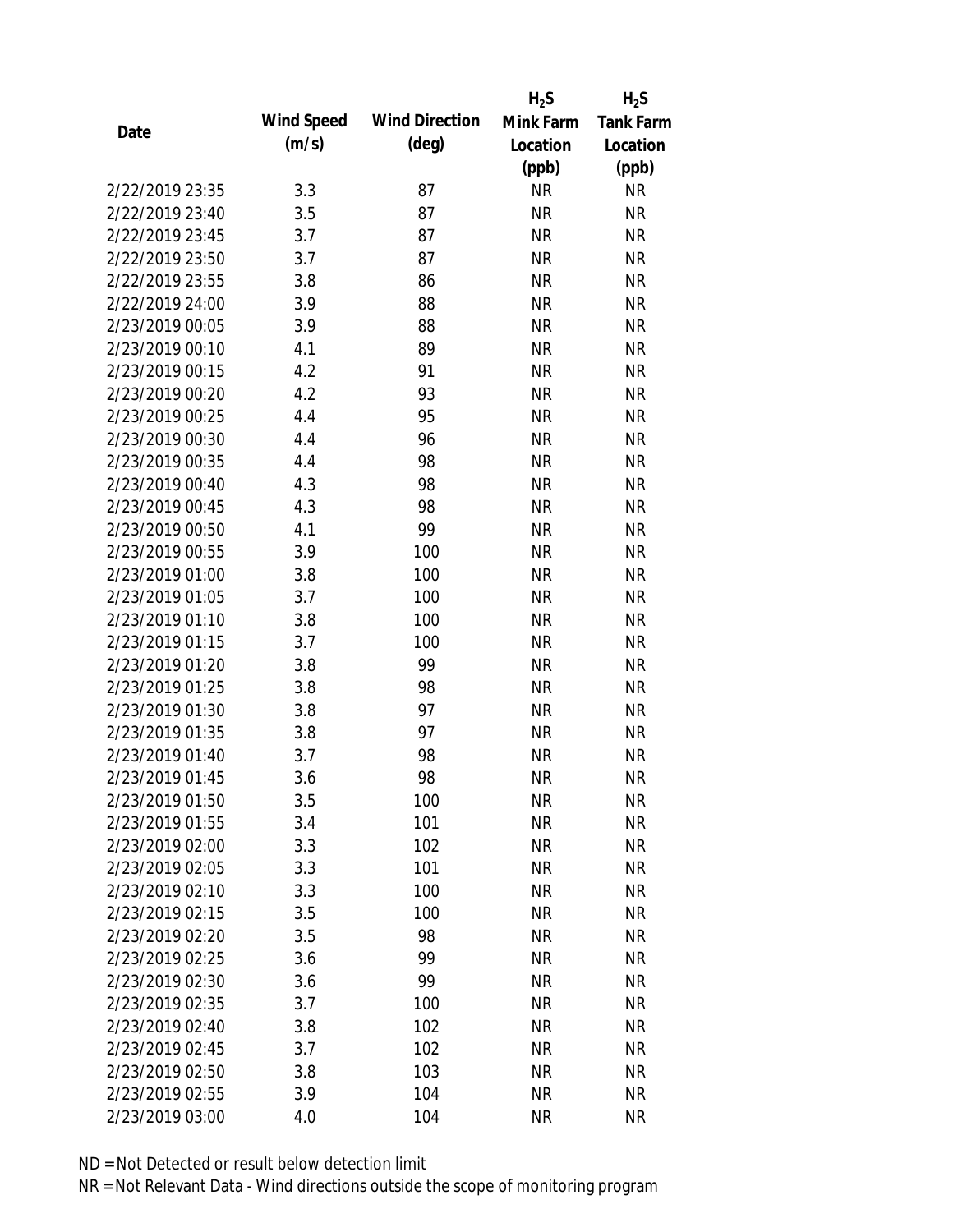|                 |            |                       | $H_2S$    | $H_2S$           |
|-----------------|------------|-----------------------|-----------|------------------|
| Date            | Wind Speed | <b>Wind Direction</b> | Mink Farm | <b>Tank Farm</b> |
|                 | (m/s)      | $(\text{deg})$        | Location  | Location         |
|                 |            |                       | (ppb)     | (ppb)            |
| 2/22/2019 23:35 | 3.3        | 87                    | <b>NR</b> | <b>NR</b>        |
| 2/22/2019 23:40 | 3.5        | 87                    | <b>NR</b> | <b>NR</b>        |
| 2/22/2019 23:45 | 3.7        | 87                    | <b>NR</b> | <b>NR</b>        |
| 2/22/2019 23:50 | 3.7        | 87                    | <b>NR</b> | <b>NR</b>        |
| 2/22/2019 23:55 | 3.8        | 86                    | <b>NR</b> | <b>NR</b>        |
| 2/22/2019 24:00 | 3.9        | 88                    | <b>NR</b> | <b>NR</b>        |
| 2/23/2019 00:05 | 3.9        | 88                    | <b>NR</b> | <b>NR</b>        |
| 2/23/2019 00:10 | 4.1        | 89                    | <b>NR</b> | <b>NR</b>        |
| 2/23/2019 00:15 | 4.2        | 91                    | <b>NR</b> | <b>NR</b>        |
| 2/23/2019 00:20 | 4.2        | 93                    | <b>NR</b> | <b>NR</b>        |
| 2/23/2019 00:25 | 4.4        | 95                    | <b>NR</b> | <b>NR</b>        |
| 2/23/2019 00:30 | 4.4        | 96                    | <b>NR</b> | <b>NR</b>        |
| 2/23/2019 00:35 | 4.4        | 98                    | <b>NR</b> | <b>NR</b>        |
| 2/23/2019 00:40 | 4.3        | 98                    | <b>NR</b> | <b>NR</b>        |
| 2/23/2019 00:45 | 4.3        | 98                    | <b>NR</b> | <b>NR</b>        |
| 2/23/2019 00:50 | 4.1        | 99                    | <b>NR</b> | <b>NR</b>        |
| 2/23/2019 00:55 | 3.9        | 100                   | <b>NR</b> | <b>NR</b>        |
| 2/23/2019 01:00 | 3.8        | 100                   | <b>NR</b> | <b>NR</b>        |
| 2/23/2019 01:05 | 3.7        | 100                   | <b>NR</b> | <b>NR</b>        |
| 2/23/2019 01:10 | 3.8        | 100                   | <b>NR</b> | <b>NR</b>        |
| 2/23/2019 01:15 | 3.7        | 100                   | <b>NR</b> | <b>NR</b>        |
| 2/23/2019 01:20 | 3.8        | 99                    | <b>NR</b> | <b>NR</b>        |
| 2/23/2019 01:25 | 3.8        | 98                    | <b>NR</b> | <b>NR</b>        |
| 2/23/2019 01:30 | 3.8        | 97                    | <b>NR</b> | <b>NR</b>        |
| 2/23/2019 01:35 | 3.8        | 97                    | <b>NR</b> | <b>NR</b>        |
| 2/23/2019 01:40 | 3.7        | 98                    | <b>NR</b> | <b>NR</b>        |
| 2/23/2019 01:45 | 3.6        | 98                    | <b>NR</b> | <b>NR</b>        |
| 2/23/2019 01:50 | 3.5        | 100                   | <b>NR</b> | <b>NR</b>        |
| 2/23/2019 01:55 | 3.4        | 101                   | <b>NR</b> | <b>NR</b>        |
| 2/23/2019 02:00 | 3.3        | 102                   | <b>NR</b> | <b>NR</b>        |
| 2/23/2019 02:05 | 3.3        | 101                   | <b>NR</b> | <b>NR</b>        |
| 2/23/2019 02:10 | 3.3        | 100                   | <b>NR</b> | <b>NR</b>        |
| 2/23/2019 02:15 | 3.5        | 100                   | <b>NR</b> | <b>NR</b>        |
| 2/23/2019 02:20 | 3.5        | 98                    | <b>NR</b> | <b>NR</b>        |
| 2/23/2019 02:25 | 3.6        | 99                    | <b>NR</b> | <b>NR</b>        |
| 2/23/2019 02:30 | 3.6        | 99                    | <b>NR</b> | <b>NR</b>        |
| 2/23/2019 02:35 | 3.7        | 100                   | <b>NR</b> | <b>NR</b>        |
| 2/23/2019 02:40 | 3.8        | 102                   | NR        | <b>NR</b>        |
| 2/23/2019 02:45 | 3.7        | 102                   | <b>NR</b> | <b>NR</b>        |
| 2/23/2019 02:50 | 3.8        | 103                   | <b>NR</b> | <b>NR</b>        |
| 2/23/2019 02:55 | 3.9        | 104                   | <b>NR</b> | <b>NR</b>        |
|                 |            |                       | <b>NR</b> | <b>NR</b>        |
| 2/23/2019 03:00 | 4.0        | 104                   |           |                  |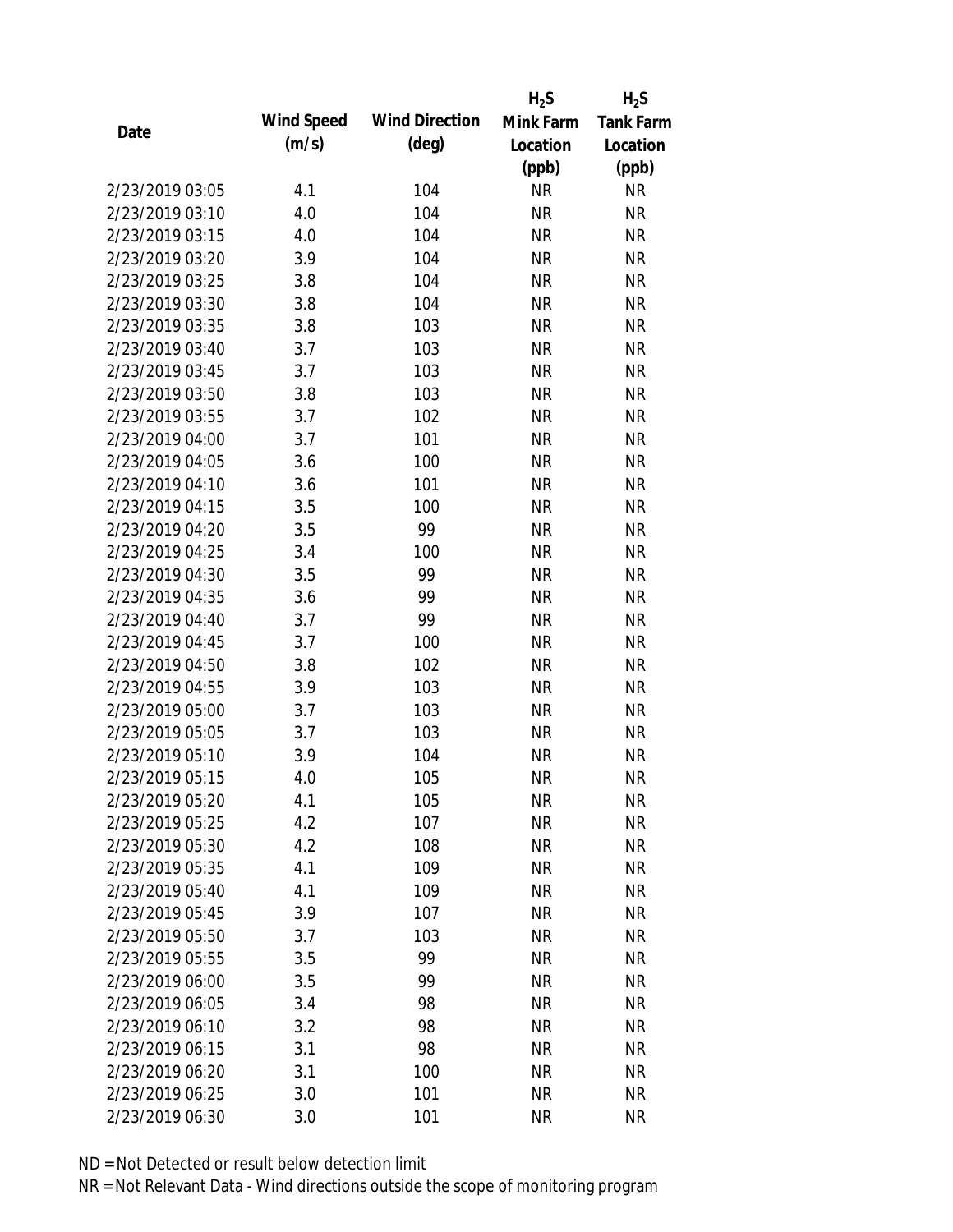|                 |            |                       | $H_2S$    | $H_2S$           |
|-----------------|------------|-----------------------|-----------|------------------|
| Date            | Wind Speed | <b>Wind Direction</b> | Mink Farm | <b>Tank Farm</b> |
|                 | (m/s)      | $(\text{deg})$        | Location  | Location         |
|                 |            |                       | (ppb)     | (ppb)            |
| 2/23/2019 03:05 | 4.1        | 104                   | <b>NR</b> | <b>NR</b>        |
| 2/23/2019 03:10 | 4.0        | 104                   | <b>NR</b> | <b>NR</b>        |
| 2/23/2019 03:15 | 4.0        | 104                   | <b>NR</b> | <b>NR</b>        |
| 2/23/2019 03:20 | 3.9        | 104                   | <b>NR</b> | <b>NR</b>        |
| 2/23/2019 03:25 | 3.8        | 104                   | <b>NR</b> | <b>NR</b>        |
| 2/23/2019 03:30 | 3.8        | 104                   | <b>NR</b> | <b>NR</b>        |
| 2/23/2019 03:35 | 3.8        | 103                   | <b>NR</b> | <b>NR</b>        |
| 2/23/2019 03:40 | 3.7        | 103                   | <b>NR</b> | <b>NR</b>        |
| 2/23/2019 03:45 | 3.7        | 103                   | <b>NR</b> | <b>NR</b>        |
| 2/23/2019 03:50 | 3.8        | 103                   | <b>NR</b> | <b>NR</b>        |
| 2/23/2019 03:55 | 3.7        | 102                   | <b>NR</b> | <b>NR</b>        |
| 2/23/2019 04:00 | 3.7        | 101                   | <b>NR</b> | <b>NR</b>        |
| 2/23/2019 04:05 | 3.6        | 100                   | <b>NR</b> | <b>NR</b>        |
| 2/23/2019 04:10 | 3.6        | 101                   | <b>NR</b> | <b>NR</b>        |
| 2/23/2019 04:15 | 3.5        | 100                   | <b>NR</b> | <b>NR</b>        |
| 2/23/2019 04:20 | 3.5        | 99                    | <b>NR</b> | <b>NR</b>        |
| 2/23/2019 04:25 | 3.4        | 100                   | <b>NR</b> | <b>NR</b>        |
| 2/23/2019 04:30 | 3.5        | 99                    | <b>NR</b> | <b>NR</b>        |
| 2/23/2019 04:35 | 3.6        | 99                    | <b>NR</b> | <b>NR</b>        |
| 2/23/2019 04:40 | 3.7        | 99                    | <b>NR</b> | <b>NR</b>        |
| 2/23/2019 04:45 | 3.7        | 100                   | <b>NR</b> | <b>NR</b>        |
| 2/23/2019 04:50 | 3.8        | 102                   | <b>NR</b> | <b>NR</b>        |
| 2/23/2019 04:55 | 3.9        | 103                   | <b>NR</b> | <b>NR</b>        |
| 2/23/2019 05:00 | 3.7        | 103                   | <b>NR</b> | <b>NR</b>        |
| 2/23/2019 05:05 | 3.7        | 103                   | <b>NR</b> | <b>NR</b>        |
| 2/23/2019 05:10 | 3.9        | 104                   | <b>NR</b> | <b>NR</b>        |
| 2/23/2019 05:15 | 4.0        | 105                   | <b>NR</b> | <b>NR</b>        |
| 2/23/2019 05:20 | 4.1        | 105                   | <b>NR</b> | <b>NR</b>        |
| 2/23/2019 05:25 | 4.2        | 107                   | <b>NR</b> | <b>NR</b>        |
| 2/23/2019 05:30 | 4.2        | 108                   | NR        | <b>NR</b>        |
| 2/23/2019 05:35 | 4.1        | 109                   | <b>NR</b> | <b>NR</b>        |
| 2/23/2019 05:40 | 4.1        | 109                   | <b>NR</b> | <b>NR</b>        |
| 2/23/2019 05:45 | 3.9        | 107                   | <b>NR</b> | <b>NR</b>        |
| 2/23/2019 05:50 | 3.7        | 103                   | <b>NR</b> | <b>NR</b>        |
| 2/23/2019 05:55 | 3.5        | 99                    | <b>NR</b> | <b>NR</b>        |
| 2/23/2019 06:00 | 3.5        | 99                    | <b>NR</b> | <b>NR</b>        |
| 2/23/2019 06:05 | 3.4        | 98                    | <b>NR</b> | <b>NR</b>        |
| 2/23/2019 06:10 | 3.2        | 98                    | <b>NR</b> | <b>NR</b>        |
| 2/23/2019 06:15 | 3.1        | 98                    | <b>NR</b> | <b>NR</b>        |
| 2/23/2019 06:20 | 3.1        | 100                   | <b>NR</b> | <b>NR</b>        |
| 2/23/2019 06:25 | 3.0        | 101                   | <b>NR</b> | <b>NR</b>        |
| 2/23/2019 06:30 | 3.0        | 101                   | <b>NR</b> | <b>NR</b>        |
|                 |            |                       |           |                  |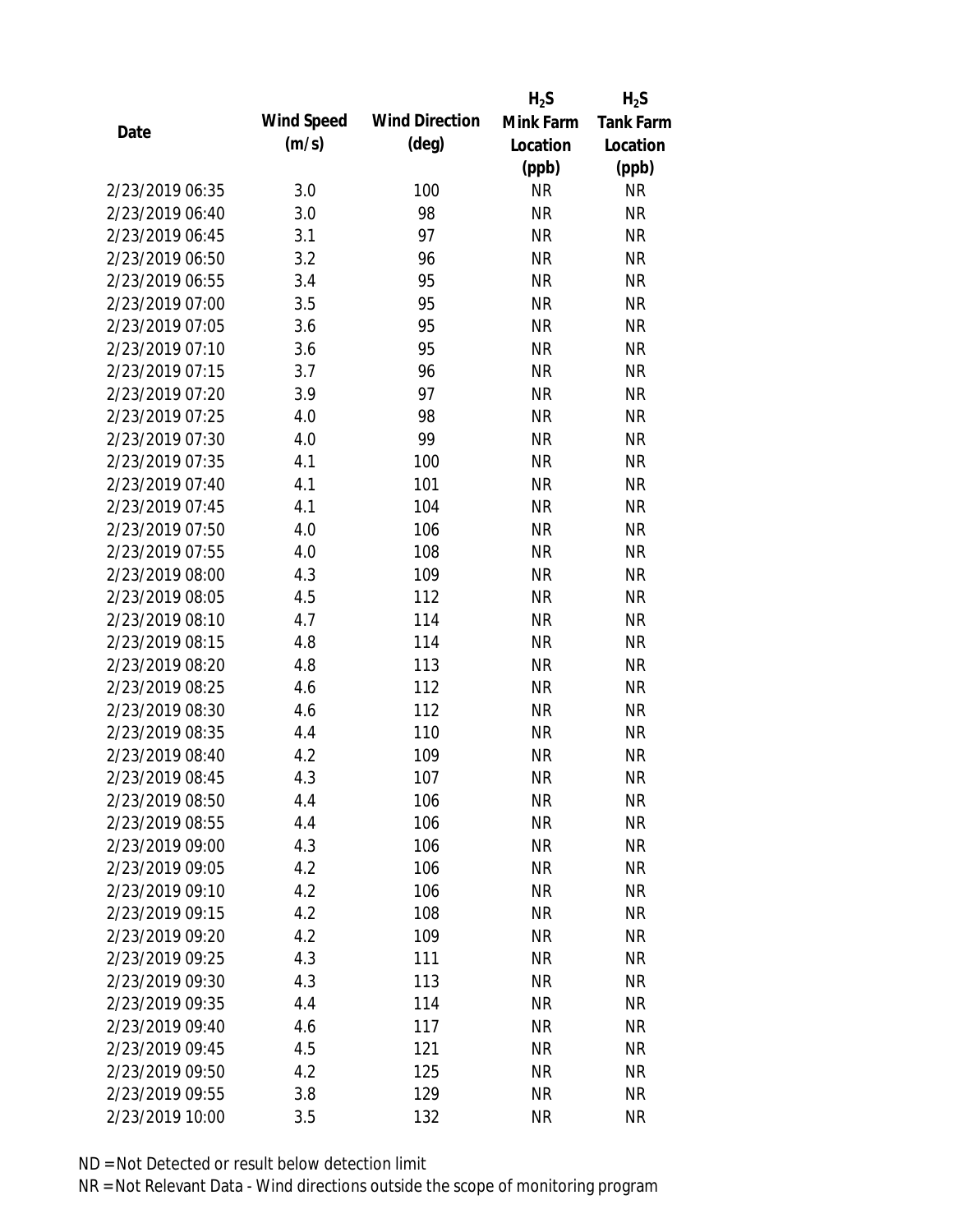|                 |            |                       | $H_2S$    | $H_2S$           |
|-----------------|------------|-----------------------|-----------|------------------|
| Date            | Wind Speed | <b>Wind Direction</b> | Mink Farm | <b>Tank Farm</b> |
|                 | (m/s)      | $(\text{deg})$        | Location  | Location         |
|                 |            |                       | (ppb)     | (ppb)            |
| 2/23/2019 06:35 | 3.0        | 100                   | <b>NR</b> | <b>NR</b>        |
| 2/23/2019 06:40 | 3.0        | 98                    | <b>NR</b> | <b>NR</b>        |
| 2/23/2019 06:45 | 3.1        | 97                    | <b>NR</b> | <b>NR</b>        |
| 2/23/2019 06:50 | 3.2        | 96                    | <b>NR</b> | <b>NR</b>        |
| 2/23/2019 06:55 | 3.4        | 95                    | <b>NR</b> | <b>NR</b>        |
| 2/23/2019 07:00 | 3.5        | 95                    | <b>NR</b> | <b>NR</b>        |
| 2/23/2019 07:05 | 3.6        | 95                    | <b>NR</b> | <b>NR</b>        |
| 2/23/2019 07:10 | 3.6        | 95                    | <b>NR</b> | <b>NR</b>        |
| 2/23/2019 07:15 | 3.7        | 96                    | <b>NR</b> | <b>NR</b>        |
| 2/23/2019 07:20 | 3.9        | 97                    | <b>NR</b> | <b>NR</b>        |
| 2/23/2019 07:25 | 4.0        | 98                    | <b>NR</b> | <b>NR</b>        |
| 2/23/2019 07:30 | 4.0        | 99                    | <b>NR</b> | <b>NR</b>        |
| 2/23/2019 07:35 | 4.1        | 100                   | <b>NR</b> | <b>NR</b>        |
| 2/23/2019 07:40 | 4.1        | 101                   | <b>NR</b> | <b>NR</b>        |
| 2/23/2019 07:45 | 4.1        | 104                   | <b>NR</b> | <b>NR</b>        |
| 2/23/2019 07:50 | 4.0        | 106                   | <b>NR</b> | <b>NR</b>        |
| 2/23/2019 07:55 | 4.0        | 108                   | <b>NR</b> | <b>NR</b>        |
| 2/23/2019 08:00 | 4.3        | 109                   | <b>NR</b> | <b>NR</b>        |
| 2/23/2019 08:05 | 4.5        | 112                   | <b>NR</b> | <b>NR</b>        |
| 2/23/2019 08:10 | 4.7        | 114                   | <b>NR</b> | <b>NR</b>        |
| 2/23/2019 08:15 | 4.8        | 114                   | <b>NR</b> | <b>NR</b>        |
| 2/23/2019 08:20 | 4.8        | 113                   | <b>NR</b> | <b>NR</b>        |
| 2/23/2019 08:25 | 4.6        | 112                   | <b>NR</b> | <b>NR</b>        |
| 2/23/2019 08:30 | 4.6        | 112                   | <b>NR</b> | <b>NR</b>        |
| 2/23/2019 08:35 | 4.4        | 110                   | <b>NR</b> | <b>NR</b>        |
| 2/23/2019 08:40 | 4.2        | 109                   | <b>NR</b> | <b>NR</b>        |
| 2/23/2019 08:45 | 4.3        | 107                   | <b>NR</b> | <b>NR</b>        |
| 2/23/2019 08:50 | 4.4        | 106                   | <b>NR</b> | <b>NR</b>        |
| 2/23/2019 08:55 | 4.4        | 106                   | <b>NR</b> | <b>NR</b>        |
| 2/23/2019 09:00 | 4.3        | 106                   | <b>NR</b> | <b>NR</b>        |
| 2/23/2019 09:05 | 4.2        | 106                   | <b>NR</b> | <b>NR</b>        |
| 2/23/2019 09:10 | 4.2        | 106                   | <b>NR</b> | NR               |
| 2/23/2019 09:15 | 4.2        | 108                   | <b>NR</b> | <b>NR</b>        |
| 2/23/2019 09:20 | 4.2        | 109                   | <b>NR</b> | <b>NR</b>        |
| 2/23/2019 09:25 | 4.3        | 111                   | <b>NR</b> | <b>NR</b>        |
| 2/23/2019 09:30 | 4.3        | 113                   | <b>NR</b> | <b>NR</b>        |
| 2/23/2019 09:35 | 4.4        | 114                   | <b>NR</b> | <b>NR</b>        |
| 2/23/2019 09:40 | 4.6        | 117                   | NR        | <b>NR</b>        |
| 2/23/2019 09:45 | 4.5        | 121                   | <b>NR</b> | <b>NR</b>        |
| 2/23/2019 09:50 | 4.2        | 125                   | <b>NR</b> | <b>NR</b>        |
| 2/23/2019 09:55 | 3.8        | 129                   | <b>NR</b> | <b>NR</b>        |
| 2/23/2019 10:00 | 3.5        | 132                   | <b>NR</b> | <b>NR</b>        |
|                 |            |                       |           |                  |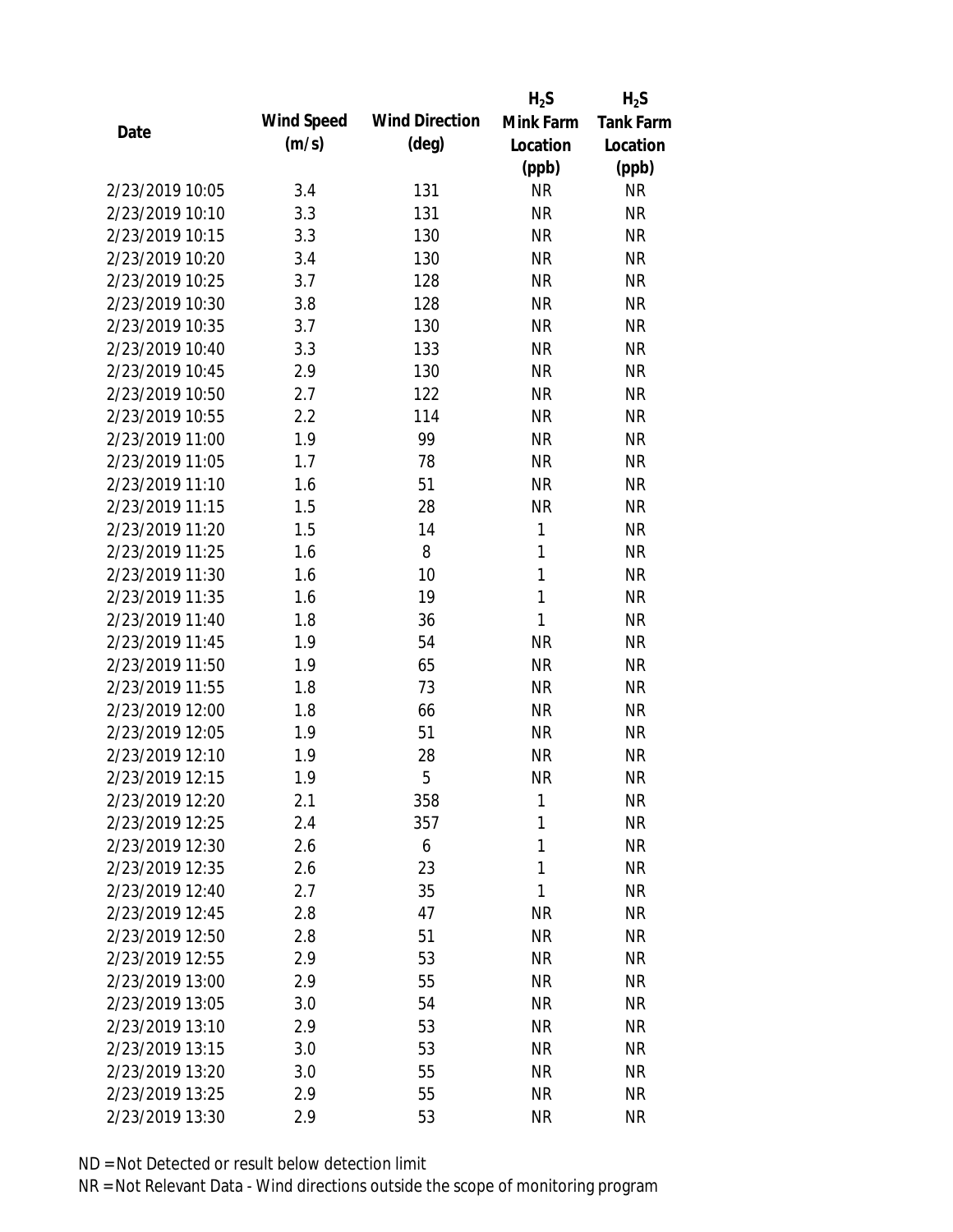|                 |            |                       | $H_2S$       | $H_2S$           |
|-----------------|------------|-----------------------|--------------|------------------|
| Date            | Wind Speed | <b>Wind Direction</b> | Mink Farm    | <b>Tank Farm</b> |
|                 | (m/s)      | $(\text{deg})$        | Location     | Location         |
|                 |            |                       | (ppb)        | (ppb)            |
| 2/23/2019 10:05 | 3.4        | 131                   | <b>NR</b>    | <b>NR</b>        |
| 2/23/2019 10:10 | 3.3        | 131                   | <b>NR</b>    | <b>NR</b>        |
| 2/23/2019 10:15 | 3.3        | 130                   | <b>NR</b>    | <b>NR</b>        |
| 2/23/2019 10:20 | 3.4        | 130                   | <b>NR</b>    | <b>NR</b>        |
| 2/23/2019 10:25 | 3.7        | 128                   | <b>NR</b>    | <b>NR</b>        |
| 2/23/2019 10:30 | 3.8        | 128                   | <b>NR</b>    | <b>NR</b>        |
| 2/23/2019 10:35 | 3.7        | 130                   | <b>NR</b>    | <b>NR</b>        |
| 2/23/2019 10:40 | 3.3        | 133                   | <b>NR</b>    | <b>NR</b>        |
| 2/23/2019 10:45 | 2.9        | 130                   | <b>NR</b>    | <b>NR</b>        |
| 2/23/2019 10:50 | 2.7        | 122                   | <b>NR</b>    | <b>NR</b>        |
| 2/23/2019 10:55 | 2.2        | 114                   | <b>NR</b>    | <b>NR</b>        |
| 2/23/2019 11:00 | 1.9        | 99                    | <b>NR</b>    | <b>NR</b>        |
| 2/23/2019 11:05 | 1.7        | 78                    | <b>NR</b>    | <b>NR</b>        |
| 2/23/2019 11:10 | 1.6        | 51                    | <b>NR</b>    | <b>NR</b>        |
| 2/23/2019 11:15 | 1.5        | 28                    | <b>NR</b>    | <b>NR</b>        |
| 2/23/2019 11:20 | 1.5        | 14                    | $\mathbf{1}$ | <b>NR</b>        |
| 2/23/2019 11:25 | 1.6        | 8                     | 1            | <b>NR</b>        |
| 2/23/2019 11:30 | 1.6        | 10                    | $\mathbf{1}$ | <b>NR</b>        |
| 2/23/2019 11:35 | 1.6        | 19                    | $\mathbf{1}$ | <b>NR</b>        |
| 2/23/2019 11:40 | 1.8        | 36                    | 1            | <b>NR</b>        |
| 2/23/2019 11:45 | 1.9        | 54                    | <b>NR</b>    | <b>NR</b>        |
| 2/23/2019 11:50 | 1.9        | 65                    | <b>NR</b>    | <b>NR</b>        |
| 2/23/2019 11:55 | 1.8        | 73                    | <b>NR</b>    | <b>NR</b>        |
| 2/23/2019 12:00 | 1.8        | 66                    | <b>NR</b>    | <b>NR</b>        |
| 2/23/2019 12:05 | 1.9        | 51                    | <b>NR</b>    | <b>NR</b>        |
| 2/23/2019 12:10 | 1.9        | 28                    | <b>NR</b>    | <b>NR</b>        |
| 2/23/2019 12:15 | 1.9        | 5                     | <b>NR</b>    | <b>NR</b>        |
| 2/23/2019 12:20 | 2.1        | 358                   | 1            | <b>NR</b>        |
| 2/23/2019 12:25 | 2.4        | 357                   | 1            | <b>NR</b>        |
| 2/23/2019 12:30 | 2.6        | 6                     | 1            | <b>NR</b>        |
| 2/23/2019 12:35 | 2.6        | 23                    | 1            | <b>NR</b>        |
| 2/23/2019 12:40 | 2.7        | 35                    | 1            | <b>NR</b>        |
| 2/23/2019 12:45 | 2.8        | 47                    | <b>NR</b>    | <b>NR</b>        |
| 2/23/2019 12:50 | 2.8        | 51                    | <b>NR</b>    | <b>NR</b>        |
| 2/23/2019 12:55 | 2.9        | 53                    | <b>NR</b>    | <b>NR</b>        |
| 2/23/2019 13:00 | 2.9        | 55                    | <b>NR</b>    | <b>NR</b>        |
| 2/23/2019 13:05 | 3.0        | 54                    | <b>NR</b>    | <b>NR</b>        |
| 2/23/2019 13:10 | 2.9        | 53                    | NR           | <b>NR</b>        |
| 2/23/2019 13:15 | 3.0        | 53                    | <b>NR</b>    | <b>NR</b>        |
| 2/23/2019 13:20 | 3.0        | 55                    | <b>NR</b>    | <b>NR</b>        |
| 2/23/2019 13:25 | 2.9        | 55                    | <b>NR</b>    | <b>NR</b>        |
| 2/23/2019 13:30 | 2.9        | 53                    | <b>NR</b>    | <b>NR</b>        |
|                 |            |                       |              |                  |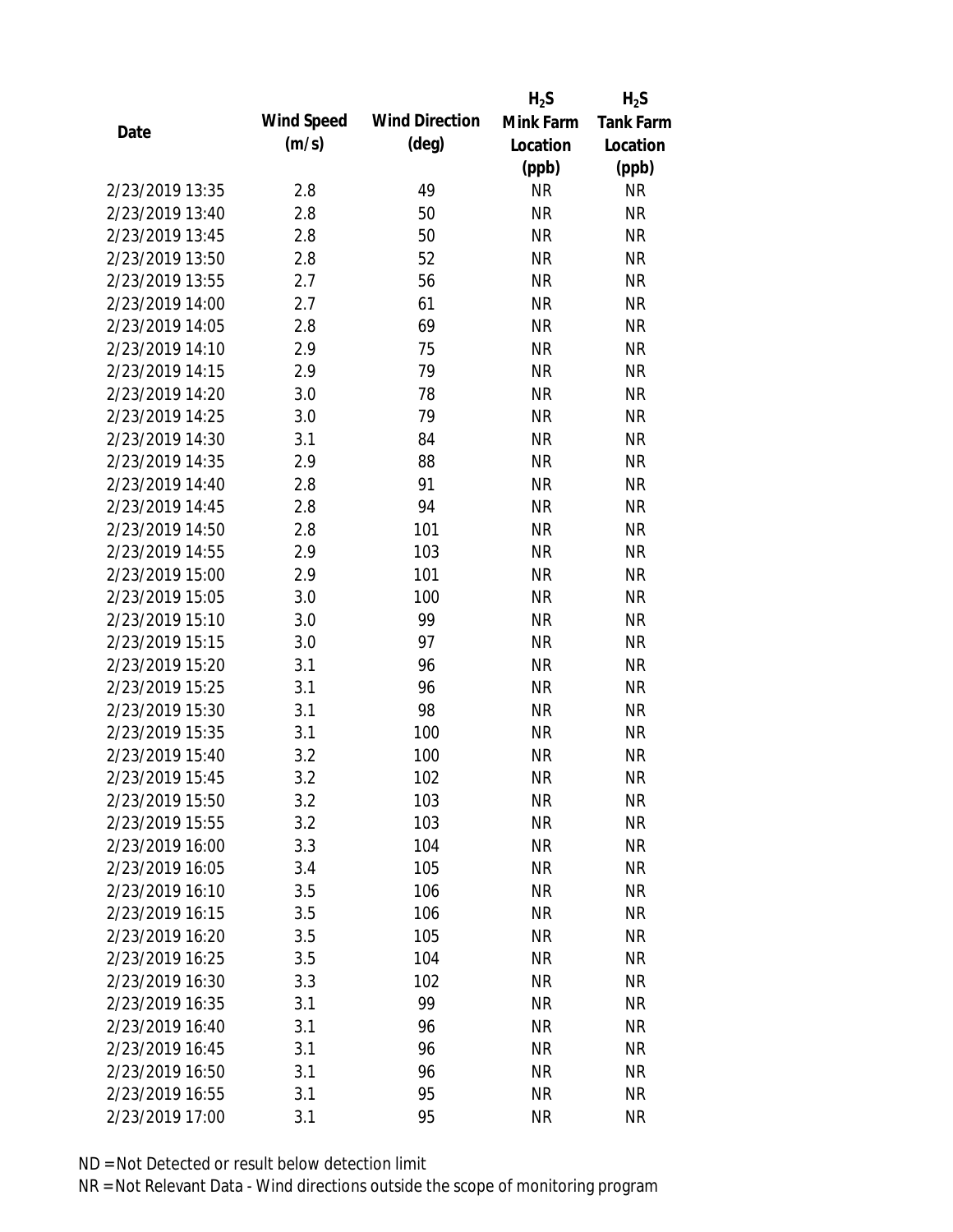|                 |            |                       | $H_2S$    | $H_2S$           |
|-----------------|------------|-----------------------|-----------|------------------|
| Date            | Wind Speed | <b>Wind Direction</b> | Mink Farm | <b>Tank Farm</b> |
|                 | (m/s)      | $(\text{deg})$        | Location  | Location         |
|                 |            |                       | (ppb)     | (ppb)            |
| 2/23/2019 13:35 | 2.8        | 49                    | <b>NR</b> | <b>NR</b>        |
| 2/23/2019 13:40 | 2.8        | 50                    | <b>NR</b> | <b>NR</b>        |
| 2/23/2019 13:45 | 2.8        | 50                    | <b>NR</b> | <b>NR</b>        |
| 2/23/2019 13:50 | 2.8        | 52                    | <b>NR</b> | <b>NR</b>        |
| 2/23/2019 13:55 | 2.7        | 56                    | <b>NR</b> | <b>NR</b>        |
| 2/23/2019 14:00 | 2.7        | 61                    | <b>NR</b> | <b>NR</b>        |
| 2/23/2019 14:05 | 2.8        | 69                    | <b>NR</b> | <b>NR</b>        |
| 2/23/2019 14:10 | 2.9        | 75                    | <b>NR</b> | <b>NR</b>        |
| 2/23/2019 14:15 | 2.9        | 79                    | <b>NR</b> | <b>NR</b>        |
| 2/23/2019 14:20 | 3.0        | 78                    | <b>NR</b> | <b>NR</b>        |
| 2/23/2019 14:25 | 3.0        | 79                    | <b>NR</b> | <b>NR</b>        |
| 2/23/2019 14:30 | 3.1        | 84                    | <b>NR</b> | <b>NR</b>        |
| 2/23/2019 14:35 | 2.9        | 88                    | <b>NR</b> | <b>NR</b>        |
| 2/23/2019 14:40 | 2.8        | 91                    | <b>NR</b> | <b>NR</b>        |
| 2/23/2019 14:45 | 2.8        | 94                    | <b>NR</b> | <b>NR</b>        |
| 2/23/2019 14:50 | 2.8        | 101                   | <b>NR</b> | <b>NR</b>        |
| 2/23/2019 14:55 | 2.9        | 103                   | <b>NR</b> | <b>NR</b>        |
| 2/23/2019 15:00 | 2.9        | 101                   | <b>NR</b> | <b>NR</b>        |
| 2/23/2019 15:05 | 3.0        | 100                   | <b>NR</b> | <b>NR</b>        |
| 2/23/2019 15:10 | 3.0        | 99                    | <b>NR</b> | <b>NR</b>        |
| 2/23/2019 15:15 | 3.0        | 97                    | <b>NR</b> | <b>NR</b>        |
| 2/23/2019 15:20 | 3.1        | 96                    | <b>NR</b> | <b>NR</b>        |
| 2/23/2019 15:25 | 3.1        | 96                    | <b>NR</b> | <b>NR</b>        |
| 2/23/2019 15:30 | 3.1        | 98                    | <b>NR</b> | <b>NR</b>        |
| 2/23/2019 15:35 | 3.1        | 100                   | <b>NR</b> | <b>NR</b>        |
| 2/23/2019 15:40 | 3.2        | 100                   | <b>NR</b> | <b>NR</b>        |
| 2/23/2019 15:45 | 3.2        | 102                   | <b>NR</b> | <b>NR</b>        |
| 2/23/2019 15:50 | 3.2        | 103                   | <b>NR</b> | <b>NR</b>        |
| 2/23/2019 15:55 | 3.2        | 103                   | <b>NR</b> | <b>NR</b>        |
| 2/23/2019 16:00 | 3.3        | 104                   | <b>NR</b> | <b>NR</b>        |
| 2/23/2019 16:05 | 3.4        | 105                   | <b>NR</b> | <b>NR</b>        |
| 2/23/2019 16:10 | 3.5        | 106                   | <b>NR</b> | <b>NR</b>        |
| 2/23/2019 16:15 | 3.5        | 106                   | <b>NR</b> | <b>NR</b>        |
| 2/23/2019 16:20 | 3.5        | 105                   | <b>NR</b> | <b>NR</b>        |
| 2/23/2019 16:25 | 3.5        | 104                   | <b>NR</b> | NR               |
| 2/23/2019 16:30 | 3.3        | 102                   | <b>NR</b> | <b>NR</b>        |
| 2/23/2019 16:35 | 3.1        | 99                    | <b>NR</b> | <b>NR</b>        |
| 2/23/2019 16:40 | 3.1        | 96                    | NR        | <b>NR</b>        |
| 2/23/2019 16:45 | 3.1        | 96                    | <b>NR</b> | NR               |
| 2/23/2019 16:50 | 3.1        | 96                    | <b>NR</b> | NR               |
| 2/23/2019 16:55 | 3.1        | 95                    | <b>NR</b> | <b>NR</b>        |
|                 |            | 95                    | <b>NR</b> | <b>NR</b>        |
| 2/23/2019 17:00 | 3.1        |                       |           |                  |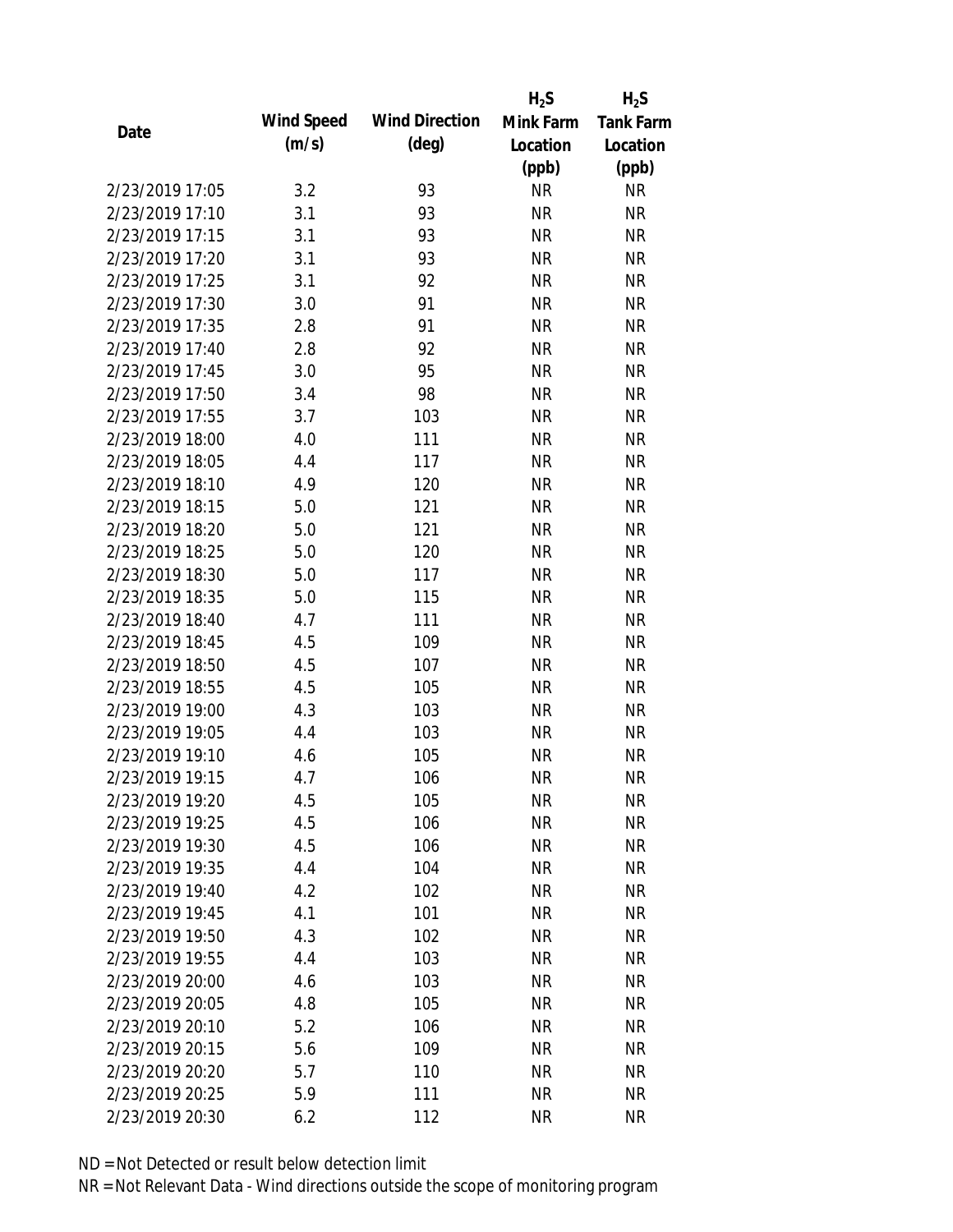|                 |            |                       | $H_2S$    | $H_2S$           |
|-----------------|------------|-----------------------|-----------|------------------|
|                 | Wind Speed | <b>Wind Direction</b> | Mink Farm | <b>Tank Farm</b> |
| Date            | (m/s)      | $(\text{deg})$        | Location  | Location         |
|                 |            |                       | (ppb)     | (ppb)            |
| 2/23/2019 17:05 | 3.2        | 93                    | <b>NR</b> | <b>NR</b>        |
| 2/23/2019 17:10 | 3.1        | 93                    | <b>NR</b> | <b>NR</b>        |
| 2/23/2019 17:15 | 3.1        | 93                    | <b>NR</b> | <b>NR</b>        |
| 2/23/2019 17:20 | 3.1        | 93                    | <b>NR</b> | <b>NR</b>        |
| 2/23/2019 17:25 | 3.1        | 92                    | <b>NR</b> | <b>NR</b>        |
| 2/23/2019 17:30 | 3.0        | 91                    | <b>NR</b> | <b>NR</b>        |
| 2/23/2019 17:35 | 2.8        | 91                    | <b>NR</b> | <b>NR</b>        |
| 2/23/2019 17:40 | 2.8        | 92                    | <b>NR</b> | <b>NR</b>        |
| 2/23/2019 17:45 | 3.0        | 95                    | <b>NR</b> | <b>NR</b>        |
| 2/23/2019 17:50 | 3.4        | 98                    | <b>NR</b> | <b>NR</b>        |
| 2/23/2019 17:55 | 3.7        | 103                   | <b>NR</b> | <b>NR</b>        |
| 2/23/2019 18:00 | 4.0        | 111                   | <b>NR</b> | <b>NR</b>        |
| 2/23/2019 18:05 | 4.4        | 117                   | <b>NR</b> | <b>NR</b>        |
| 2/23/2019 18:10 | 4.9        | 120                   | <b>NR</b> | <b>NR</b>        |
| 2/23/2019 18:15 | 5.0        | 121                   | <b>NR</b> | <b>NR</b>        |
| 2/23/2019 18:20 | 5.0        | 121                   | <b>NR</b> | <b>NR</b>        |
| 2/23/2019 18:25 | 5.0        | 120                   | <b>NR</b> | <b>NR</b>        |
| 2/23/2019 18:30 | 5.0        | 117                   | <b>NR</b> | <b>NR</b>        |
| 2/23/2019 18:35 | 5.0        | 115                   | <b>NR</b> | <b>NR</b>        |
| 2/23/2019 18:40 | 4.7        | 111                   | <b>NR</b> | <b>NR</b>        |
| 2/23/2019 18:45 | 4.5        | 109                   | <b>NR</b> | <b>NR</b>        |
| 2/23/2019 18:50 | 4.5        | 107                   | <b>NR</b> | <b>NR</b>        |
| 2/23/2019 18:55 | 4.5        | 105                   | <b>NR</b> | <b>NR</b>        |
| 2/23/2019 19:00 | 4.3        | 103                   | <b>NR</b> | <b>NR</b>        |
| 2/23/2019 19:05 | 4.4        | 103                   | <b>NR</b> | <b>NR</b>        |
| 2/23/2019 19:10 | 4.6        | 105                   | <b>NR</b> | <b>NR</b>        |
| 2/23/2019 19:15 | 4.7        | 106                   | <b>NR</b> | <b>NR</b>        |
| 2/23/2019 19:20 | 4.5        | 105                   | <b>NR</b> | <b>NR</b>        |
| 2/23/2019 19:25 | 4.5        | 106                   | <b>NR</b> | <b>NR</b>        |
| 2/23/2019 19:30 | 4.5        | 106                   | <b>NR</b> | <b>NR</b>        |
| 2/23/2019 19:35 | 4.4        | 104                   | <b>NR</b> | <b>NR</b>        |
| 2/23/2019 19:40 | 4.2        | 102                   | <b>NR</b> | NR               |
| 2/23/2019 19:45 | 4.1        | 101                   | <b>NR</b> | NR               |
| 2/23/2019 19:50 | 4.3        | 102                   | <b>NR</b> | <b>NR</b>        |
| 2/23/2019 19:55 | 4.4        | 103                   | <b>NR</b> | <b>NR</b>        |
| 2/23/2019 20:00 | 4.6        | 103                   | <b>NR</b> | <b>NR</b>        |
| 2/23/2019 20:05 | 4.8        | 105                   | <b>NR</b> | <b>NR</b>        |
| 2/23/2019 20:10 | 5.2        | 106                   | <b>NR</b> | <b>NR</b>        |
| 2/23/2019 20:15 | 5.6        | 109                   | <b>NR</b> | NR               |
| 2/23/2019 20:20 | 5.7        | 110                   | <b>NR</b> | NR               |
| 2/23/2019 20:25 | 5.9        | 111                   | <b>NR</b> | <b>NR</b>        |
| 2/23/2019 20:30 | 6.2        | 112                   | <b>NR</b> | <b>NR</b>        |
|                 |            |                       |           |                  |